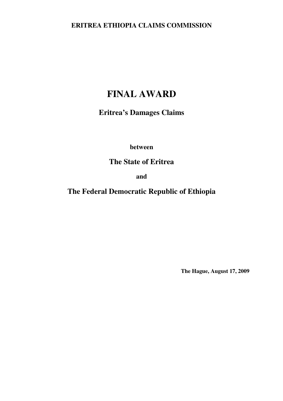# **ERITREA ETHIOPIA CLAIMS COMMISSION**

# **FINAL AWARD**

**Eritrea's Damages Claims**

**between**

**The State of Eritrea**

**and**

**The Federal Democratic Republic of Ethiopia**

**The Hague, August 17, 2009**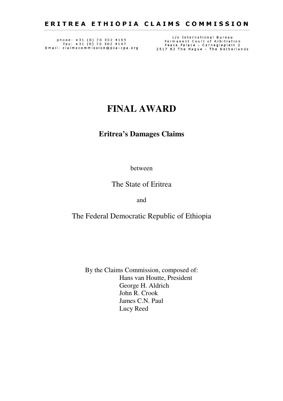phone: +31 (0) 70 302 4165<br>fax: +31 (0) 70 302 4167

c/o International Bureau phone: +31 (0) 70 302 4165<br>fax: +31 (0) 70 302 4167 Permanent Court of Arbitration<br>Email: claimscommission@pca-cpa.org 2517 KJ The Hague - The Netherlands

# **FINAL AWARD**

# **Eritrea's Damages Claims**

between

The State of Eritrea

and

The Federal Democratic Republic of Ethiopia

By the Claims Commission, composed of: Hans van Houtte, President George H. Aldrich John R. Crook James C.N. Paul Lucy Reed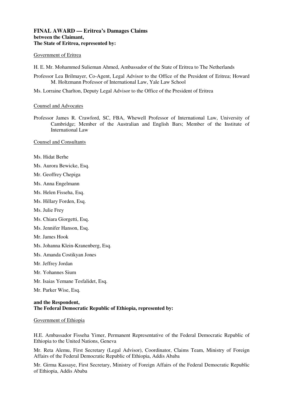# **FINAL AWARD –– Eritrea's Damages Claims between the Claimant, The State of Eritrea, represented by:**

### Government of Eritrea

H. E. Mr. Mohammed Sulieman Ahmed, Ambassador of the State of Eritrea to The Netherlands

Professor Lea Brilmayer, Co-Agent, Legal Advisor to the Office of the President of Eritrea; Howard M. Holtzmann Professor of International Law, Yale Law School

Ms. Lorraine Charlton, Deputy Legal Advisor to the Office of the President of Eritrea

### Counsel and Advocates

Professor James R. Crawford, SC, FBA, Whewell Professor of International Law, University of Cambridge; Member of the Australian and English Bars; Member of the Institute of International Law

Counsel and Consultants

### Ms. Hidat Berhe

- Ms. Aurora Bewicke, Esq.
- Mr. Geoffrey Chepiga
- Ms. Anna Engelmann
- Ms. Helen Fisseha, Esq.
- Ms. Hillary Forden, Esq.
- Ms. Julie Frey
- Ms. Chiara Giorgetti, Esq.
- Ms. Jennifer Hanson, Esq.
- Mr. James Hook
- Ms. Johanna Klein-Kranenberg, Esq.
- Ms. Amanda Costikyan Jones
- Mr. Jeffrey Jordan
- Mr. Yohannes Sium
- Mr. Isaias Yemane Tesfalidet, Esq.
- Mr. Parker Wise, Esq.

#### **and the Respondent, The Federal Democratic Republic of Ethiopia, represented by:**

#### Government of Ethiopia

H.E. Ambassador Fisseha Yimer, Permanent Representative of the Federal Democratic Republic of Ethiopia to the United Nations, Geneva

Mr. Reta Alemu, First Secretary (Legal Advisor), Coordinator, Claims Team, Ministry of Foreign Affairs of the Federal Democratic Republic of Ethiopia, Addis Ababa

Mr. Girma Kassaye, First Secretary, Ministry of Foreign Affairs of the Federal Democratic Republic of Ethiopia, Addis Ababa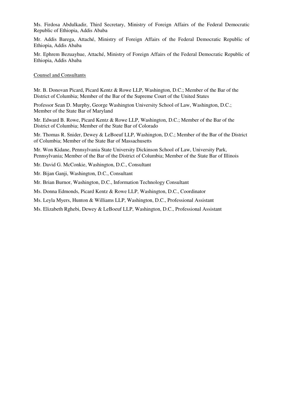Ms. Firdosa Abdulkadir, Third Secretary, Ministry of Foreign Affairs of the Federal Democratic Republic of Ethiopia, Addis Ababa

Mr. Addis Barega, Attaché, Ministry of Foreign Affairs of the Federal Democratic Republic of Ethiopia, Addis Ababa

Mr. Ephrem Bezuayhue, Attaché, Ministry of Foreign Affairs of the Federal Democratic Republic of Ethiopia, Addis Ababa

Counsel and Consultants

Mr. B. Donovan Picard, Picard Kentz & Rowe LLP, Washington, D.C.; Member of the Bar of the District of Columbia; Member of the Bar of the Supreme Court of the United States

Professor Sean D. Murphy, George Washington University School of Law, Washington, D.C.; Member of the State Bar of Maryland

Mr. Edward B. Rowe, Picard Kentz & Rowe LLP, Washington, D.C.; Member of the Bar of the District of Columbia; Member of the State Bar of Colorado

Mr. Thomas R. Snider, Dewey & LeBoeuf LLP, Washington, D.C.; Member of the Bar of the District of Columbia; Member of the State Bar of Massachusetts

Mr. Won Kidane, Pennsylvania State University Dickinson School of Law, University Park, Pennsylvania; Member of the Bar of the District of Columbia; Member of the State Bar of Illinois

Mr. David G. McConkie, Washington, D.C., Consultant

Mr. Bijan Ganji, Washington, D.C., Consultant

Mr. Brian Burnor, Washington, D.C., Information Technology Consultant

Ms. Donna Edmonds, Picard Kentz & Rowe LLP, Washington, D.C., Coordinator

Ms. Leyla Myers, Hunton & Williams LLP, Washington, D.C., Professional Assistant

Ms. Elizabeth Rghebi, Dewey & LeBoeuf LLP, Washington, D.C., Professional Assistant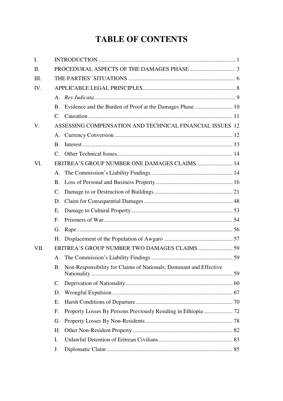# **TABLE OF CONTENTS**

| $\mathbf{I}$ . |                |                                                                    |  |  |  |
|----------------|----------------|--------------------------------------------------------------------|--|--|--|
| II.            |                |                                                                    |  |  |  |
| III.           |                |                                                                    |  |  |  |
| IV.            |                |                                                                    |  |  |  |
|                |                |                                                                    |  |  |  |
|                | <b>B.</b>      | Evidence and the Burden of Proof at the Damages Phase 10           |  |  |  |
|                | C.             |                                                                    |  |  |  |
| V.             |                | ASSESSING COMPENSATION AND TECHNICAL FINANCIAL ISSUES 12           |  |  |  |
|                | A.             |                                                                    |  |  |  |
|                | $\bf{B}$ .     |                                                                    |  |  |  |
|                | $\mathbf{C}$ . |                                                                    |  |  |  |
| VI.            |                | ERITREA'S GROUP NUMBER ONE DAMAGES CLAIMS  14                      |  |  |  |
|                | $\mathsf{A}$ . |                                                                    |  |  |  |
|                | <b>B.</b>      |                                                                    |  |  |  |
|                | $\mathbf{C}$ . |                                                                    |  |  |  |
|                | D.             |                                                                    |  |  |  |
|                | Ε.             |                                                                    |  |  |  |
|                | $F_{\rm r}$    |                                                                    |  |  |  |
|                | G.             |                                                                    |  |  |  |
|                | Н.             |                                                                    |  |  |  |
| VII.           |                |                                                                    |  |  |  |
|                | А.             |                                                                    |  |  |  |
|                | B.             | Non-Responsibility for Claims of Nationals; Dominant and Effective |  |  |  |
|                | C.             |                                                                    |  |  |  |
|                | D.             |                                                                    |  |  |  |
|                | Е.             |                                                                    |  |  |  |
|                | F.             | Property Losses By Persons Previously Residing in Ethiopia  72     |  |  |  |
|                | G.             |                                                                    |  |  |  |
|                | Η.             |                                                                    |  |  |  |
|                | I.             |                                                                    |  |  |  |
|                | J.             |                                                                    |  |  |  |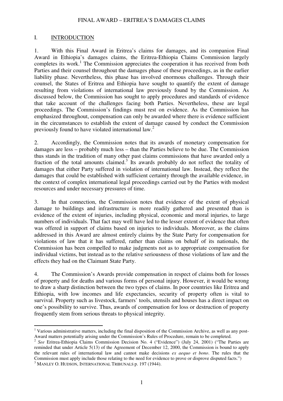## I. INTRODUCTION

1. With this Final Award in Eritrea's claims for damages, and its companion Final Award in Ethiopia's damages claims, the Eritrea-Ethiopia Claims Commission largely completes its work. 1 The Commission appreciates the cooperation it has received from both Parties and their counsel throughout the damages phase of these proceedings, as in the earlier liability phase. Nevertheless, this phase has involved enormous challenges. Through their counsel, the States of Eritrea and Ethiopia have sought to quantify the extent of damage resulting from violations of international law previously found by the Commission. As discussed below, the Commission has sought to apply procedures and standards of evidence that take account of the challenges facing both Parties. Nevertheless, these are legal proceedings. The Commission's findings must rest on evidence. As the Commission has emphasized throughout, compensation can only be awarded where there is evidence sufficient in the circumstances to establish the extent of damage caused by conduct the Commission previously found to have violated international law.<sup>2</sup>

2. Accordingly, the Commission notes that its awards of monetary compensation for damages are less – probably much less – than the Parties believe to be due. The Commission thus stands in the tradition of many other past claims commissions that have awarded only a fraction of the total amounts claimed.<sup>3</sup> Its awards probably do not reflect the totality of damages that either Party suffered in violation of international law. Instead, they reflect the damages that could be established with sufficient certainty through the available evidence, in the context of complex international legal proceedings carried out by the Parties with modest resources and under necessary pressures of time.

3. In that connection, the Commission notes that evidence of the extent of physical damage to buildings and infrastructure is more readily gathered and presented than is evidence of the extent of injuries, including physical, economic and moral injuries, to large numbers of individuals. That fact may well have led to the lesser extent of evidence that often was offered in support of claims based on injuries to individuals. Moreover, as the claims addressed in this Award are almost entirely claims by the State Party for compensation for violations of law that it has suffered, rather than claims on behalf of its nationals, the Commission has been compelled to make judgments not as to appropriate compensation for individual victims, but instead as to the relative seriousness of those violations of law and the effects they had on the Claimant State Party.

4. The Commission's Awards provide compensation in respect of claims both for losses of property and for deaths and various forms of personal injury. However, it would be wrong to draw a sharp distinction between the two types of claims. In poor countries like Eritrea and Ethiopia, with low incomes and life expectancies, security of property often is vital to survival. Property such as livestock, farmers' tools, utensils and houses has a direct impact on one's possibility to survive. Thus, awards of compensation for loss or destruction of property frequently stem from serious threats to physical integrity.

<sup>&</sup>lt;sup>1</sup> Various administrative matters, including the final disposition of the Commission Archive, as well as any post-Award matters potentially arising under the Commission's Rules of Procedure, remain to be completed.

<sup>2</sup> *See* Eritrea-Ethiopia Claims Commission Decision No. 4 ("Evidence") (July 24, 2001) ("The Parties are reminded that under Article 5(13) of the Agreement of December 12, 2000, the Commission is bound to apply the relevant rules of international law and cannot make decisions *ex aequo et bono*. The rules that the Commission must apply include those relating to the need for evidence to prove or disprove disputed facts.") <sup>3</sup> MANLEY O. HUDSON, INTERNATIONAL TRIBUNALS p. 197 (1944).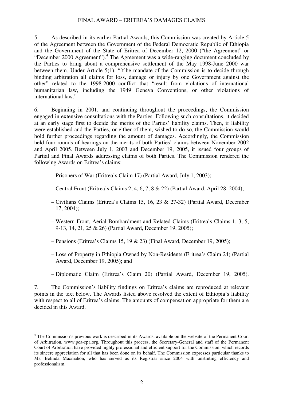5. As described in its earlier Partial Awards, this Commission was created by Article 5 of the Agreement between the Government of the Federal Democratic Republic of Ethiopia and the Government of the State of Eritrea of December 12, 2000 ("the Agreement" or "December 2000 Agreement"). 4 The Agreement was a wide-ranging document concluded by the Parties to bring about a comprehensive settlement of the May 1998-June 2000 war between them. Under Article 5(1), "[t]he mandate of the Commission is to decide through binding arbitration all claims for loss, damage or injury by one Government against the other" related to the 1998-2000 conflict that "result from violations of international humanitarian law, including the 1949 Geneva Conventions, or other violations of international law."

6. Beginning in 2001, and continuing throughout the proceedings, the Commission engaged in extensive consultations with the Parties. Following such consultations, it decided at an early stage first to decide the merits of the Parties' liability claims. Then, if liability were established and the Parties, or either of them, wished to do so, the Commission would hold further proceedings regarding the amount of damages. Accordingly, the Commission held four rounds of hearings on the merits of both Parties' claims between November 2002 and April 2005. Between July 1, 2003 and December 19, 2005, it issued four groups of Partial and Final Awards addressing claims of both Parties. The Commission rendered the following Awards on Eritrea's claims:

– Prisoners of War (Eritrea's Claim 17) (Partial Award, July 1, 2003);

- Central Front (Eritrea's Claims 2, 4, 6, 7, 8 & 22) (Partial Award, April 28, 2004);
- Civilians Claims (Eritrea's Claims 15, 16, 23 & 27-32) (Partial Award, December 17, 2004);
- Western Front, Aerial Bombardment and Related Claims (Eritrea's Claims 1, 3, 5, 9-13, 14, 21, 25 & 26) (Partial Award, December 19, 2005);
- Pensions (Eritrea's Claims 15, 19 & 23) (Final Award, December 19, 2005);
- Loss of Property in Ethiopia Owned by Non-Residents (Eritrea's Claim 24) (Partial Award, December 19, 2005); and
- Diplomatic Claim (Eritrea's Claim 20) (Partial Award, December 19, 2005).

7. The Commission's liability findings on Eritrea's claims are reproduced at relevant points in the text below. The Awards listed above resolved the extent of Ethiopia's liability with respect to all of Eritrea's claims. The amounts of compensation appropriate for them are decided in this Award.

<sup>&</sup>lt;sup>4</sup> The Commission's previous work is described in its Awards, available on the website of the Permanent Court of Arbitration, www.pca-cpa.org. Throughout this process, the Secretary-General and staff of the Permanent Court of Arbitration have provided highly professional and efficient support for the Commission, which records its sincere appreciation for all that has been done on its behalf. The Commission expresses particular thanks to Ms. Belinda Macmahon, who has served as its Registrar since 2004 with unstinting efficiency and professionalism.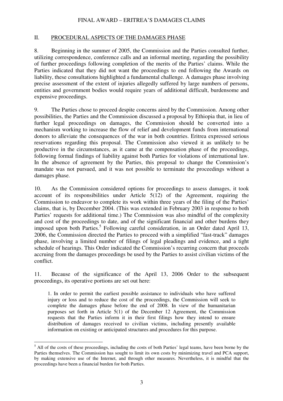# II. PROCEDURAL ASPECTS OF THE DAMAGES PHASE

8. Beginning in the summer of 2005, the Commission and the Parties consulted further, utilizing correspondence, conference calls and an informal meeting, regarding the possibility of further proceedings following completion of the merits of the Parties' claims. While the Parties indicated that they did not want the proceedings to end following the Awards on liability, these consultations highlighted a fundamental challenge. A damages phase involving precise assessment of the extent of injuries allegedly suffered by large numbers of persons, entities and government bodies would require years of additional difficult, burdensome and expensive proceedings.

9. The Parties chose to proceed despite concerns aired by the Commission. Among other possibilities, the Parties and the Commission discussed a proposal by Ethiopia that, in lieu of further legal proceedings on damages, the Commission should be converted into a mechanism working to increase the flow of relief and development funds from international donors to alleviate the consequences of the war in both countries. Eritrea expressed serious reservations regarding this proposal. The Commission also viewed it as unlikely to be productive in the circumstances, as it came at the compensation phase of the proceedings, following formal findings of liability against both Parties for violations of international law. In the absence of agreement by the Parties, this proposal to change the Commission's mandate was not pursued, and it was not possible to terminate the proceedings without a damages phase.

10. As the Commission considered options for proceedings to assess damages, it took account of its responsibilities under Article 5(12) of the Agreement, requiring the Commission to endeavor to complete its work within three years of the filing of the Parties' claims, that is, by December 2004. (This was extended in February 2003 in response to both Parties' requests for additional time.) The Commission was also mindful of the complexity and cost of the proceedings to date, and of the significant financial and other burdens they imposed upon both Parties. 5 Following careful consideration, in an Order dated April 13, 2006, the Commission directed the Parties to proceed with a simplified "fast-track" damages phase, involving a limited number of filings of legal pleadings and evidence, and a tight schedule of hearings. This Order indicated the Commission's recurring concern that proceeds accruing from the damages proceedings be used by the Parties to assist civilian victims of the conflict.

11. Because of the significance of the April 13, 2006 Order to the subsequent proceedings, its operative portions are set out here:

1. In order to permit the earliest possible assistance to individuals who have suffered injury or loss and to reduce the cost of the proceedings, the Commission will seek to complete the damages phase before the end of 2008. In view of the humanitarian purposes set forth in Article 5(1) of the December 12 Agreement, the Commission requests that the Parties inform it in their first filings how they intend to ensure distribution of damages received to civilian victims, including presently available information on existing or anticipated structures and procedures for this purpose.

<sup>&</sup>lt;sup>5</sup> All of the costs of these proceedings, including the costs of both Parties' legal teams, have been borne by the Parties themselves. The Commission has sought to limit its own costs by minimizing travel and PCA support, by making extensive use of the Internet, and through other measures. Nevertheless, it is mindful that the proceedings have been a financial burden for both Parties.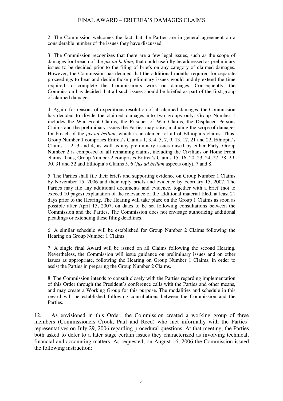2. The Commission welcomes the fact that the Parties are in general agreement on a considerable number of the issues they have discussed.

3. The Commission recognizes that there are a few legal issues, such as the scope of damages for breach of the *jus ad bellum*, that could usefully be addressed as preliminary issues to be decided prior to the filing of briefs on any category of claimed damages. However, the Commission has decided that the additional months required for separate proceedings to hear and decide those preliminary issues would unduly extend the time required to complete the Commission's work on damages. Consequently, the Commission has decided that all such issues should be briefed as part of the first group of claimed damages.

4. Again, for reasons of expeditious resolution of all claimed damages, the Commission has decided to divide the claimed damages into two groups only. Group Number 1 includes the War Front Claims, the Prisoner of War Claims, the Displaced Persons Claims and the preliminary issues the Parties may raise, including the scope of damages for breach of the *jus ad bellum*, which is an element of all of Ethiopia's claims. Thus, Group Number 1 comprises Eritrea's Claims 1, 3, 4, 5, 7, 9, 13, 17, 21 and 22, Ethiopia's Claims 1, 2, 3 and 4, as well as any preliminary issues raised by either Party. Group Number 2 is composed of all remaining claims, including the Civilians or Home Front claims. Thus, Group Number 2 comprises Eritrea's Claims 15, 16, 20, 23, 24, 27, 28, 29, 30, 31 and 32 and Ethiopia's Claims 5, 6 (*jus ad bellum* aspects only), 7 and 8.

5. The Parties shall file their briefs and supporting evidence on Group Number 1 Claims by November 15, 2006 and their reply briefs and evidence by February 15, 2007. The Parties may file any additional documents and evidence, together with a brief (not to exceed 10 pages) explanation of the relevance of the additional material filed, at least 21 days prior to the Hearing. The Hearing will take place on the Group 1 Claims as soon as possible after April 15, 2007, on dates to be set following consultations between the Commission and the Parties. The Commission does not envisage authorizing additional pleadings or extending these filing deadlines.

6. A similar schedule will be established for Group Number 2 Claims following the Hearing on Group Number 1 Claims.

7. A single final Award will be issued on all Claims following the second Hearing. Nevertheless, the Commission will issue guidance on preliminary issues and on other issues as appropriate, following the Hearing on Group Number 1 Claims, in order to assist the Parties in preparing the Group Number 2 Claims.

8. The Commission intends to consult closely with the Parties regarding implementation of this Order through the President's conference calls with the Parties and other means, and may create a Working Group for this purpose. The modalities and schedule in this regard will be established following consultations between the Commission and the Parties.

12. As envisioned in this Order, the Commission created a working group of three members (Commissioners Crook, Paul and Reed) who met informally with the Parties' representatives on July 29, 2006 regarding procedural questions. At that meeting, the Parties both asked to defer to a later stage certain issues they characterized as involving technical, financial and accounting matters. As requested, on August 16, 2006 the Commission issued the following instruction: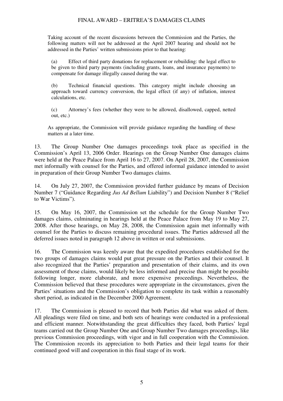Taking account of the recent discussions between the Commission and the Parties, the following matters will not be addressed at the April 2007 hearing and should not be addressed in the Parties' written submissions prior to that hearing:

(a) Effect of third party donations for replacement or rebuilding: the legal effect to be given to third party payments (including grants, loans, and insurance payments) to compensate for damage illegally caused during the war.

(b) Technical financial questions. This category might include choosing an approach toward currency conversion, the legal effect (if any) of inflation, interest calculations, etc.

(c) Attorney's fees (whether they were to be allowed, disallowed, capped, netted out, etc.)

As appropriate, the Commission will provide guidance regarding the handling of these matters at a later time.

13. The Group Number One damages proceedings took place as specified in the Commission's April 13, 2006 Order. Hearings on the Group Number One damages claims were held at the Peace Palace from April 16 to 27, 2007. On April 28, 2007, the Commission met informally with counsel for the Parties, and offered informal guidance intended to assist in preparation of their Group Number Two damages claims.

14. On July 27, 2007, the Commission provided further guidance by means of Decision Number 7 ("Guidance Regarding *Jus Ad Bellum* Liability") and Decision Number 8 ("Relief to War Victims").

15. On May 16, 2007, the Commission set the schedule for the Group Number Two damages claims, culminating in hearings held at the Peace Palace from May 19 to May 27, 2008. After those hearings, on May 28, 2008, the Commission again met informally with counsel for the Parties to discuss remaining procedural issues. The Parties addressed all the deferred issues noted in paragraph 12 above in written or oral submissions.

16. The Commission was keenly aware that the expedited procedures established for the two groups of damages claims would put great pressure on the Parties and their counsel. It also recognized that the Parties' preparation and presentation of their claims, and its own assessment of those claims, would likely be less informed and precise than might be possible following longer, more elaborate, and more expensive proceedings. Nevertheless, the Commission believed that these procedures were appropriate in the circumstances, given the Parties' situations and the Commission's obligation to complete its task within a reasonably short period, as indicated in the December 2000 Agreement.

17. The Commission is pleased to record that both Parties did what was asked of them. All pleadings were filed on time, and both sets of hearings were conducted in a professional and efficient manner. Notwithstanding the great difficulties they faced, both Parties' legal teams carried out the Group Number One and Group Number Two damages proceedings, like previous Commission proceedings, with vigor and in full cooperation with the Commission. The Commission records its appreciation to both Parties and their legal teams for their continued good will and cooperation in this final stage of its work.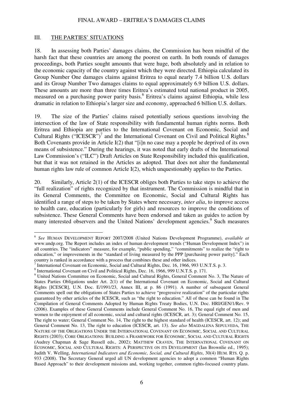## III. THE PARTIES' SITUATIONS

18. In assessing both Parties' damages claims, the Commission has been mindful of the harsh fact that these countries are among the poorest on earth. In both rounds of damages proceedings, both Parties sought amounts that were huge, both absolutely and in relation to the economic capacity of the country against which they were directed. Ethiopia calculated its Group Number One damages claims against Eritrea to equal nearly 7.4 billion U.S. dollars and its Group Number Two damages claims to equal approximately 6.9 billion U.S. dollars. These amounts are more than three times Eritrea's estimated total national product in 2005, measured on a purchasing power parity basis.<sup>6</sup> Eritrea's claims against Ethiopia, while less dramatic in relation to Ethiopia's larger size and economy, approached 6 billion U.S. dollars.

19. The size of the Parties' claims raised potentially serious questions involving the intersection of the law of State responsibility with fundamental human rights norms. Both Eritrea and Ethiopia are parties to the International Covenant on Economic, Social and Cultural Rights ("ICESCR")<sup>7</sup> and the International Covenant on Civil and Political Rights.<sup>8</sup> Both Covenants provide in Article I(2) that "[i]n no case may a people be deprived of its own means of subsistence." During the hearings, it was noted that early drafts of the International Law Commission's ("ILC") Draft Articles on State Responsibility included this qualification, but that it was not retained in the Articles as adopted. That does not alter the fundamental human rights law rule of common Article I(2), which unquestionably applies to the Parties.

20. Similarly, Article 2(1) of the ICESCR obliges both Parties to take steps to achieve the "full realization" of rights recognized by that instrument. The Commission is mindful that in its General Comments, the Committee on Economic, Social and Cultural Rights has identified a range of steps to be taken by States where necessary, *inter alia*, to improve access to health care, education (particularly for girls) and resources to improve the conditions of subsistence. These General Comments have been endorsed and taken as guides to action by many interested observers and the United Nations' development agencies.<sup>9</sup> Such measures

<sup>6</sup> *See* HUMAN DEVELOPMENT REPORT 2007/2008 (United Nations Development Programme), *available at* www.undp.org. The Report includes an index of human development trends ("Human Development Index") in all countries. The "indicators" measure, for example, "public spending," "commitments" to realize the "right to education," or improvements in the "standard of living measured by the PPP [purchasing power parity]." Each country is ranked in accordance with a process that combines these and other indices.

<sup>7</sup> International Covenant on Economic, Social and Cultural Rights, Dec. 16, 1966, 993 U.N.T.S. p. 3.

<sup>&</sup>lt;sup>8</sup> International Covenant on Civil and Political Rights, Dec. 16, 1966, 999 U.N.T.S. p. 171.

<sup>&</sup>lt;sup>9</sup> United Nations Committee on Economic, Social and Cultural Rights, General Comment No. 3, The Nature of States Parties Obligations under Art. 2(1) of the International Covenant on Economic, Social and Cultural Rights [ICESCR], U.N. Doc. E/1991/23, Annex III, at p. 86 (1991). A number of subsequent General Comments spell out the obligations of States Parties to achieve "progressive realization" of the particular rights guaranteed by other articles of the ICESCR, such as "the right to education." All of these can be found in The Compilation of General Comments Adopted by Human Rights Treaty Bodies, U.N. Doc. HRI/GEN/1/Rev. 9 (2006). Examples of these General Comments include General Comment No. 16, The equal right of men and women to the enjoyment of all economic, social and cultural rights (ICESCR, art. 3); General Comment No. 15, The right to water; General Comment No. 14, The right to the highest standard of health (ICESCR, art. 12); and General Comment No. 13, The right to education (ICESCR, art. 13). *See also* MAGDALENA SEPULVEDA, THE NATURE OF THE OBLIGATIONS UNDER THE INTERNATIONAL COVENANT ON ECONOMIC, SOCIAL AND CULTURAL RIGHTS (2003); CORE OBLIGATIONS: BUILDING A FRAMEWORK FOR ECONOMIC, SOCIAL AND CULTURAL RIGHTS (Audrey Chapman & Sage Russell eds., 2002); MATTHEW CRAVEN, THE INTERNATIONAL COVENANT ON ECONOMIC, SOCIAL AND CULTURAL RIGHTS: A PERSPECTIVE ON ITS DEVELOPMENT (Ian Brownlie ed., 1995); Judith V. Welling, *International Indicators and Economic, Social, and Cultural Rights*, 30(4) HUM. RTS. Q. p. 933 (2008). The Secretary General urged all UN development agencies to adopt a common "Human Rights Based Approach" to their development missions and, working together, common rights-focused country plans.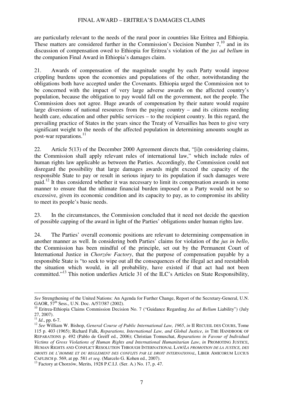are particularly relevant to the needs of the rural poor in countries like Eritrea and Ethiopia. These matters are considered further in the Commission's Decision Number  $7<sup>10</sup>$  and in its discussion of compensation owed to Ethiopia for Eritrea's violation of the *jus ad bellum* in the companion Final Award in Ethiopia's damages claim.

21. Awards of compensation of the magnitude sought by each Party would impose crippling burdens upon the economies and populations of the other, notwithstanding the obligations both have accepted under the Covenants. Ethiopia urged the Commission not to be concerned with the impact of very large adverse awards on the affected country's population, because the obligation to pay would fall on the government, not the people. The Commission does not agree. Huge awards of compensation by their nature would require large diversions of national resources from the paying country – and its citizens needing health care, education and other public services – to the recipient country. In this regard, the prevailing practice of States in the years since the Treaty of Versailles has been to give very significant weight to the needs of the affected population in determining amounts sought as post-war reparations.<sup>11</sup>

22. Article 5(13) of the December 2000 Agreement directs that, "[i]n considering claims, the Commission shall apply relevant rules of international law," which include rules of human rights law applicable as between the Parties. Accordingly, the Commission could not disregard the possibility that large damages awards might exceed the capacity of the responsible State to pay or result in serious injury to its population if such damages were paid.<sup>12</sup> It thus considered whether it was necessary to limit its compensation awards in some manner to ensure that the ultimate financial burden imposed on a Party would not be so excessive, given its economic condition and its capacity to pay, as to compromise its ability to meet its people's basic needs.

23. In the circumstances, the Commission concluded that it need not decide the question of possible capping of the award in light of the Parties' obligations under human rights law.

24. The Parties' overall economic positions are relevant to determining compensation in another manner as well. In considering both Parties' claims for violation of the *jus in bello*, the Commission has been mindful of the principle, set out by the Permanent Court of International Justice in *Chorzów Factory*, that the purpose of compensation payable by a responsible State is "to seek to wipe out all the consequences of the illegal act and reestablish the situation which would, in all probability, have existed if that act had not been committed."<sup>13</sup> This notion underlies Article 31 of the ILC's Articles on State Responsibility,

*See* Strengthening of the United Nations: An Agenda for Further Change, Report of the Secretary-General, U.N. GAOR, 57<sup>th</sup> Sess., U.N. Doc. A/57/387 (2002).

<sup>10</sup> Eritrea-Ethiopia Claims Commission Decision No. 7 ("Guidance Regarding *Jus ad Bellum* Liability") (July 27, 2007). 11 *Id*., pp. 6-7.

<sup>12</sup> *See* William W. Bishop, *General Course of Public International Law, 1965*, *in* II RECUEIL DES COURS, Tome 115 p. 403 (1965); Richard Falk, *Reparations, International Law, and Global Justice*, *in* THE HANDBOOK OF REPARATIONS p. 492 (Pablo de Greiff ed., 2006); Christian Tomuschat, *Reparations in Favour of Individual Victims of Gross Violations of Human Rights and International Humanitarian Law*, *in* PROMOTING JUSTICE, HUMAN RIGHTS AND CONFLICT RESOLUTION THROUGH INTERNATIONAL LAW/*LA PROMOTION DE LA JUSTICE, DES DROITS DE L'HOMME ET DU REGLEMENT DES CONFLITS PAR LE DROIT INTERNATIONAL*, LIBER AMICORUM LUCIUS CAFLISCH p. 569, at pp. 581 *et seq*. (Marcelo G. Kohen ed., 2007).

<sup>&</sup>lt;sup>13</sup> Factory at Chorzów, Merits, 1928 P.C.I.J. (Ser. A.) No. 17, p. 47.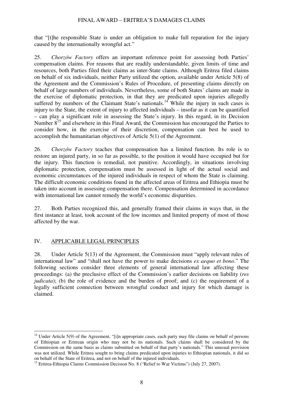that "[t]he responsible State is under an obligation to make full reparation for the injury caused by the internationally wrongful act."

25. *Chorzów Factory* offers an important reference point for assessing both Parties' compensation claims. For reasons that are readily understandable, given limits of time and resources, both Parties filed their claims as inter-State claims. Although Eritrea filed claims on behalf of six individuals, neither Party utilized the option, available under Article 5(8) of the Agreement and the Commission's Rules of Procedure, of presenting claims directly on behalf of large numbers of individuals. Nevertheless, some of both States' claims are made in the exercise of diplomatic protection, in that they are predicated upon injuries allegedly suffered by numbers of the Claimant State's nationals.<sup>14</sup> While the injury in such cases is injury to the State, the extent of injury to affected individuals – insofar as it can be quantified – can play a significant role in assessing the State's injury. In this regard, in its Decision Number  $8^{15}$  and elsewhere in this Final Award, the Commission has encouraged the Parties to consider how, in the exercise of their discretion, compensation can best be used to accomplish the humanitarian objectives of Article 5(1) of the Agreement.

26. *Chorzów Factory* teaches that compensation has a limited function. Its role is to restore an injured party, in so far as possible, to the position it would have occupied but for the injury. This function is remedial, not punitive. Accordingly, in situations involving diplomatic protection, compensation must be assessed in light of the actual social and economic circumstances of the injured individuals in respect of whom the State is claiming. The difficult economic conditions found in the affected areas of Eritrea and Ethiopia must be taken into account in assessing compensation there. Compensation determined in accordance with international law cannot remedy the world's economic disparities.

27. Both Parties recognized this, and generally framed their claims in ways that, in the first instance at least, took account of the low incomes and limited property of most of those affected by the war.

# IV. APPLICABLE LEGAL PRINCIPLES

28. Under Article 5(13) of the Agreement, the Commission must "apply relevant rules of international law" and "shall not have the power to make decisions *ex aequo et bono*." The following sections consider three elements of general international law affecting these proceedings: (a) the preclusive effect of the Commission's earlier decisions on liability (*res judicata*); (b) the role of evidence and the burden of proof; and (c) the requirement of a legally sufficient connection between wrongful conduct and injury for which damage is claimed.

<sup>&</sup>lt;sup>14</sup> Under Article 5(9) of the Agreement, "[i]n appropriate cases, each party may file claims on behalf of persons of Ethiopian or Eritrean origin who may not be its nationals. Such claims shall be considered by the Commission on the same basis as claims submitted on behalf of that party's nationals." This unusual provision was not utilized. While Eritrea sought to bring claims predicated upon injuries to Ethiopian nationals, it did so on behalf of the State of Eritrea, and not on behalf of the injured individuals.

<sup>&</sup>lt;sup>15</sup> Eritrea-Ethiopia Claims Commission Decision No. 8 ("Relief to War Victims") (July 27, 2007).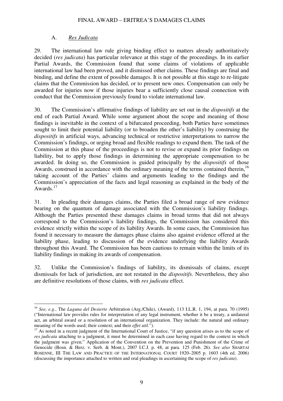# A. *Res Judicata*

29. The international law rule giving binding effect to matters already authoritatively decided (*res judicata*) has particular relevance at this stage of the proceedings. In its earlier Partial Awards, the Commission found that some claims of violations of applicable international law had been proved, and it dismissed other claims. These findings are final and binding, and define the extent of possible damages. It is not possible at this stage to re-litigate claims that the Commission has decided, or to present new ones. Compensation can only be awarded for injuries now if those injuries bear a sufficiently close causal connection with conduct that the Commission previously found to violate international law.

30. The Commission's affirmative findings of liability are set out in the *dispositifs* at the end of each Partial Award. While some argument about the scope and meaning of those findings is inevitable in the context of a bifurcated proceeding, both Parties have sometimes sought to limit their potential liability (or to broaden the other's liability) by construing the *dispositifs* in artificial ways, advancing technical or restrictive interpretations to narrow the Commission's findings, or urging broad and flexible readings to expand them. The task of the Commission at this phase of the proceedings is not to revise or expand its prior findings on liability, but to apply those findings in determining the appropriate compensation to be awarded. In doing so, the Commission is guided principally by the *dispositifs* of those Awards, construed in accordance with the ordinary meaning of the terms contained therein,<sup>16</sup> taking account of the Parties' claims and arguments leading to the findings and the Commission's appreciation of the facts and legal reasoning as explained in the body of the Awards.<sup>17</sup>

31. In pleading their damages claims, the Parties filed a broad range of new evidence bearing on the quantum of damage associated with the Commission's liability findings. Although the Parties presented these damages claims in broad terms that did not always correspond to the Commission's liability findings, the Commission has considered this evidence strictly within the scope of its liability Awards. In some cases, the Commission has found it necessary to measure the damages phase claims also against evidence offered at the liability phase, leading to discussion of the evidence underlying the liability Awards throughout this Award. The Commission has been cautious to remain within the limits of its liability findings in making its awards of compensation.

32. Unlike the Commission's findings of liability, its dismissals of claims, except dismissals for lack of jurisdiction, are not restated in the *dispositifs*. Nevertheless, they also are definitive resolutions of those claims, with *res judicata* effect.

<sup>16</sup> *See, e.g.*, The *Laguna del Desierto* Arbitration (Arg./Chile), (Award), 113 I.L.R. 1, 194, at para. 70 (1995) ("International law provides rules for interpretation of any legal instrument, whether it be a treaty, a unilateral act, an arbitral award or a resolution of an international organization. They include: the natural and ordinary meaning of the words used; their context; and their *effet util*.").

<sup>&</sup>lt;sup>17</sup> As noted in a recent judgment of the International Court of Justice, "if any question arises as to the scope of *res judicata* attaching to a judgment, it must be determined in each case having regard to the context in which the judgment was given." Application of the Convention on the Prevention and Punishment of the Crime of Genocide (Bosn. & Herz. v. Serb. & Mont.), 2007 I.C.J. p. 48, at para. 125 (Feb. 26). *See also* SHABTAI ROSENNE, III THE LAW AND PRACTICE OF THE INTERNATIONAL COURT 1920–2005 p. 1603 (4th ed. 2006) (discussing the importance attached to written and oral pleadings in ascertaining the scope of *res judicata*).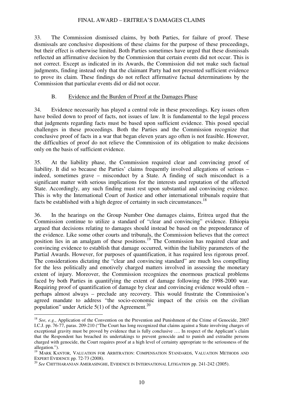33. The Commission dismissed claims, by both Parties, for failure of proof. These dismissals are conclusive dispositions of these claims for the purpose of these proceedings, but their effect is otherwise limited. Both Parties sometimes have urged that these dismissals reflected an affirmative decision by the Commission that certain events did not occur. This is not correct. Except as indicated in its Awards, the Commission did not make such factual judgments, finding instead only that the claimant Party had not presented sufficient evidence to prove its claim. These findings do not reflect affirmative factual determinations by the Commission that particular events did or did not occur.

# B. Evidence and the Burden of Proof at the Damages Phase

34. Evidence necessarily has played a central role in these proceedings. Key issues often have boiled down to proof of facts, not issues of law. It is fundamental to the legal process that judgments regarding facts must be based upon sufficient evidence. This posed special challenges in these proceedings. Both the Parties and the Commission recognize that conclusive proof of facts in a war that began eleven years ago often is not feasible. However, the difficulties of proof do not relieve the Commission of its obligation to make decisions only on the basis of sufficient evidence.

35. At the liability phase, the Commission required clear and convincing proof of liability. It did so because the Parties' claims frequently involved allegations of serious – indeed, sometimes grave – misconduct by a State. A finding of such misconduct is a significant matter with serious implications for the interests and reputation of the affected State. Accordingly, any such finding must rest upon substantial and convincing evidence. This is why the International Court of Justice and other international tribunals require that facts be established with a high degree of certainty in such circumstances.<sup>18</sup>

36. In the hearings on the Group Number One damages claims, Eritrea urged that the Commission continue to utilize a standard of "clear and convincing" evidence. Ethiopia argued that decisions relating to damages should instead be based on the preponderance of the evidence. Like some other courts and tribunals, the Commission believes that the correct position lies in an amalgam of these positions.<sup>19</sup> The Commission has required clear and convincing evidence to establish that damage occurred, within the liability parameters of the Partial Awards. However, for purposes of quantification, it has required less rigorous proof. The considerations dictating the "clear and convincing standard" are much less compelling for the less politically and emotively charged matters involved in assessing the monetary extent of injury. Moreover, the Commission recognizes the enormous practical problems faced by both Parties in quantifying the extent of damage following the 1998-2000 war. Requiring proof of quantification of damage by clear and convincing evidence would often – perhaps almost always – preclude any recovery. This would frustrate the Commission's agreed mandate to address "the socio-economic impact of the crisis on the civilian population" under Article  $5(1)$  of the Agreement.<sup>20</sup>

<sup>&</sup>lt;sup>18</sup> See, e.g., Application of the Convention on the Prevention and Punishment of the Crime of Genocide, 2007 I.C.J. pp. 76-77, paras. 209-210 ("The Court has long recognized that claims against a State involving charges of exceptional gravity must be proved by evidence that is fully conclusive …. In respect of the Applicant's claim that the Respondent has breached its undertakings to prevent genocide and to punish and extradite persons charged with genocide, the Court requires proof at a high level of certainty appropriate to the seriousness of the allegation.").

<sup>&</sup>lt;sup>19</sup> MARK KANTOR, VALUATION FOR ARBITRATION: COMPENSATION STANDARDS, VALUATION METHODS AND EXPERT EVIDENCE pp. 72-73 (2008).

<sup>20</sup> *See* CHITTHARANJAN AMERASINGHE, EVIDENCE IN INTERNATIONAL LITIGATION pp. 241-242 (2005).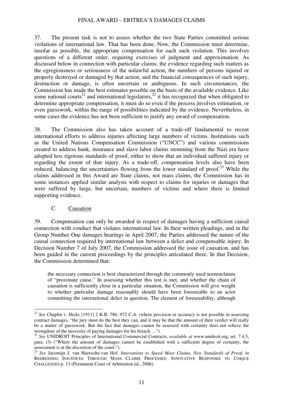37. The present task is not to assess whether the two State Parties committed serious violations of international law. That has been done. Now, the Commission must determine, insofar as possible, the appropriate compensation for each such violation. This involves questions of a different order, requiring exercises of judgment and approximation. As discussed below in connection with particular claims, the evidence regarding such matters as the egregiousness or seriousness of the unlawful action, the numbers of persons injured or property destroyed or damaged by that action, and the financial consequences of such injury, destruction or damage, is often uncertain or ambiguous. In such circumstances, the Commission has made the best estimates possible on the basis of the available evidence. Like some national courts<sup>21</sup> and international legislators,<sup>22</sup> it has recognized that when obligated to determine appropriate compensation, it must do so even if the process involves estimation, or even guesswork, within the range of possibilities indicated by the evidence. Nevertheless, in some cases the evidence has not been sufficient to justify any award of compensation.

38. The Commission also has taken account of a trade-off fundamental to recent international efforts to address injuries affecting large numbers of victims. Institutions such as the United Nations Compensation Commission ("UNCC") and various commissions created to address bank, insurance and slave labor claims stemming from the Nazi era have adopted less rigorous standards of proof, either to show that an individual suffered injury or regarding the extent of that injury. As a trade-off, compensation levels also have been reduced, balancing the uncertainties flowing from the lower standard of proof.<sup>23</sup> While the claims addressed in this Award are State claims, not mass claims, the Commission has in some instances applied similar analysis with respect to claims for injuries or damages that were suffered by large, but uncertain, numbers of victims and where there is limited supporting evidence.

# C. Causation

39. Compensation can only be awarded in respect of damages having a sufficient causal connection with conduct that violates international law. In their written pleadings, and in the Group Number One damages hearings in April 2007, the Parties addressed the nature of the causal connection required by international law between a delict and compensable injury. In Decision Number 7 of July 2007, the Commission addressed the issue of causation, and has been guided in the current proceedings by the principles articulated there. In that Decision, the Commission determined that:

the necessary connection is best characterized through the commonly used nomenclature of "proximate cause." In assessing whether this test is met, and whether the chain of causation is sufficiently close in a particular situation, the Commission will give weight to whether particular damage reasonably should have been foreseeable to an actor committing the international delict in question. The element of foreseeability, although

<sup>&</sup>lt;sup>21</sup> See Chaplin v. Hicks [1911] 2 K.B. 786, 972 C.A. (where precision or accuracy is not possible in assessing contract damages, "the jury must do the best they can, and it may be that the amount of their verdict will really be a matter of guesswork. But the fact that damages cannot be assessed with certainty does not relieve the wrongdoer of the necessity of paying damages for his breach….").

<sup>22</sup> *See* UNIDROIT Principles of International Commercial Contracts, *available at* www.unidroit.org, art. 7.4.3, para. (3) ("Where the amount of damages cannot be established with a sufficient degree of certainty, the assessment is at the discretion of the court.").

<sup>23</sup> *See* Jacomijn J. van Haersolte-van Hof, *Innovations to Speed Mass Claims, New Standards of Proof*, *in* REDRESSING INJUSTICES THROUGH MASS CLAIMS PROCESSES: INNOVATIVE RESPONSES TO UNIQUE CHALLENGES p. 13 (Permanent Court of Arbitration ed., 2006).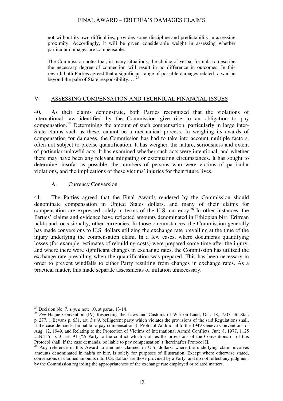not without its own difficulties, provides some discipline and predictability in assessing proximity. Accordingly, it will be given considerable weight in assessing whether particular damages are compensable.

The Commission notes that, in many situations, the choice of verbal formula to describe the necessary degree of connection will result in no difference in outcomes. In this regard, both Parties agreed that a significant range of possible damages related to war lie beyond the pale of State responsibility.  $\ldots^{24}$ 

# V. ASSESSING COMPENSATION AND TECHNICAL FINANCIAL ISSUES

40. As their claims demonstrate, both Parties recognized that the violations of international law identified by the Commission give rise to an obligation to pay compensation. <sup>25</sup> Determining the amount of such compensation, particularly in large inter-State claims such as these, cannot be a mechanical process. In weighing its awards of compensation for damages, the Commission has had to take into account multiple factors, often not subject to precise quantification. It has weighed the nature, seriousness and extent of particular unlawful acts. It has examined whether such acts were intentional, and whether there may have been any relevant mitigating or extenuating circumstances. It has sought to determine, insofar as possible, the numbers of persons who were victims of particular violations, and the implications of these victims' injuries for their future lives.

# A. Currency Conversion

41. The Parties agreed that the Final Awards rendered by the Commission should denominate compensation in United States dollars, and many of their claims for compensation are expressed solely in terms of the U.S. currency. 26 In other instances, the Parties' claims and evidence have reflected amounts denominated in Ethiopian birr, Eritrean nakfa and, occasionally, other currencies. In those circumstances, the Commission generally has made conversions to U.S. dollars utilizing the exchange rate prevailing at the time of the injury underlying the compensation claim. In a few cases, where documents quantifying losses (for example, estimates of rebuilding costs) were prepared some time after the injury, and where there were significant changes in exchange rates, the Commission has utilized the exchange rate prevailing when the quantification was prepared. This has been necessary in order to prevent windfalls to either Party resulting from changes in exchange rates. As a practical matter, this made separate assessments of inflation unnecessary.

<sup>24</sup> Decision No. 7, *supra* note 10, at paras. 13-14.

<sup>&</sup>lt;sup>25</sup> See Hague Convention (IV) Respecting the Laws and Customs of War on Land, Oct. 18, 1907, 36 Stat. p. 277, 1 Bevans p. 631, art. 3 ("A belligerent party which violates the provisions of the said Regulations shall, if the case demands, be liable to pay compensation"); Protocol Additional to the 1949 Geneva Conventions of Aug. 12, 1949, and Relating to the Protection of Victims of International Armed Conflicts, June 8, 1977, 1125 U.N.T.S. p. 3, art. 91 ("A Party to the conflict which violates the provisions of the Conventions or of this Protocol shall, if the case demands, be liable to pay compensation") [hereinafter Protocol I].

<sup>&</sup>lt;sup>26</sup> Any reference in this Award to amounts claimed in U.S. dollars, where the underlying claim involves amounts denominated in nakfa or birr, is solely for purposes of illustration. Except where otherwise stated, conversions of claimed amounts into U.S. dollars are those provided by a Party, and do not reflect any judgment by the Commission regarding the appropriateness of the exchange rate employed or related matters.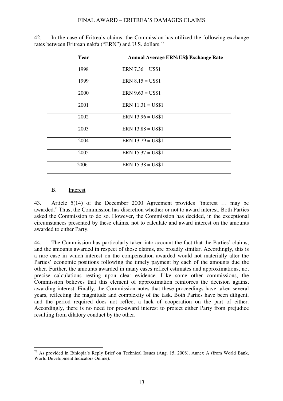| Year | <b>Annual Average ERN: US\$ Exchange Rate</b> |
|------|-----------------------------------------------|
| 1998 | ERN $7.36 = US$1$                             |
| 1999 | ERN $8.15 = US$1$                             |
| 2000 | $ERN 9.63 = US$1$                             |
| 2001 | ERN $11.31 = US$1$                            |
| 2002 | ERN $13.96 = US$1$                            |
| 2003 | ERN $13.88 = US$1$                            |
| 2004 | ERN $13.79 = US$1$                            |
| 2005 | ERN $15.37 = US$1$                            |
| 2006 | ERN $15.38 = US$1$                            |

42. In the case of Eritrea's claims, the Commission has utilized the following exchange rates between Eritrean nakfa ("ERN") and U.S. dollars.<sup>27</sup>

# B. Interest

43. Article 5(14) of the December 2000 Agreement provides "interest … may be awarded." Thus, the Commission has discretion whether or not to award interest. Both Parties asked the Commission to do so. However, the Commission has decided, in the exceptional circumstances presented by these claims, not to calculate and award interest on the amounts awarded to either Party.

44. The Commission has particularly taken into account the fact that the Parties' claims, and the amounts awarded in respect of those claims, are broadly similar. Accordingly, this is a rare case in which interest on the compensation awarded would not materially alter the Parties' economic positions following the timely payment by each of the amounts due the other. Further, the amounts awarded in many cases reflect estimates and approximations, not precise calculations resting upon clear evidence. Like some other commissions, the Commission believes that this element of approximation reinforces the decision against awarding interest. Finally, the Commission notes that these proceedings have taken several years, reflecting the magnitude and complexity of the task. Both Parties have been diligent, and the period required does not reflect a lack of cooperation on the part of either. Accordingly, there is no need for pre-award interest to protect either Party from prejudice resulting from dilatory conduct by the other.

 $27$  As provided in Ethiopia's Reply Brief on Technical Issues (Aug. 15, 2008), Annex A (from World Bank, World Development Indicators Online).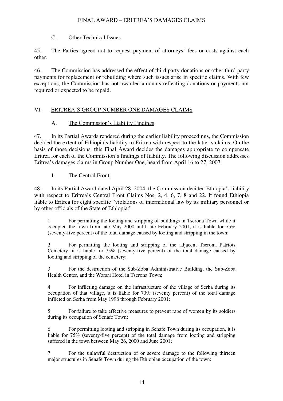# C. Other Technical Issues

45. The Parties agreed not to request payment of attorneys' fees or costs against each other.

46. The Commission has addressed the effect of third party donations or other third party payments for replacement or rebuilding where such issues arise in specific claims. With few exceptions, the Commission has not awarded amounts reflecting donations or payments not required or expected to be repaid.

# VI. ERITREA'S GROUP NUMBER ONE DAMAGES CLAIMS

# A. The Commission's Liability Findings

47. In its Partial Awards rendered during the earlier liability proceedings, the Commission decided the extent of Ethiopia's liability to Eritrea with respect to the latter's claims. On the basis of those decisions, this Final Award decides the damages appropriate to compensate Eritrea for each of the Commission's findings of liability. The following discussion addresses Eritrea's damages claims in Group Number One, heard from April 16 to 27, 2007.

# 1. The Central Front

48. In its Partial Award dated April 28, 2004, the Commission decided Ethiopia's liability with respect to Eritrea's Central Front Claims Nos. 2, 4, 6, 7, 8 and 22. It found Ethiopia liable to Eritrea for eight specific "violations of international law by its military personnel or by other officials of the State of Ethiopia:"

1. For permitting the looting and stripping of buildings in Tserona Town while it occupied the town from late May 2000 until late February 2001, it is liable for 75% (seventy-five percent) of the total damage caused by looting and stripping in the town;

2. For permitting the looting and stripping of the adjacent Tserona Patriots Cemetery, it is liable for 75% (seventy-five percent) of the total damage caused by looting and stripping of the cemetery;

3. For the destruction of the Sub-Zoba Administrative Building, the Sub-Zoba Health Center, and the Warsai Hotel in Tserona Town;

4. For inflicting damage on the infrastructure of the village of Serha during its occupation of that village, it is liable for 70% (seventy percent) of the total damage inflicted on Serha from May 1998 through February 2001;

5. For failure to take effective measures to prevent rape of women by its soldiers during its occupation of Senafe Town;

6. For permitting looting and stripping in Senafe Town during its occupation, it is liable for 75% (seventy-five percent) of the total damage from looting and stripping suffered in the town between May 26, 2000 and June 2001;

7. For the unlawful destruction of or severe damage to the following thirteen major structures in Senafe Town during the Ethiopian occupation of the town: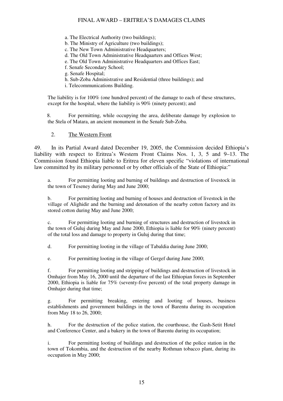- a. The Electrical Authority (two buildings);
- b. The Ministry of Agriculture (two buildings);
- c. The New Town Administrative Headquarters;
- d. The Old Town Administrative Headquarters and Offices West;
- e. The Old Town Administrative Headquarters and Offices East;
- f. Senafe Secondary School;

g. Senafe Hospital;

- h. Sub-Zoba Administrative and Residential (three buildings); and
- i. Telecommunications Building.

The liability is for 100% (one hundred percent) of the damage to each of these structures, except for the hospital, where the liability is 90% (ninety percent); and

8. For permitting, while occupying the area, deliberate damage by explosion to the Stela of Matara, an ancient monument in the Senafe Sub-Zoba.

## 2. The Western Front

49. In its Partial Award dated December 19, 2005, the Commission decided Ethiopia's liability with respect to Eritrea's Western Front Claims Nos. 1, 3, 5 and 9–13. The Commission found Ethiopia liable to Eritrea for eleven specific "violations of international law committed by its military personnel or by other officials of the State of Ethiopia:"

For permitting looting and burning of buildings and destruction of livestock in the town of Teseney during May and June 2000;

b. For permitting looting and burning of houses and destruction of livestock in the village of Alighidir and the burning and detonation of the nearby cotton factory and its stored cotton during May and June 2000;

c. For permitting looting and burning of structures and destruction of livestock in the town of Guluj during May and June 2000, Ethiopia is liable for 90% (ninety percent) of the total loss and damage to property in Guluj during that time;

d. For permitting looting in the village of Tabaldia during June 2000;

e. For permitting looting in the village of Gergef during June 2000;

f. For permitting looting and stripping of buildings and destruction of livestock in Omhajer from May 16, 2000 until the departure of the last Ethiopian forces in September 2000, Ethiopia is liable for 75% (seventy-five percent) of the total property damage in Omhajer during that time;

g. For permitting breaking, entering and looting of houses, business establishments and government buildings in the town of Barentu during its occupation from May 18 to 26, 2000;

h. For the destruction of the police station, the courthouse, the Gash-Setit Hotel and Conference Center, and a bakery in the town of Barentu during its occupation;

i. For permitting looting of buildings and destruction of the police station in the town of Tokombia, and the destruction of the nearby Rothman tobacco plant, during its occupation in May 2000;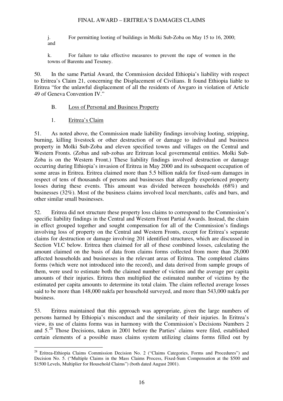j. For permitting looting of buildings in Molki Sub-Zoba on May 15 to 16, 2000; and

k. For failure to take effective measures to prevent the rape of women in the towns of Barentu and Teseney.

50. In the same Partial Award, the Commission decided Ethiopia's liability with respect to Eritrea's Claim 21, concerning the Displacement of Civilians. It found Ethiopia liable to Eritrea "for the unlawful displacement of all the residents of Awgaro in violation of Article 49 of Geneva Convention IV."

# B. Loss of Personal and Business Property

1. Eritrea's Claim

51. As noted above, the Commission made liability findings involving looting, stripping, burning, killing livestock or other destruction of or damage to individual and business property in Molki Sub-Zoba and eleven specified towns and villages on the Central and Western Fronts. (Zobas and sub-zobas are Eritrean local governmental entities. Molki Sub-Zoba is on the Western Front.) These liability findings involved destruction or damage occurring during Ethiopia's invasion of Eritrea in May 2000 and its subsequent occupation of some areas in Eritrea. Eritrea claimed more than 5.5 billion nakfa for fixed-sum damages in respect of tens of thousands of persons and businesses that allegedly experienced property losses during these events. This amount was divided between households (68%) and businesses (32%). Most of the business claims involved local merchants, cafés and bars, and other similar small businesses.

52. Eritrea did not structure these property loss claims to correspond to the Commission's specific liability findings in the Central and Western Front Partial Awards. Instead, the claim in effect grouped together and sought compensation for all of the Commission's findings involving loss of property on the Central and Western Fronts, except for Eritrea's separate claims for destruction or damage involving 201 identified structures, which are discussed in Section VI.C below. Eritrea then claimed for all of these combined losses, calculating the amount claimed on the basis of data from claims forms collected from more than 28,000 affected households and businesses in the relevant areas of Eritrea. The completed claims forms (which were not introduced into the record), and data derived from sample groups of them, were used to estimate both the claimed number of victims and the average per capita amounts of their injuries. Eritrea then multiplied the estimated number of victims by the estimated per capita amounts to determine its total claim. The claim reflected average losses said to be more than 148,000 nakfa per household surveyed, and more than 543,000 nakfa per business.

53. Eritrea maintained that this approach was appropriate, given the large numbers of persons harmed by Ethiopia's misconduct and the similarity of their injuries. In Eritrea's view, its use of claims forms was in harmony with the Commission's Decisions Numbers 2 and 5.<sup>28</sup> Those Decisions, taken in 2001 before the Parties' claims were filed, established certain elements of a possible mass claims system utilizing claims forms filled out by

<sup>&</sup>lt;sup>28</sup> Eritrea-Ethiopia Claims Commission Decision No. 2 ("Claims Categories, Forms and Procedures") and Decision No. 5. ("Multiple Claims in the Mass Claims Process, Fixed-Sum Compensation at the \$500 and \$1500 Levels, Multiplier for Household Claims") (both dated August 2001).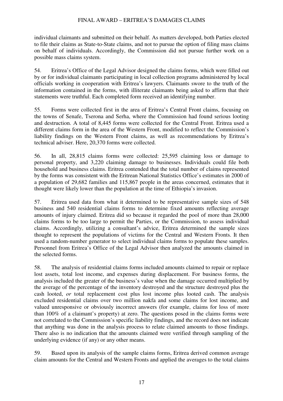individual claimants and submitted on their behalf. As matters developed, both Parties elected to file their claims as State-to-State claims, and not to pursue the option of filing mass claims on behalf of individuals. Accordingly, the Commission did not pursue further work on a possible mass claims system.

54. Eritrea's Office of the Legal Advisor designed the claims forms, which were filled out by or for individual claimants participating in local collection programs administered by local officials working in cooperation with Eritrea's lawyers. Claimants swore to the truth of the information contained in the forms, with illiterate claimants being asked to affirm that their statements were truthful. Each completed form received an identifying number.

55. Forms were collected first in the area of Eritrea's Central Front claims, focusing on the towns of Senafe, Tserona and Serha, where the Commission had found serious looting and destruction. A total of 8,445 forms were collected for the Central Front. Eritrea used a different claims form in the area of the Western Front, modified to reflect the Commission's liability findings on the Western Front claims, as well as recommendations by Eritrea's technical adviser. Here, 20,370 forms were collected.

56. In all, 28,815 claims forms were collected: 25,595 claiming loss or damage to personal property, and 3,220 claiming damage to businesses. Individuals could file both household and business claims. Eritrea contended that the total number of claims represented by the forms was consistent with the Eritrean National Statistics Office's estimates in 2000 of a population of 29,682 families and 115,867 people in the areas concerned, estimates that it thought were likely lower than the population at the time of Ethiopia's invasion.

57. Eritrea used data from what it determined to be representative sample sizes of 548 business and 540 residential claims forms to determine fixed amounts reflecting average amounts of injury claimed. Eritrea did so because it regarded the pool of more than 28,000 claims forms to be too large to permit the Parties, or the Commission, to assess individual claims. Accordingly, utilizing a consultant's advice, Eritrea determined the sample sizes thought to represent the populations of victims for the Central and Western Fronts. It then used a random-number generator to select individual claims forms to populate these samples. Personnel from Eritrea's Office of the Legal Advisor then analyzed the amounts claimed in the selected forms.

58. The analysis of residential claims forms included amounts claimed to repair or replace lost assets, total lost income, and expenses during displacement. For business forms, the analysis included the greater of the business's value when the damage occurred multiplied by the average of the percentage of the inventory destroyed and the structure destroyed plus the cash looted, *or* total replacement cost plus lost income plus looted cash. The analysis excluded residential claims over two million nakfa and some claims for lost income, and valued unresponsive or obviously incorrect answers (for example, claims for loss of more than 100% of a claimant's property) at zero. The questions posed in the claims forms were not correlated to the Commission's specific liability findings, and the record does not indicate that anything was done in the analysis process to relate claimed amounts to those findings. There also is no indication that the amounts claimed were verified through sampling of the underlying evidence (if any) or any other means.

59. Based upon its analysis of the sample claims forms, Eritrea derived common average claim amounts for the Central and Western Fronts and applied the averages to the total claims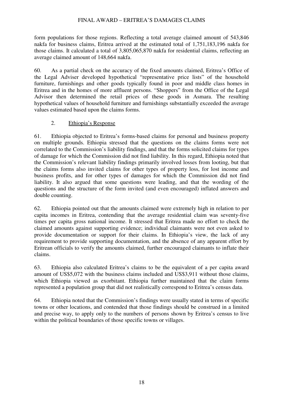form populations for those regions. Reflecting a total average claimed amount of 543,846 nakfa for business claims, Eritrea arrived at the estimated total of 1,751,183,196 nakfa for those claims. It calculated a total of 3,805,065,870 nakfa for residential claims, reflecting an average claimed amount of 148,664 nakfa.

60. As a partial check on the accuracy of the fixed amounts claimed, Eritrea's Office of the Legal Adviser developed hypothetical "representative price lists" of the household furniture, furnishings and other goods typically found in poor and middle class homes in Eritrea and in the homes of more affluent persons. "Shoppers" from the Office of the Legal Advisor then determined the retail prices of these goods in Asmara. The resulting hypothetical values of household furniture and furnishings substantially exceeded the average values estimated based upon the claims forms.

# 2. Ethiopia's Response

61. Ethiopia objected to Eritrea's forms-based claims for personal and business property on multiple grounds. Ethiopia stressed that the questions on the claims forms were not correlated to the Commission's liability findings, and that the forms solicited claims for types of damage for which the Commission did not find liability. In this regard, Ethiopia noted that the Commission's relevant liability findings primarily involved losses from looting, but that the claims forms also invited claims for other types of property loss, for lost income and business profits, and for other types of damages for which the Commission did not find liability. It also argued that some questions were leading, and that the wording of the questions and the structure of the form invited (and even encouraged) inflated answers and double counting.

62. Ethiopia pointed out that the amounts claimed were extremely high in relation to per capita incomes in Eritrea, contending that the average residential claim was seventy-five times per capita gross national income. It stressed that Eritrea made no effort to check the claimed amounts against supporting evidence; individual claimants were not even asked to provide documentation or support for their claims. In Ethiopia's view, the lack of any requirement to provide supporting documentation, and the absence of any apparent effort by Eritrean officials to verify the amounts claimed, further encouraged claimants to inflate their claims.

63. Ethiopia also calculated Eritrea's claims to be the equivalent of a per capita award amount of US\$5,072 with the business claims included and US\$3,911 without those claims, which Ethiopia viewed as exorbitant. Ethiopia further maintained that the claim forms represented a population group that did not realistically correspond to Eritrea's census data.

64. Ethiopia noted that the Commission's findings were usually stated in terms of specific towns or other locations, and contended that those findings should be construed in a limited and precise way, to apply only to the numbers of persons shown by Eritrea's census to live within the political boundaries of those specific towns or villages.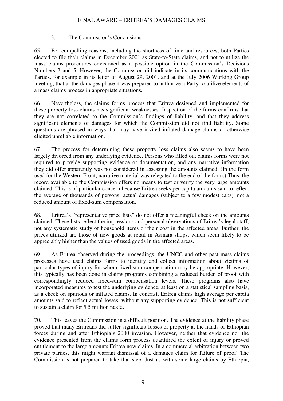# 3. The Commission's Conclusions

65. For compelling reasons, including the shortness of time and resources, both Parties elected to file their claims in December 2001 as State-to-State claims, and not to utilize the mass claims procedures envisioned as a possible option in the Commission's Decisions Numbers 2 and 5. However, the Commission did indicate in its communications with the Parties, for example in its letter of August 29, 2001, and at the July 2006 Working Group meeting, that at the damages phase it was prepared to authorize a Party to utilize elements of a mass claims process in appropriate situations.

66. Nevertheless, the claims forms process that Eritrea designed and implemented for these property loss claims has significant weaknesses. Inspection of the forms confirms that they are not correlated to the Commission's findings of liability, and that they address significant elements of damages for which the Commission did not find liability. Some questions are phrased in ways that may have invited inflated damage claims or otherwise elicited unreliable information.

67. The process for determining these property loss claims also seems to have been largely divorced from any underlying evidence. Persons who filled out claims forms were not required to provide supporting evidence or documentation, and any narrative information they did offer apparently was not considered in assessing the amounts claimed. (In the form used for the Western Front, narrative material was relegated to the end of the form.) Thus, the record available to the Commission offers no means to test or verify the very large amounts claimed. This is of particular concern because Eritrea seeks per capita amounts said to reflect the average of thousands of persons' actual damages (subject to a few modest caps), not a reduced amount of fixed-sum compensation.

68. Eritrea's "representative price lists" do not offer a meaningful check on the amounts claimed. These lists reflect the impressions and personal observations of Eritrea's legal staff, not any systematic study of household items or their cost in the affected areas. Further, the prices utilized are those of new goods at retail in Asmara shops, which seem likely to be appreciably higher than the values of used goods in the affected areas.

69. As Eritrea observed during the proceedings, the UNCC and other past mass claims processes have used claims forms to identify and collect information about victims of particular types of injury for whom fixed-sum compensation may be appropriate. However, this typically has been done in claims programs combining a reduced burden of proof with correspondingly reduced fixed-sum compensation levels. These programs also have incorporated measures to test the underlying evidence, at least on a statistical sampling basis, as a check on spurious or inflated claims. In contrast, Eritrea claims high average per capita amounts said to reflect actual losses, without any supporting evidence. This is not sufficient to sustain a claim for 5.5 million nakfa.

70. This leaves the Commission in a difficult position. The evidence at the liability phase proved that many Eritreans did suffer significant losses of property at the hands of Ethiopian forces during and after Ethiopia's 2000 invasion. However, neither that evidence nor the evidence presented from the claims form process quantified the extent of injury or proved entitlement to the large amounts Eritrea now claims. In a commercial arbitration between two private parties, this might warrant dismissal of a damages claim for failure of proof. The Commission is not prepared to take that step. Just as with some large claims by Ethiopia,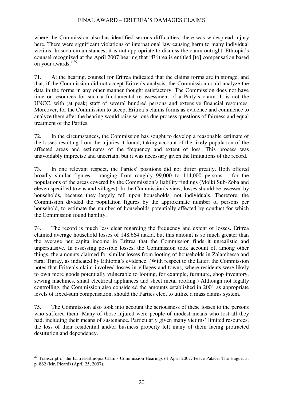where the Commission also has identified serious difficulties, there was widespread injury here. There were significant violations of international law causing harm to many individual victims. In such circumstances, it is not appropriate to dismiss the claim outright. Ethiopia's counsel recognized at the April 2007 hearing that "Eritrea is entitled [to] compensation based on your awards." 29

71. At the hearing, counsel for Eritrea indicated that the claims forms are in storage, and that, if the Commission did not accept Eritrea's analysis, the Commission could analyze the data in the forms in any other manner thought satisfactory. The Commission does not have time or resources for such a fundamental re-assessment of a Party's claim. It is not the UNCC, with (at peak) staff of several hundred persons and extensive financial resources. Moreover, for the Commission to accept Eritrea's claims forms as evidence and commence to analyze them after the hearing would raise serious due process questions of fairness and equal treatment of the Parties.

72. In the circumstances, the Commission has sought to develop a reasonable estimate of the losses resulting from the injuries it found, taking account of the likely population of the affected areas and estimates of the frequency and extent of loss. This process was unavoidably imprecise and uncertain, but it was necessary given the limitations of the record.

73. In one relevant respect, the Parties' positions did not differ greatly. Both offered broadly similar figures – ranging from roughly 99,000 to 114,000 persons – for the populations of the areas covered by the Commission's liability findings (Molki Sub-Zoba and eleven specified towns and villages). In the Commission's view, losses should be assessed by households, because they largely fell upon households, not individuals. Therefore, the Commission divided the population figures by the approximate number of persons per household, to estimate the number of households potentially affected by conduct for which the Commission found liability.

74. The record is much less clear regarding the frequency and extent of losses. Eritrea claimed average household losses of 148,664 nakfa, but this amount is so much greater than the average per capita income in Eritrea that the Commission finds it unrealistic and unpersuasive. In assessing possible losses, the Commission took account of, among other things, the amounts claimed for similar losses from looting of households in Zalambessa and rural Tigray, as indicated by Ethiopia's evidence. (With respect to the latter, the Commission notes that Eritrea's claim involved losses in villages and towns, where residents were likely to own more goods potentially vulnerable to looting, for example, furniture, shop inventory, sewing machines, small electrical appliances and sheet metal roofing.) Although not legally controlling, the Commission also considered the amounts established in 2001 as appropriate levels of fixed-sum compensation, should the Parties elect to utilize a mass claims system.

75. The Commission also took into account the seriousness of these losses to the persons who suffered them. Many of those injured were people of modest means who lost all they had, including their means of sustenance. Particularly given many victims' limited resources, the loss of their residential and/or business property left many of them facing protracted destitution and dependency.

<sup>&</sup>lt;sup>29</sup> Transcript of the Eritrea-Ethiopia Claims Commission Hearings of April 2007, Peace Palace, The Hague, at p. 862 (Mr. Picard) (April 25, 2007).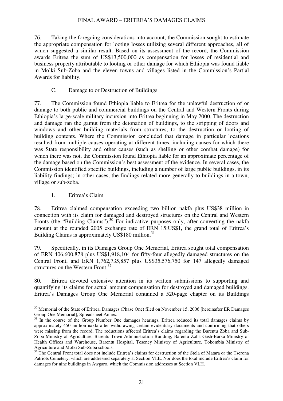76. Taking the foregoing considerations into account, the Commission sought to estimate the appropriate compensation for looting losses utilizing several different approaches, all of which suggested a similar result. Based on its assessment of the record, the Commission awards Eritrea the sum of US\$13,500,000 as compensation for losses of residential and business property attributable to looting or other damage for which Ethiopia was found liable in Molki Sub-Zoba and the eleven towns and villages listed in the Commission's Partial Awards for liability.

# C. Damage to or Destruction of Buildings

77. The Commission found Ethiopia liable to Eritrea for the unlawful destruction of or damage to both public and commercial buildings on the Central and Western Fronts during Ethiopia's large-scale military incursion into Eritrea beginning in May 2000. The destruction and damage ran the gamut from the detonation of buildings, to the stripping of doors and windows and other building materials from structures, to the destruction or looting of building contents. Where the Commission concluded that damage in particular locations resulted from multiple causes operating at different times, including causes for which there was State responsibility and other causes (such as shelling or other combat damage) for which there was not, the Commission found Ethiopia liable for an approximate percentage of the damage based on the Commission's best assessment of the evidence. In several cases, the Commission identified specific buildings, including a number of large public buildings, in its liability findings; in other cases, the findings related more generally to buildings in a town, village or sub-zoba.

# 1. Eritrea's Claim

78. Eritrea claimed compensation exceeding two billion nakfa plus US\$38 million in connection with its claim for damaged and destroyed structures on the Central and Western Fronts (the "Building Claims").<sup>30</sup> For indicative purposes only, after converting the nakfa amount at the rounded 2005 exchange rate of ERN 15:US\$1, the grand total of Eritrea's Building Claims is approximately US\$180 million.<sup>31</sup>

79. Specifically, in its Damages Group One Memorial, Eritrea sought total compensation of ERN 406,600,878 plus US\$1,918,104 for fifty-four allegedly damaged structures on the Central Front, and ERN 1,762,735,857 plus US\$35,576,750 for 147 allegedly damaged structures on the Western Front.<sup>32</sup>

80. Eritrea devoted extensive attention in its written submissions to supporting and quantifying its claims for actual amount compensation for destroyed and damaged buildings. Eritrea's Damages Group One Memorial contained a 520-page chapter on its Buildings

<sup>&</sup>lt;sup>30</sup> Memorial of the State of Eritrea, Damages (Phase One) filed on November 15, 2006 [hereinafter ER Damages Group One Memorial], Spreadsheet Annex.

<sup>&</sup>lt;sup>31</sup> In the course of the Group Number One damages hearings, Eritrea reduced its total damages claims by approximately 450 million nakfa after withdrawing certain evidentiary documents and confirming that others were missing from the record. The reductions affected Eritrea's claims regarding the Barentu Zoba and Sub-Zoba Ministry of Agriculture, Barentu Town Administration Building, Barentu Zoba Gash-Barka Ministry of Health Offices and Warehouse, Barentu Hospital, Teseney Ministry of Agriculture, Tokombia Ministry of Agriculture and Molki Sub-Zoba schools.

 $32$ <sup>25</sup>The Central Front total does not include Eritrea's claims for destruction of the Stela of Matara or the Tserona Patriots Cemetery, which are addressed separately at Section VI.E. Nor does the total include Eritrea's claim for damages for nine buildings in Awgaro, which the Commission addresses at Section VI.H.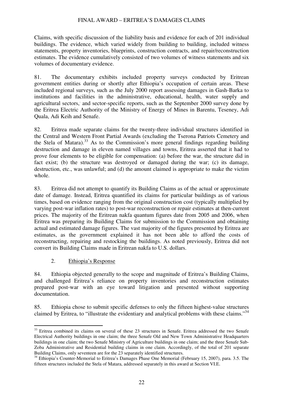Claims, with specific discussion of the liability basis and evidence for each of 201 individual buildings. The evidence, which varied widely from building to building, included witness statements, property inventories, blueprints, construction contracts, and repair/reconstruction estimates. The evidence cumulatively consisted of two volumes of witness statements and six volumes of documentary evidence.

81. The documentary exhibits included property surveys conducted by Eritrean government entities during or shortly after Ethiopia's occupation of certain areas. These included regional surveys, such as the July 2000 report assessing damages in Gash-Barka to institutions and facilities in the administrative, educational, health, water supply and agricultural sectors, and sector-specific reports, such as the September 2000 survey done by the Eritrea Electric Authority of the Ministry of Energy of Mines in Barentu, Teseney, Adi Quala, Adi Keih and Senafe.

82. Eritrea made separate claims for the twenty-three individual structures identified in the Central and Western Front Partial Awards (excluding the Tserona Patriots Cemetery and the Stela of Matara).<sup>33</sup> As to the Commission's more general findings regarding building destruction and damage in eleven named villages and towns, Eritrea asserted that it had to prove four elements to be eligible for compensation: (a) before the war, the structure did in fact exist; (b) the structure was destroyed or damaged during the war; (c) its damage, destruction, etc., was unlawful; and (d) the amount claimed is appropriate to make the victim whole.

83. Eritrea did not attempt to quantify its Building Claims as of the actual or approximate date of damage. Instead, Eritrea quantified its claims for particular buildings as of various times, based on evidence ranging from the original construction cost (typically multiplied by varying post-war inflation rates) to post-war reconstruction or repair estimates at then-current prices. The majority of the Eritrean nakfa quantum figures date from 2005 and 2006, when Eritrea was preparing its Building Claims for submission to the Commission and obtaining actual and estimated damage figures. The vast majority of the figures presented by Eritrea are estimates, as the government explained it has not been able to afford the costs of reconstructing, repairing and restocking the buildings. As noted previously, Eritrea did not convert its Building Claims made in Eritrean nakfa to U.S. dollars.

2. Ethiopia's Response

84. Ethiopia objected generally to the scope and magnitude of Eritrea's Building Claims, and challenged Eritrea's reliance on property inventories and reconstruction estimates prepared post-war with an eye toward litigation and presented without supporting documentation.

85. Ethiopia chose to submit specific defenses to only the fifteen highest-value structures claimed by Eritrea, to "illustrate the evidentiary and analytical problems with these claims."<sup>34</sup>

<sup>&</sup>lt;sup>33</sup> Eritrea combined its claims on several of these 23 structures in Senafe. Eritrea addressed the two Senafe Electrical Authority buildings in one claim; the three Senafe Old and New Town Administrative Headquarters buildings in one claim; the two Senafe Ministry of Agriculture buildings in one claim; and the three Senafe Sub-Zoba Administrative and Residential building claims in one claim. Accordingly, of the total of 201 separate Building Claims, only seventeen are for the 23 separately identified structures.

<sup>&</sup>lt;sup>34</sup> Ethiopia's Counter-Memorial to Eritrea's Damages Phase One Memorial (February 15, 2007), para. 3.5. The fifteen structures included the Stela of Matara, addressed separately in this award at Section VI.E.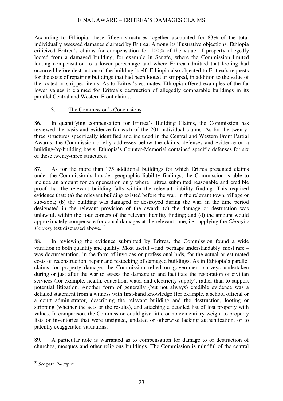According to Ethiopia, these fifteen structures together accounted for 83% of the total individually assessed damages claimed by Eritrea. Among its illustrative objections, Ethiopia criticized Eritrea's claims for compensation for 100% of the value of property allegedly looted from a damaged building, for example in Senafe, where the Commission limited looting compensation to a lower percentage and where Eritrea admitted that looting had occurred before destruction of the building itself. Ethiopia also objected to Eritrea's requests for the costs of repairing buildings that had been looted or stripped, in addition to the value of the looted or stripped items. As to Eritrea's estimates, Ethiopia offered examples of the far lower values it claimed for Eritrea's destruction of allegedly comparable buildings in its parallel Central and Western Front claims.

# 3. The Commission's Conclusions

86. In quantifying compensation for Eritrea's Building Claims, the Commission has reviewed the basis and evidence for each of the 201 individual claims. As for the twentythree structures specifically identified and included in the Central and Western Front Partial Awards, the Commission briefly addresses below the claims, defenses and evidence on a building-by-building basis. Ethiopia's Counter-Memorial contained specific defenses for six of these twenty-three structures.

87. As for the more than 175 additional buildings for which Eritrea presented claims under the Commission's broader geographic liability findings, the Commission is able to include an amount for compensation only where Eritrea submitted reasonable and credible proof that the relevant building falls within the relevant liability finding. This required evidence that: (a) the relevant building existed before the war, in the relevant town, village or sub-zoba; (b) the building was damaged or destroyed during the war, in the time period designated in the relevant provision of the award; (c) the damage or destruction was unlawful, within the four corners of the relevant liability finding; and (d) the amount would approximately compensate for actual damages at the relevant time, i.e., applying the *Chorzów Factory* test discussed above. 35

88. In reviewing the evidence submitted by Eritrea, the Commission found a wide variation in both quantity and quality. Most useful – and, perhaps understandably, most rare – was documentation, in the form of invoices or professional bids, for the actual or estimated costs of reconstruction, repair and restocking of damaged buildings. As in Ethiopia's parallel claims for property damage, the Commission relied on government surveys undertaken during or just after the war to assess the damage to and facilitate the restoration of civilian services (for example, health, education, water and electricity supply), rather than to support potential litigation. Another form of generally (but not always) credible evidence was a detailed statement from a witness with first-hand knowledge (for example, a school official or a court administrator) describing the relevant building and the destruction, looting or stripping (whether the acts or the results), and attaching a detailed list of lost property with values. In comparison, the Commission could give little or no evidentiary weight to property lists or inventories that were unsigned, undated or otherwise lacking authentication, or to patently exaggerated valuations.

89. A particular note is warranted as to compensation for damage to or destruction of churches, mosques and other religious buildings. The Commission is mindful of the central

<sup>35</sup> *See* para. 24 *supra*.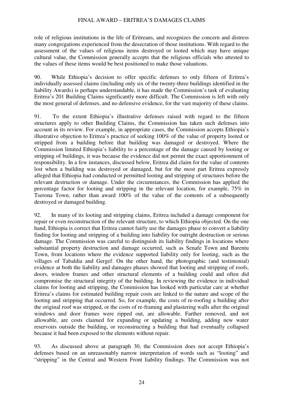role of religious institutions in the life of Eritreans, and recognizes the concern and distress many congregations experienced from the desecration of those institutions. With regard to the assessment of the values of religious items destroyed or looted which may have unique cultural value, the Commission generally accepts that the religious officials who attested to the values of these items would be best positioned to make those valuations.

90. While Ethiopia's decision to offer specific defenses to only fifteen of Eritrea's individually assessed claims (including only six of the twenty-three buildings identified in the liability Awards) is perhaps understandable, it has made the Commission's task of evaluating Eritrea's 201 Building Claims significantly more difficult. The Commission is left with only the most general of defenses, and no defensive evidence, for the vast majority of these claims.

91. To the extent Ethiopia's illustrative defenses raised with regard to the fifteen structures apply to other Building Claims, the Commission has taken such defenses into account in its review. For example, in appropriate cases, the Commission accepts Ethiopia's illustrative objection to Eritrea's practice of seeking 100% of the value of property looted or stripped from a building before that building was damaged or destroyed. Where the Commission limited Ethiopia's liability to a percentage of the damage caused by looting or stripping of buildings, it was because the evidence did not permit the exact apportionment of responsibility. In a few instances, discussed below, Eritrea did claim for the value of contents lost when a building was destroyed or damaged, but for the most part Eritrea expressly alleged that Ethiopia had conducted or permitted looting and stripping of structures before the relevant destruction or damage. Under the circumstances, the Commission has applied the percentage factor for looting and stripping in the relevant location, for example, 75% in Tserona Town, rather than award 100% of the value of the contents of a subsequently destroyed or damaged building.

92. In many of its looting and stripping claims, Eritrea included a damage component for repair or even reconstruction of the relevant structure, to which Ethiopia objected. On the one hand, Ethiopia is correct that Eritrea cannot fairly use the damages phase to convert a liability finding for looting and stripping of a building into liability for outright destruction or serious damage. The Commission was careful to distinguish its liability findings in locations where substantial property destruction and damage occurred, such as Senafe Town and Barentu Town, from locations where the evidence supported liability only for looting, such as the villages of Tabaldia and Gergef. On the other hand, the photographic (and testimonial) evidence at both the liability and damages phases showed that looting and stripping of roofs, doors, window frames and other structural elements of a building could and often did compromise the structural integrity of the building. In reviewing the evidence in individual claims for looting and stripping, the Commission has looked with particular care at whether Eritrea's claims for estimated building repair costs are linked to the nature and scope of the looting and stripping that occurred. So, for example, the costs of re-roofing a building after the original roof was stripped, or the costs of re-framing and plastering walls after the original windows and door frames were ripped out, are allowable. Farther removed, and not allowable, are costs claimed for expanding or updating a building, adding new water reservoirs outside the building, or reconstructing a building that had eventually collapsed because it had been exposed to the elements without repair.

93. As discussed above at paragraph 30, the Commission does not accept Ethiopia's defenses based on an unreasonably narrow interpretation of words such as "looting" and "stripping" in the Central and Western Front liability findings. The Commission was not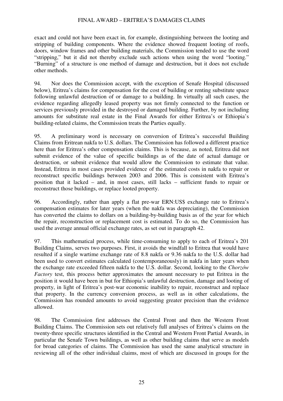exact and could not have been exact in, for example, distinguishing between the looting and stripping of building components. Where the evidence showed frequent looting of roofs, doors, window frames and other building materials, the Commission tended to use the word "stripping," but it did not thereby exclude such actions when using the word "looting." "Burning" of a structure is one method of damage and destruction, but it does not exclude other methods.

94. Nor does the Commission accept, with the exception of Senafe Hospital (discussed below), Eritrea's claims for compensation for the cost of building or renting substitute space following unlawful destruction of or damage to a building. In virtually all such cases, the evidence regarding allegedly leased property was not firmly connected to the function or services previously provided in the destroyed or damaged building. Further, by not including amounts for substitute real estate in the Final Awards for either Eritrea's or Ethiopia's building-related claims, the Commission treats the Parties equally.

95. A preliminary word is necessary on conversion of Eritrea's successful Building Claims from Eritrean nakfa to U.S. dollars. The Commission has followed a different practice here than for Eritrea's other compensation claims. This is because, as noted, Eritrea did not submit evidence of the value of specific buildings as of the date of actual damage or destruction, or submit evidence that would allow the Commission to estimate that value. Instead, Eritrea in most cases provided evidence of the estimated costs in nakfa to repair or reconstruct specific buildings between 2003 and 2006. This is consistent with Eritrea's position that it lacked – and, in most cases, still lacks – sufficient funds to repair or reconstruct those buildings, or replace looted property.

96. Accordingly, rather than apply a flat pre-war ERN:US\$ exchange rate to Eritrea's compensation estimates for later years (when the nakfa was depreciating), the Commission has converted the claims to dollars on a building-by-building basis as of the year for which the repair, reconstruction or replacement cost is estimated. To do so, the Commission has used the average annual official exchange rates, as set out in paragraph 42.

97. This mathematical process, while time-consuming to apply to each of Eritrea's 201 Building Claims, serves two purposes. First, it avoids the windfall to Eritrea that would have resulted if a single wartime exchange rate of 8.8 nakfa or 9.36 nakfa to the U.S. dollar had been used to convert estimates calculated (contemporaneously) in nakfa in later years when the exchange rate exceeded fifteen nakfa to the U.S. dollar. Second, looking to the *Chorzów Factory* test, this process better approximates the amount necessary to put Eritrea in the position it would have been in but for Ethiopia's unlawful destruction, damage and looting of property, in light of Eritrea's post-war economic inability to repair, reconstruct and replace that property. In the currency conversion process, as well as in other calculations, the Commission has rounded amounts to avoid suggesting greater precision than the evidence allowed.

98. The Commission first addresses the Central Front and then the Western Front Building Claims. The Commission sets out relatively full analyses of Eritrea's claims on the twenty-three specific structures identified in the Central and Western Front Partial Awards, in particular the Senafe Town buildings, as well as other building claims that serve as models for broad categories of claims. The Commission has used the same analytical structure in reviewing all of the other individual claims, most of which are discussed in groups for the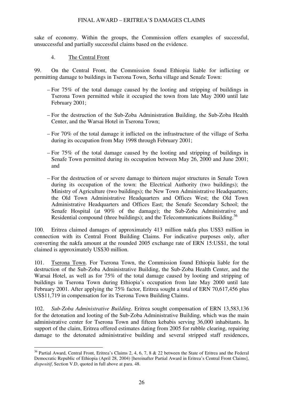sake of economy. Within the groups, the Commission offers examples of successful, unsuccessful and partially successful claims based on the evidence.

4. The Central Front

99. On the Central Front, the Commission found Ethiopia liable for inflicting or permitting damage to buildings in Tserona Town, Serha village and Senafe Town:

- For 75% of the total damage caused by the looting and stripping of buildings in Tserona Town permitted while it occupied the town from late May 2000 until late February 2001;
- For the destruction of the Sub-Zoba Administration Building, the Sub-Zoba Health Center, and the Warsai Hotel in Tserona Town;
- For 70% of the total damage it inflicted on the infrastructure of the village of Serha during its occupation from May 1998 through February 2001;
- For 75% of the total damage caused by the looting and stripping of buildings in Senafe Town permitted during its occupation between May 26, 2000 and June 2001; and
- For the destruction of or severe damage to thirteen major structures in Senafe Town during its occupation of the town: the Electrical Authority (two buildings); the Ministry of Agriculture (two buildings); the New Town Administrative Headquarters; the Old Town Administrative Headquarters and Offices West; the Old Town Administrative Headquarters and Offices East; the Senafe Secondary School; the Senafe Hospital (at 90% of the damage); the Sub-Zoba Administrative and Residential compound (three buildings); and the Telecommunications Building.<sup>36</sup>

100. Eritrea claimed damages of approximately 413 million nakfa plus US\$3 million in connection with its Central Front Building Claims. For indicative purposes only, after converting the nakfa amount at the rounded 2005 exchange rate of ERN 15:US\$1, the total claimed is approximately US\$30 million.

101. Tserona Town. For Tserona Town, the Commission found Ethiopia liable for the destruction of the Sub-Zoba Administrative Building, the Sub-Zoba Health Center, and the Warsai Hotel, as well as for 75% of the total damage caused by looting and stripping of buildings in Tserona Town during Ethiopia's occupation from late May 2000 until late February 2001. After applying the 75% factor, Eritrea sought a total of ERN 70,617,456 plus US\$11,719 in compensation for its Tserona Town Building Claims.

102. *Sub-Zoba Administrative Building*. Eritrea sought compensation of ERN 13,583,136 for the detonation and looting of the Sub-Zoba Administrative Building, which was the main administrative center for Tserona Town and fifteen kebabis serving 36,000 inhabitants. In support of the claim, Eritrea offered estimates dating from 2005 for rubble clearing, repairing damage to the detonated administrative building and several stripped staff residences,

<sup>&</sup>lt;sup>36</sup> Partial Award, Central Front, Eritrea's Claims 2, 4, 6, 7, 8 & 22 between the State of Eritrea and the Federal Democratic Republic of Ethiopia (April 28, 2004) [hereinafter Partial Award in Eritrea's Central Front Claims], *dispositif*, Section V.D, quoted in full above at para. 48.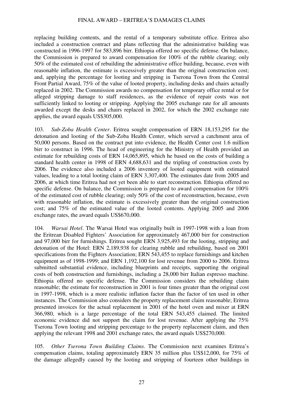replacing building contents, and the rental of a temporary substitute office. Eritrea also included a construction contract and plans reflecting that the administrative building was constructed in 1996-1997 for 583,896 birr. Ethiopia offered no specific defense. On balance, the Commission is prepared to award compensation for 100% of the rubble clearing; only 50% of the estimated cost of rebuilding the administrative office building, because, even with reasonable inflation, the estimate is excessively greater than the original construction cost; and, applying the percentage for looting and stripping in Tserona Town from the Central Front Partial Award, 75% of the value of looted property, including desks and chairs actually replaced in 2002. The Commission awards no compensation for temporary office rental or for alleged stripping damage to staff residences, as the evidence of repair costs was not sufficiently linked to looting or stripping. Applying the 2005 exchange rate for all amounts awarded except the desks and chairs replaced in 2002, for which the 2002 exchange rate applies, the award equals US\$305,000.

103. *Sub-Zoba Health Center*. Eritrea sought compensation of ERN 18,153,295 for the detonation and looting of the Sub-Zoba Health Center, which served a catchment area of 50,000 persons. Based on the contract put into evidence, the Health Center cost 1.6 million birr to construct in 1996. The head of engineering for the Ministry of Health provided an estimate for rebuilding costs of ERN 14,065,895, which he based on the costs of building a standard health center in 1998 of ERN 4,688,631 and the tripling of construction costs by 2006. The evidence also included a 2006 inventory of looted equipment with estimated values, leading to a total looting claim of ERN 3,307,400. The estimates date from 2005 and 2006, at which time Eritrea had not yet been able to start reconstruction. Ethiopia offered no specific defense. On balance, the Commission is prepared to award compensation for 100% of the estimated cost of rubble clearing; only 50% of the cost of reconstruction, because, even with reasonable inflation, the estimate is excessively greater than the original construction cost; and 75% of the estimated value of the looted contents. Applying 2005 and 2006 exchange rates, the award equals US\$670,000.

104. *Warsai Hotel*. The Warsai Hotel was originally built in 1997-1998 with a loan from the Eritrean Disabled Fighters' Association for approximately 467,000 birr for construction and 97,000 birr for furnishings. Eritrea sought ERN 3,925,493 for the looting, stripping and detonation of the Hotel: ERN 2,189,938 for clearing rubble and rebuilding, based on 2001 specifications from the Fighters Association; ERN 543,455 to replace furnishings and kitchen equipment as of 1998-1999; and ERN 1,192,100 for lost revenue from 2000 to 2006. Eritrea submitted substantial evidence, including blueprints and receipts, supporting the original costs of both construction and furnishings, including a 28,000 birr Italian espresso machine. Ethiopia offered no specific defense. The Commission considers the rebuilding claim reasonable; the estimate for reconstruction in 2001 is four times greater than the original cost in 1997-1998, which is a more realistic inflation factor than the factor of ten used in other instances. The Commission also considers the property replacement claim reasonable; Eritrea presented invoices for the actual replacement in 2001 of the hotel oven and mixer at ERN 366,980, which is a large percentage of the total ERN 543,455 claimed. The limited economic evidence did not support the claim for lost revenue. After applying the 75% Tserona Town looting and stripping percentage to the property replacement claim, and then applying the relevant 1998 and 2001 exchange rates, the award equals US\$270,000.

105. *Other Tserona Town Building Claims*. The Commission next examines Eritrea's compensation claims, totaling approximately ERN 35 million plus US\$12,000, for 75% of the damage allegedly caused by the looting and stripping of fourteen other buildings in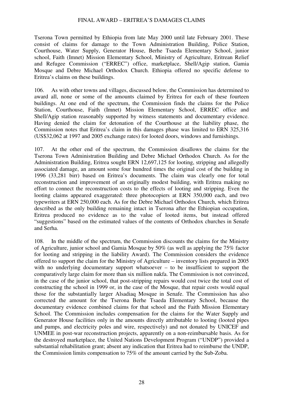Tserona Town permitted by Ethiopia from late May 2000 until late February 2001. These consist of claims for damage to the Town Administration Building, Police Station, Courthouse, Water Supply, Generator House, Berhe Tsaeda Elementary School, junior school, Faith (Imnet) Mission Elementary School, Ministry of Agriculture, Eritrean Relief and Refugee Commission ("ERREC") office, marketplace, Shell/Agip station, Gamia Mosque and Debre Michael Orthodox Church. Ethiopia offered no specific defense to Eritrea's claims on these buildings.

106. As with other towns and villages, discussed below, the Commission has determined to award all, none or some of the amounts claimed by Eritrea for each of these fourteen buildings. At one end of the spectrum, the Commission finds the claims for the Police Station, Courthouse, Faith (Imnet) Mission Elementary School, ERREC office and Shell/Agip station reasonably supported by witness statements and documentary evidence. Having denied the claim for detonation of the Courthouse at the liability phase, the Commission notes that Eritrea's claim in this damages phase was limited to ERN 325,316 (US\$32,062 at 1997 and 2005 exchange rates) for looted doors, windows and furnishings.

107. At the other end of the spectrum, the Commission disallows the claims for the Tserona Town Administration Building and Debre Michael Orthodox Church. As for the Administration Building, Eritrea sought ERN 12,697,125 for looting, stripping and allegedly associated damage, an amount some four hundred times the original cost of the building in 1996 (33,281 birr) based on Eritrea's documents. The claim was clearly one for total reconstruction and improvement of an originally modest building, with Eritrea making no effort to connect the reconstruction costs to the effects of looting and stripping. Even the looting claims appeared exaggerated: three photocopiers at ERN 350,000 each, and two typewriters at ERN 250,000 each. As for the Debre Michael Orthodox Church, which Eritrea described as the only building remaining intact in Tserona after the Ethiopian occupation, Eritrea produced no evidence as to the value of looted items, but instead offered "suggestions" based on the estimated values of the contents of Orthodox churches in Senafe and Serha.

108. In the middle of the spectrum, the Commission discounts the claims for the Ministry of Agriculture, junior school and Gamia Mosque by 50% (as well as applying the 75% factor for looting and stripping in the liability Award). The Commission considers the evidence offered to support the claim for the Ministry of Agriculture – inventory lists prepared in 2005 with no underlying documentary support whatsoever – to be insufficient to support the comparatively large claim for more than six million nakfa. The Commission is not convinced, in the case of the junior school, that post-stripping repairs would cost twice the total cost of constructing the school in 1999 or, in the case of the Mosque, that repair costs would equal those for the substantially larger Alsadiaq Mosque in Senafe. The Commission has also corrected the amount for the Tserona Berhe Tsaeda Elementary School, because the documentary evidence combined claims for that school and the Faith Mission Elementary School. The Commission includes compensation for the claims for the Water Supply and Generator House facilities only in the amounts directly attributable to looting (looted pipes and pumps, and electricity poles and wire, respectively) and not donated by UNICEF and UNMEE in post-war reconstruction projects, apparently on a non-reimbursable basis. As for the destroyed marketplace, the United Nations Development Program ("UNDP") provided a substantial rehabilitation grant; absent any indication that Eritrea had to reimburse the UNDP, the Commission limits compensation to 75% of the amount carried by the Sub-Zoba.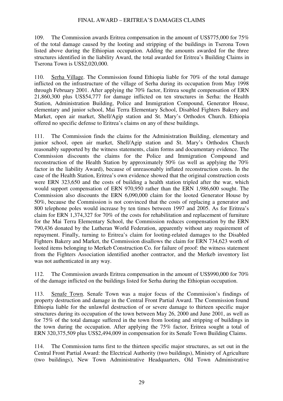109. The Commission awards Eritrea compensation in the amount of US\$775,000 for 75% of the total damage caused by the looting and stripping of the buildings in Tserona Town listed above during the Ethiopian occupation. Adding the amounts awarded for the three structures identified in the liability Award, the total awarded for Eritrea's Building Claims in Tserona Town is US\$2,020,000.

110. Serha Village. The Commission found Ethiopia liable for 70% of the total damage inflicted on the infrastructure of the village of Serha during its occupation from May 1998 through February 2001. After applying the 70% factor, Eritrea sought compensation of ERN 21,860,300 plus US\$54,777 for damage inflicted on ten structures in Serha: the Health Station, Administration Building, Police and Immigration Compound, Generator House, elementary and junior school, Mai Terra Elementary School, Disabled Fighters Bakery and Market, open air market, Shell/Agip station and St. Mary's Orthodox Church. Ethiopia offered no specific defense to Eritrea's claims on any of these buildings.

111. The Commission finds the claims for the Administration Building, elementary and junior school, open air market, Shell/Agip station and St. Mary's Orthodox Church reasonably supported by the witness statements, claim forms and documentary evidence. The Commission discounts the claims for the Police and Immigration Compound and reconstruction of the Health Station by approximately 50% (as well as applying the 70% factor in the liability Award), because of unreasonably inflated reconstruction costs. In the case of the Health Station, Eritrea's own evidence showed that the original construction costs were ERN 323,650 and the costs of building a health station tripled after the war, which would support compensation of ERN 970,950 rather than the ERN 1,986,600 sought. The Commission also discounts the ERN 6,090,000 claim for the looted Generator House by 50%, because the Commission is not convinced that the costs of replacing a generator and 800 telephone poles would increase by ten times between 1997 and 2005. As for Eritrea's claim for ERN 1,374,327 for 70% of the costs for rehabilitation and replacement of furniture for the Mai Terra Elementary School, the Commission reduces compensation by the ERN 790,436 donated by the Lutheran World Federation, apparently without any requirement of repayment. Finally, turning to Eritrea's claim for looting-related damages to the Disabled Fighters Bakery and Market, the Commission disallows the claim for ERN 734,623 worth of looted items belonging to Merkeb Construction Co. for failure of proof: the witness statement from the Fighters Association identified another contractor, and the Merkeb inventory list was not authenticated in any way.

112. The Commission awards Eritrea compensation in the amount of US\$990,000 for 70% of the damage inflicted on the buildings listed for Serha during the Ethiopian occupation.

113. Senafe Town. Senafe Town was a major focus of the Commission's findings of property destruction and damage in the Central Front Partial Award. The Commission found Ethiopia liable for the unlawful destruction of or severe damage to thirteen specific major structures during its occupation of the town between May 26, 2000 and June 2001, as well as for 75% of the total damage suffered in the town from looting and stripping of buildings in the town during the occupation. After applying the 75% factor, Eritrea sought a total of ERN 320,375,509 plus US\$2,494,009 in compensation for its Senafe Town Building Claims.

114. The Commission turns first to the thirteen specific major structures, as set out in the Central Front Partial Award: the Electrical Authority (two buildings), Ministry of Agriculture (two buildings), New Town Administrative Headquarters, Old Town Administrative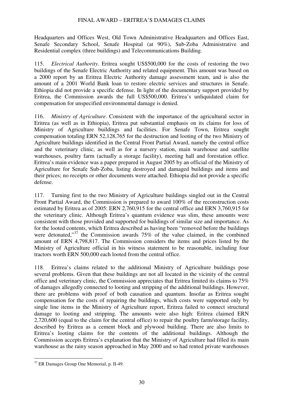Headquarters and Offices West, Old Town Administrative Headquarters and Offices East, Senafe Secondary School, Senafe Hospital (at 90%), Sub-Zoba Administrative and Residential complex (three buildings) and Telecommunications Building.

115. *Electrical Authority*. Eritrea sought US\$500,000 for the costs of restoring the two buildings of the Senafe Electric Authority and related equipment. This amount was based on a 2000 report by an Eritrea Electric Authority damage assessment team, and is also the amount of a 2001 World Bank loan to restore electric services and structures in Senafe. Ethiopia did not provide a specific defense. In light of the documentary support provided by Eritrea, the Commission awards the full US\$500,000. Eritrea's unliquidated claim for compensation for unspecified environmental damage is denied.

116. *Ministry of Agriculture*. Consistent with the importance of the agricultural sector in Eritrea (as well as in Ethiopia), Eritrea put substantial emphasis on its claims for loss of Ministry of Agriculture buildings and facilities. For Senafe Town, Eritrea sought compensation totaling ERN 52,128,765 for the destruction and looting of the two Ministry of Agriculture buildings identified in the Central Front Partial Award, namely the central office and the veterinary clinic, as well as for a nursery station, main warehouse and satellite warehouses, poultry farm (actually a storage facility), meeting hall and forestation office. Eritrea's main evidence was a paper prepared in August 2005 by an official of the Ministry of Agriculture for Senafe Sub-Zoba, listing destroyed and damaged buildings and items and their prices; no receipts or other documents were attached. Ethiopia did not provide a specific defense.

117. Turning first to the two Ministry of Agriculture buildings singled out in the Central Front Partial Award, the Commission is prepared to award 100% of the reconstruction costs estimated by Eritrea as of 2005: ERN 2,760,915 for the central office and ERN 3,760,915 for the veterinary clinic. Although Eritrea's quantum evidence was slim, these amounts were consistent with those provided and supported for buildings of similar size and importance. As for the looted contents, which Eritrea described as having been "removed before the buildings were detonated,"<sup>37</sup> the Commission awards  $75\%$  of the value claimed, in the combined amount of ERN 4,798,817. The Commission considers the items and prices listed by the Ministry of Agriculture official in his witness statement to be reasonable, including four tractors worth ERN 500,000 each looted from the central office.

118. Eritrea's claims related to the additional Ministry of Agriculture buildings pose several problems. Given that these buildings are not all located in the vicinity of the central office and veterinary clinic, the Commission appreciates that Eritrea limited its claims to 75% of damages allegedly connected to looting and stripping of the additional buildings. However, there are problems with proof of both causation and quantum. Insofar as Eritrea sought compensation for the costs of repairing the buildings, which costs were supported only by single line items in the Ministry of Agriculture report, Eritrea failed to connect structural damage to looting and stripping. The amounts were also high: Eritrea claimed ERN 2,720,600 (equal to the claim for the central office) to repair the poultry farm/storage facility, described by Eritrea as a cement block and plywood building. There are also limits to Eritrea's looting claims for the contents of the additional buildings. Although the Commission accepts Eritrea's explanation that the Ministry of Agriculture had filled its main warehouse as the rainy season approached in May 2000 and so had rented private warehouses

<sup>37</sup> ER Damages Group One Memorial, p. II-49.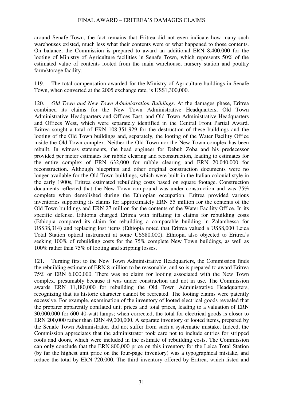around Senafe Town, the fact remains that Eritrea did not even indicate how many such warehouses existed, much less what their contents were or what happened to those contents. On balance, the Commission is prepared to award an additional ERN 8,400,000 for the looting of Ministry of Agriculture facilities in Senafe Town, which represents 50% of the estimated value of contents looted from the main warehouse, nursery station and poultry farm/storage facility.

119. The total compensation awarded for the Ministry of Agriculture buildings in Senafe Town, when converted at the 2005 exchange rate, is US\$1,300,000.

120. *Old Town and New Town Administration Buildings*. At the damages phase, Eritrea combined its claims for the New Town Administrative Headquarters, Old Town Administrative Headquarters and Offices East, and Old Town Administrative Headquarters and Offices West, which were separately identified in the Central Front Partial Award. Eritrea sought a total of ERN 108,351,929 for the destruction of these buildings and the looting of the Old Town buildings and, separately, the looting of the Water Facility Office inside the Old Town complex. Neither the Old Town nor the New Town complex has been rebuilt. In witness statements, the head engineer for Debub Zoba and his predecessor provided per meter estimates for rubble clearing and reconstruction, leading to estimates for the entire complex of ERN 632,000 for rubble clearing and ERN 20,040,000 for reconstruction. Although blueprints and other original construction documents were no longer available for the Old Town buildings, which were built in the Italian colonial style in the early 1900s, Eritrea estimated rebuilding costs based on square footage. Construction documents reflected that the New Town compound was under construction and was 75% complete when demolished during the Ethiopian occupation. Eritrea provided various inventories supporting its claims for approximately ERN 55 million for the contents of the Old Town buildings and ERN 27 million for the contents of the Water Facility Office. In its specific defense, Ethiopia charged Eritrea with inflating its claims for rebuilding costs (Ethiopia compared its claim for rebuilding a comparable building in Zalambessa for US\$38,314) and replacing lost items (Ethiopia noted that Eritrea valued a US\$8,000 Leica Total Station optical instrument at some US\$80,000). Ethiopia also objected to Eritrea's seeking 100% of rebuilding costs for the 75% complete New Town buildings, as well as 100% rather than 75% of looting and stripping losses.

121. Turning first to the New Town Administrative Headquarters, the Commission finds the rebuilding estimate of ERN 8 million to be reasonable, and so is prepared to award Eritrea 75% or ERN 6,000,000. There was no claim for looting associated with the New Town complex, presumably because it was under construction and not in use. The Commission awards ERN 11,180,000 for rebuilding the Old Town Administrative Headquarters, recognizing that its historic character cannot be recreated. The looting claims were patently excessive. For example, examination of the inventory of looted electrical goods revealed that the preparer apparently conflated unit prices and total prices, leading to a valuation of ERN 30,000,000 for 600 40-watt lamps; when corrected, the total for electrical goods is closer to ERN 200,000 rather than ERN 49,000,000. A separate inventory of looted items, prepared by the Senafe Town Administrator, did not suffer from such a systematic mistake. Indeed, the Commission appreciates that the administrator took care not to include entries for stripped roofs and doors, which were included in the estimate of rebuilding costs. The Commission can only conclude that the ERN 800,000 price on this inventory for the Leica Total Station (by far the highest unit price on the four-page inventory) was a typographical mistake, and reduce the total by ERN 720,000. The third inventory offered by Eritrea, which listed and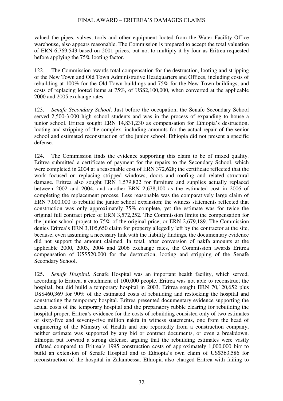valued the pipes, valves, tools and other equipment looted from the Water Facility Office warehouse, also appears reasonable. The Commission is prepared to accept the total valuation of ERN 6,769,543 based on 2001 prices, but not to multiply it by four as Eritrea requested before applying the 75% looting factor.

122. The Commission awards total compensation for the destruction, looting and stripping of the New Town and Old Town Administrative Headquarters and Offices, including costs of rebuilding at 100% for the Old Town buildings and 75% for the New Town buildings, and costs of replacing looted items at 75%, of US\$2,100,000, when converted at the applicable 2000 and 2005 exchange rates.

123. *Senafe Secondary School*. Just before the occupation, the Senafe Secondary School served 2,500-3,000 high school students and was in the process of expanding to house a junior school. Eritrea sought ERN 14,831,230 as compensation for Ethiopia's destruction, looting and stripping of the complex, including amounts for the actual repair of the senior school and estimated reconstruction of the junior school. Ethiopia did not present a specific defense.

124. The Commission finds the evidence supporting this claim to be of mixed quality. Eritrea submitted a certificate of payment for the repairs to the Secondary School, which were completed in 2004 at a reasonable cost of ERN 372,628; the certificate reflected that the work focused on replacing stripped windows, doors and roofing and related structural damage. Eritrea also sought ERN 1,579,822 for furniture and supplies actually replaced between 2002 and 2004, and another ERN 2,678,100 as the estimated cost in 2006 of completing the replacement process. Less reasonable was the comparatively large claim of ERN 7,000,000 to rebuild the junior school expansion; the witness statements reflected that construction was only approximately 75% complete, yet the estimate was for twice the original full contract price of ERN 3,572,252. The Commission limits the compensation for the junior school project to 75% of the original price, or ERN 2,679,189. The Commission denies Eritrea's ERN 3,105,650 claim for property allegedly left by the contractor at the site, because, even assuming a necessary link with the liability findings, the documentary evidence did not support the amount claimed. In total, after conversion of nakfa amounts at the applicable 2000, 2003, 2004 and 2006 exchange rates, the Commission awards Eritrea compensation of US\$520,000 for the destruction, looting and stripping of the Senafe Secondary School.

125. *Senafe Hospital*. Senafe Hospital was an important health facility, which served, according to Eritrea, a catchment of 100,000 people. Eritrea was not able to reconstruct the hospital, but did build a temporary hospital in 2003. Eritrea sought ERN 70,120,652 plus US\$460,369 for 90% of the estimated costs of rebuilding and restocking the hospital and constructing the temporary hospital. Eritrea presented documentary evidence supporting the actual costs of the temporary hospital and the preparatory rubble clearing for rebuilding the hospital proper. Eritrea's evidence for the costs of rebuilding consisted only of two estimates of sixty-five and seventy-five million nakfa in witness statements, one from the head of engineering of the Ministry of Health and one reportedly from a construction company; neither estimate was supported by any bid or contract documents, or even a breakdown. Ethiopia put forward a strong defense, arguing that the rebuilding estimates were vastly inflated compared to Eritrea's 1995 construction costs of approximately 1,000,000 birr to build an extension of Senafe Hospital and to Ethiopia's own claim of US\$363,586 for reconstruction of the hospital in Zalambessa. Ethiopia also charged Eritrea with failing to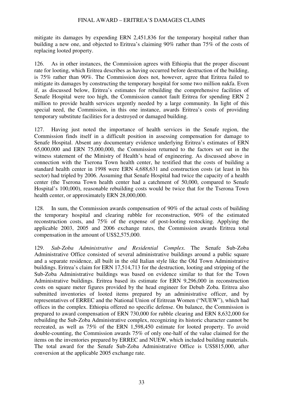mitigate its damages by expending ERN 2,451,836 for the temporary hospital rather than building a new one, and objected to Eritrea's claiming 90% rather than 75% of the costs of replacing looted property.

126. As in other instances, the Commission agrees with Ethiopia that the proper discount rate for looting, which Eritrea describes as having occurred before destruction of the building, is 75% rather than 90%. The Commission does not, however, agree that Eritrea failed to mitigate its damages by constructing the temporary hospital for some two million nakfa. Even if, as discussed below, Eritrea's estimates for rebuilding the comprehensive facilities of Senafe Hospital were too high, the Commission cannot fault Eritrea for spending ERN 2 million to provide health services urgently needed by a large community. In light of this special need, the Commission, in this one instance, awards Eritrea's costs of providing temporary substitute facilities for a destroyed or damaged building.

127. Having just noted the importance of health services in the Senafe region, the Commission finds itself in a difficult position in assessing compensation for damage to Senafe Hospital. Absent any documentary evidence underlying Eritrea's estimates of ERN 65,000,000 and ERN 75,000,000, the Commission returned to the factors set out in the witness statement of the Ministry of Health's head of engineering. As discussed above in connection with the Tserona Town health center, he testified that the costs of building a standard health center in 1998 were ERN 4,688,631 and construction costs (at least in his sector) had tripled by 2006. Assuming that Senafe Hospital had twice the capacity of a health center (the Tserona Town health center had a catchment of 50,000, compared to Senafe Hospital's 100,000), reasonable rebuilding costs would be twice that for the Tserona Town health center, or approximately ERN 28,000,000.

128. In sum, the Commission awards compensation of 90% of the actual costs of building the temporary hospital and clearing rubble for reconstruction, 90% of the estimated reconstruction costs, and 75% of the expense of post-looting restocking. Applying the applicable 2003, 2005 and 2006 exchange rates, the Commission awards Eritrea total compensation in the amount of US\$2,575,000.

129. *Sub-Zoba Administrative and Residential Complex*. The Senafe Sub-Zoba Administrative Office consisted of several administrative buildings around a public square and a separate residence, all built in the old Italian style like the Old Town Administrative buildings. Eritrea's claim for ERN 17,514,713 for the destruction, looting and stripping of the Sub-Zoba Administrative buildings was based on evidence similar to that for the Town Administrative buildings. Eritrea based its estimate for ERN 9,296,000 in reconstruction costs on square meter figures provided by the head engineer for Debub Zoba. Eritrea also submitted inventories of looted items prepared by an administrative officer, and by representatives of ERREC and the National Union of Eritrean Women ("NUEW"), which had offices in the complex. Ethiopia offered no specific defense. On balance, the Commission is prepared to award compensation of ERN 730,000 for rubble clearing and ERN 8,632,000 for rebuilding the Sub-Zoba Administrative complex, recognizing its historic character cannot be recreated, as well as 75% of the ERN 1,598,450 estimate for looted property. To avoid double-counting, the Commission awards 75% of only one-half of the value claimed for the items on the inventories prepared by ERREC and NUEW, which included building materials. The total award for the Senafe Sub-Zoba Administrative Office is US\$815,000, after conversion at the applicable 2005 exchange rate.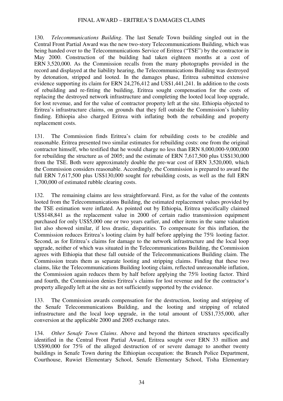130. *Telecommunications Building*. The last Senafe Town building singled out in the Central Front Partial Award was the new two-story Telecommunications Building, which was being handed over to the Telecommunications Service of Eritrea ("TSE") by the contractor in May 2000. Construction of the building had taken eighteen months at a cost of ERN 3,520,000. As the Commission recalls from the many photographs provided in the record and displayed at the liability hearing, the Telecommunications Building was destroyed by detonation, stripped and looted. In the damages phase, Eritrea submitted extensive evidence supporting its claim for ERN 24,276,412 and US\$1,441,241. In addition to the costs of rebuilding and re-fitting the building, Eritrea sought compensation for the costs of replacing the destroyed network infrastructure and completing the looted local loop upgrade, for lost revenue, and for the value of contractor property left at the site. Ethiopia objected to Eritrea's infrastructure claims, on grounds that they fell outside the Commission's liability finding. Ethiopia also charged Eritrea with inflating both the rebuilding and property replacement costs.

131. The Commission finds Eritrea's claim for rebuilding costs to be credible and reasonable. Eritrea presented two similar estimates for rebuilding costs: one from the original contractor himself, who testified that he would charge no less than ERN 8,000,000-9,000,000 for rebuilding the structure as of 2005; and the estimate of ERN 7,617,500 plus US\$130,000 from the TSE. Both were approximately double the pre-war cost of ERN 3,520,000, which the Commission considers reasonable. Accordingly, the Commission is prepared to award the full ERN 7,617,500 plus US\$130,000 sought for rebuilding costs, as well as the full ERN 1,700,000 of estimated rubble clearing costs.

132. The remaining claims are less straightforward. First, as for the value of the contents looted from the Telecommunications Building, the estimated replacement values provided by the TSE estimation were inflated. As pointed out by Ethiopia, Eritrea specifically claimed US\$148,841 as the replacement value in 2000 of certain radio transmission equipment purchased for only US\$5,000 one or two years earlier, and other items in the same valuation list also showed similar, if less drastic, disparities. To compensate for this inflation, the Commission reduces Eritrea's looting claim by half before applying the 75% looting factor. Second, as for Eritrea's claims for damage to the network infrastructure and the local loop upgrade, neither of which was situated in the Telecommunications Building, the Commission agrees with Ethiopia that these fall outside of the Telecommunications Building claim. The Commission treats them as separate looting and stripping claims. Finding that these two claims, like the Telecommunications Building looting claim, reflected unreasonable inflation, the Commission again reduces them by half before applying the 75% looting factor. Third and fourth, the Commission denies Eritrea's claims for lost revenue and for the contractor's property allegedly left at the site as not sufficiently supported by the evidence.

133. The Commission awards compensation for the destruction, looting and stripping of the Senafe Telecommunications Building, and the looting and stripping of related infrastructure and the local loop upgrade, in the total amount of US\$1,735,000, after conversion at the applicable 2000 and 2005 exchange rates.

134. *Other Senafe Town Claims*. Above and beyond the thirteen structures specifically identified in the Central Front Partial Award, Eritrea sought over ERN 33 million and US\$90,000 for 75% of the alleged destruction of or severe damage to another twenty buildings in Senafe Town during the Ethiopian occupation: the Branch Police Department, Courthouse, Ruwiet Elementary School, Senafe Elementary School, Tisha Elementary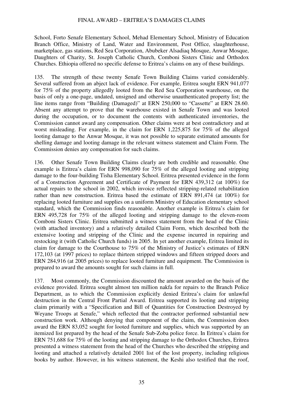School, Forto Senafe Elementary School, Mehad Elementary School, Ministry of Education Branch Office, Ministry of Land, Water and Environment, Post Office, slaughterhouse, marketplace, gas stations, Red Sea Corporation, Abubeker Alsadiaq Mosque, Anwar Mosque, Daughters of Charity, St. Joseph Catholic Church, Comboni Sisters Clinic and Orthodox Churches. Ethiopia offered no specific defense to Eritrea's claims on any of these buildings.

135. The strength of these twenty Senafe Town Building Claims varied considerably. Several suffered from an abject lack of evidence. For example, Eritrea sought ERN 941,077 for 75% of the property allegedly looted from the Red Sea Corporation warehouse, on the basis of only a one-page, undated, unsigned and otherwise unauthenticated property list; the line items range from "Building (Damaged)" at ERN 250,000 to "Cassette" at ERN 28.60. Absent any attempt to prove that the warehouse existed in Senafe Town and was looted during the occupation, or to document the contents with authenticated inventories, the Commission cannot award any compensation. Other claims were at best contradictory and at worst misleading. For example, in the claim for ERN 1,225,875 for 75% of the alleged looting damage to the Anwar Mosque, it was not possible to separate estimated amounts for shelling damage and looting damage in the relevant witness statement and Claim Form. The Commission denies any compensation for such claims.

136. Other Senafe Town Building Claims clearly are both credible and reasonable. One example is Eritrea's claim for ERN 998,090 for 75% of the alleged looting and stripping damage to the four-building Tisha Elementary School. Eritrea presented evidence in the form of a Construction Agreement and Certificate of Payment for ERN 439,312 (at 100%) for actual repairs to the school in 2002, which invoice reflected stripping-related rehabilitation rather than new construction. Eritrea based the estimate of ERN 891,474 (at 100%) for replacing looted furniture and supplies on a uniform Ministry of Education elementary school standard, which the Commission finds reasonable. Another example is Eritrea's claim for ERN 495,728 for 75% of the alleged looting and stripping damage to the eleven-room Comboni Sisters Clinic. Eritrea submitted a witness statement from the head of the Clinic (with attached inventory) and a relatively detailed Claim Form, which described both the extensive looting and stripping of the Clinic and the expense incurred in repairing and restocking it (with Catholic Church funds) in 2005. In yet another example, Eritrea limited its claim for damage to the Courthouse to 75% of the Ministry of Justice's estimates of ERN 172,103 (at 1997 prices) to replace thirteen stripped windows and fifteen stripped doors and ERN 284,916 (at 2005 prices) to replace looted furniture and equipment. The Commission is prepared to award the amounts sought for such claims in full.

137. Most commonly, the Commission discounted the amount awarded on the basis of the evidence provided. Eritrea sought almost ten million nakfa for repairs to the Branch Police Department, as to which the Commission explicitly denied Eritrea's claim for unlawful destruction in the Central Front Partial Award. Eritrea supported its looting and stripping claim primarily with a "Specification and Bill of Quantities for Construction Destroyed by Weyane Troops at Senafe," which reflected that the contractor performed substantial new construction work. Although denying that component of the claim, the Commission does award the ERN 83,052 sought for looted furniture and supplies, which was supported by an itemized list prepared by the head of the Senafe Sub-Zoba police force. In Eritrea's claim for ERN 751,688 for 75% of the looting and stripping damage to the Orthodox Churches, Eritrea presented a witness statement from the head of the Churches who described the stripping and looting and attached a relatively detailed 2001 list of the lost property, including religious books by author. However, in his witness statement, the Keshi also testified that the roof,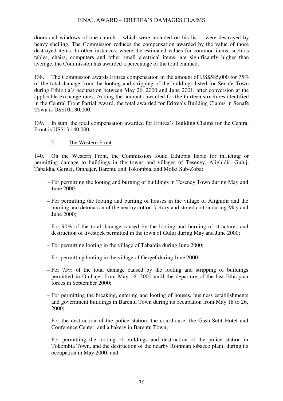doors and windows of one church – which were included on his list – were destroyed by heavy shelling. The Commission reduces the compensation awarded by the value of those destroyed items. In other instances, where the estimated values for common items, such as tables, chairs, computers and other small electrical items, are significantly higher than average, the Commission has awarded a percentage of the total claimed.

138. The Commission awards Eritrea compensation in the amount of US\$585,000 for 75% of the total damage from the looting and stripping of the buildings listed for Senafe Town during Ethiopia's occupation between May 26, 2000 and June 2001, after conversion at the applicable exchange rates. Adding the amounts awarded for the thirteen structures identified in the Central Front Partial Award, the total awarded for Eritrea's Building Claims in Senafe Town is US\$10,130,000.

139. In sum, the total compensation awarded for Eritrea's Building Claims for the Central Front is US\$13,140,000.

5. The Western Front

140. On the Western Front, the Commission found Ethiopia liable for inflicting or permitting damage to buildings in the towns and villages of Teseney, Alighidir, Guluj, Tabaldia, Gergef, Omhajer, Barentu and Tokombia, and Molki Sub-Zoba:

- For permitting the looting and burning of buildings in Teseney Town during May and June 2000;
- For permitting the looting and burning of houses in the village of Alighidir and the burning and detonation of the nearby cotton factory and stored cotton during May and June 2000;
- For 90% of the total damage caused by the looting and burning of structures and destruction of livestock permitted in the town of Guluj during May and June 2000;
- For permitting looting in the village of Tabaldia during June 2000;
- For permitting looting in the village of Gergef during June 2000;
- For 75% of the total damage caused by the looting and stripping of buildings permitted in Omhajer from May 16, 2000 until the departure of the last Ethiopian forces in September 2000;
- For permitting the breaking, entering and looting of houses, business establishments and government buildings in Barentu Town during its occupation from May 18 to 26, 2000;
- For the destruction of the police station, the courthouse, the Gash-Setit Hotel and Conference Center, and a bakery in Barentu Town;
- For permitting the looting of buildings and destruction of the police station in Tokombia Town, and the destruction of the nearby Rothman tobacco plant, during its occupation in May 2000; and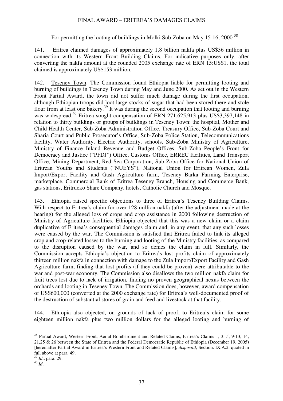– For permitting the looting of buildings in Molki Sub-Zoba on May 15-16, 2000.<sup>38</sup>

141. Eritrea claimed damages of approximately 1.8 billion nakfa plus US\$36 million in connection with its Western Front Building Claims. For indicative purposes only, after converting the nakfa amount at the rounded 2005 exchange rate of ERN 15:US\$1, the total claimed is approximately US\$153 million.

142. Teseney Town. The Commission found Ethiopia liable for permitting looting and burning of buildings in Teseney Town during May and June 2000. As set out in the Western Front Partial Award, the town did not suffer much damage during the first occupation, although Ethiopian troops did loot large stocks of sugar that had been stored there and stole flour from at least one bakery.<sup>39</sup> It was during the second occupation that looting and burning was widespread.<sup>40</sup> Eritrea sought compensation of ERN 271,625,913 plus US\$3,397,148 in relation to thirty buildings or groups of buildings in Teseney Town: the hospital, Mother and Child Health Center, Sub-Zoba Administration Office, Treasury Office, Sub-Zoba Court and Sharia Court and Public Prosecutor's Office, Sub-Zoba Police Station, Telecommunications facility, Water Authority, Electric Authority, schools, Sub-Zoba Ministry of Agriculture, Ministry of Finance Inland Revenue and Budget Offices, Sub-Zoba People's Front for Democracy and Justice ("PFDJ") Office, Customs Office, ERREC facilities, Land Transport Office, Mining Department, Red Sea Corporation, Sub-Zoba Office for National Union of Eritrean Youths and Students ("NUEYS"), National Union for Eritrean Women, Zula Import/Export Facility and Gash Agriculture farm, Teseney Barka Farming Enterprise, marketplace, Commercial Bank of Eritrea Teseney Branch, Housing and Commerce Bank, gas stations, Eritrucko Share Company, hotels, Catholic Church and Mosque.

143. Ethiopia raised specific objections to three of Eritrea's Teseney Building Claims. With respect to Eritrea's claim for over 128 million nakfa (after the adjustment made at the hearing) for the alleged loss of crops and crop assistance in 2000 following destruction of Ministry of Agriculture facilities, Ethiopia objected that this was a new claim or a claim duplicative of Eritrea's consequential damages claim and, in any event, that any such losses were caused by the war. The Commission is satisfied that Eritrea failed to link its alleged crop and crop-related losses to the burning and looting of the Ministry facilities, as compared to the disruption caused by the war, and so denies the claim in full. Similarly, the Commission accepts Ethiopia's objection to Eritrea's lost profits claim of approximately thirteen million nakfa in connection with damage to the Zula Import/Export Facility and Gash Agriculture farm, finding that lost profits (if they could be proven) were attributable to the war and post-war economy. The Commission also disallows the two million nakfa claim for fruit trees lost due to lack of irrigation, finding no proven geographical nexus between the orchards and looting in Teseney Town. The Commission does, however, award compensation of US\$600,000 (converted at the 2000 exchange rate) for Eritrea's well-documented proof of the destruction of substantial stores of grain and feed and livestock at that facility.

144. Ethiopia also objected, on grounds of lack of proof, to Eritrea's claim for some eighteen million nakfa plus two million dollars for the alleged looting and burning of

<sup>&</sup>lt;sup>38</sup> Partial Award, Western Front, Aerial Bombardment and Related Claims, Eritrea's Claims 1, 3, 5, 9-13, 14, 21,25 & 26 between the State of Eritrea and the Federal Democratic Republic of Ethiopia (December 19, 2005) [hereinafter Partial Award in Eritrea's Western Front and Related Claims], *dispositif*, Section. IX.A.2, quoted in full above at para. 49.

<sup>39</sup> *Id*., para. 29.

<sup>40</sup> *Id*.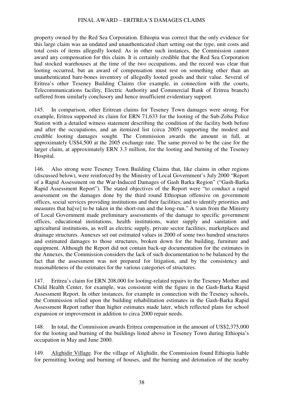property owned by the Red Sea Corporation. Ethiopia was correct that the only evidence for this large claim was an undated and unauthenticated chart setting out the type, unit costs and total costs of items allegedly looted. As in other such instances, the Commission cannot award any compensation for this claim. It is certainly credible that the Red Sea Corporation had stocked warehouses at the time of the two occupations, and the record was clear that looting occurred, but an award of compensation must rest on something other than an unauthenticated bare-bones inventory of allegedly looted goods and their value. Several of Eritrea's other Teseney Building Claims (for example, in connection with the courts, Telecommunications facility, Electric Authority and Commercial Bank of Eritrea branch) suffered from similarly conclusory and hence insufficient evidentiary support.

145. In comparison, other Eritrean claims for Teseney Town damages were strong. For example, Eritrea supported its claim for ERN 71,633 for the looting of the Sub-Zoba Police Station with a detailed witness statement describing the condition of the facility both before and after the occupations, and an itemized list (circa 2005) supporting the modest and credible looting damages sought. The Commission awards the amount in full, at approximately US\$4,500 at the 2005 exchange rate. The same proved to be the case for the larger claim, at approximately ERN 3.3 million, for the looting and burning of the Teseney Hospital.

146. Also strong were Teseney Town Building Claims that, like claims in other regions (discussed below), were reinforced by the Ministry of Local Government's July 2000 "Report of a Rapid Assessment on the War-Induced Damages of Gash Barka Region" ("Gash-Barka Rapid Assessment Report"). The stated objectives of the Report were "to conduct a rapid assessment on the damages done by the third round Ethiopian offensive on government offices, social services providing institutions and their facilities; and to identify priorities and measures that ha[ve] to be taken in the short-run and the long-run." A team from the Ministry of Local Government made preliminary assessments of the damage to specific government offices, educational institutions, health institutions, water supply and sanitation and agricultural institutions, as well as electric supply, private sector facilities, marketplaces and drainage structures. Annexes set out estimated values in 2000 of some two hundred structures and estimated damages to those structures, broken down for the building, furniture and equipment. Although the Report did not contain back-up documentation for the estimates in the Annexes, the Commission considers the lack of such documentation to be balanced by the fact that the assessment was not prepared for litigation, and by the consistency and reasonableness of the estimates for the various categories of structures.

147. Eritrea's claim for ERN 208,000 for looting-related repairs to the Teseney Mother and Child Health Center, for example, was consistent with the figure in the Gash-Barka Rapid Assessment Report. In other instances, for example in connection with the Teseney schools, the Commission relied upon the building rehabilitation estimates in the Gash-Barka Rapid Assessment Report rather than higher estimates made later, which reflected plans for school expansion or improvement in addition to circa 2000 repair needs.

148. In total, the Commission awards Eritrea compensation in the amount of US\$2,375,000 for the looting and burning of the buildings listed above in Teseney Town during Ethiopia's occupation in May and June 2000.

149. Alighidir Village. For the village of Alighidir, the Commission found Ethiopia liable for permitting looting and burning of houses, and the burning and detonation of the nearby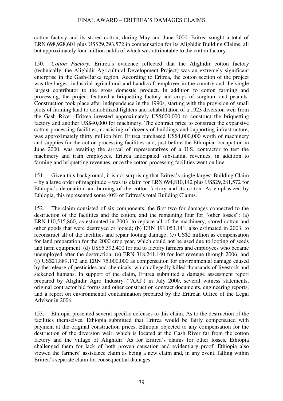cotton factory and its stored cotton, during May and June 2000. Eritrea sought a total of ERN 698,928,601 plus US\$29,293,572 in compensation for its Alighidir Building Claims, all but approximately four million nakfa of which was attributable to the cotton factory.

150. *Cotton Factory*. Eritrea's evidence reflected that the Alighidir cotton factory (technically, the Alighidir Agricultural Development Project) was an extremely significant enterprise in the Gash-Barka region. According to Eritrea, the cotton section of the project was the largest industrial agricultural and handicraft employer in the country and the single largest contributor to the gross domestic product. In addition to cotton farming and processing, the project featured a briquetting factory and crops of sorghum and peanuts. Construction took place after independence in the 1990s, starting with the provision of small plots of farming land to demobilized fighters and rehabilitation of a 1923 diversion weir from the Gash River. Eritrea invested approximately US\$600,000 to construct the briquetting factory and another US\$40,000 for machinery. The contract price to construct the expansive cotton processing facilities, consisting of dozens of buildings and supporting infrastructure, was approximately thirty million birr. Eritrea purchased US\$4,000,000 worth of machinery and supplies for the cotton processing facilities and, just before the Ethiopian occupation in June 2000, was awaiting the arrival of representatives of a U.S. contractor to test the machinery and train employees. Eritrea anticipated substantial revenues, in addition to farming and briquetting revenues, once the cotton processing facilities went on line.

151. Given this background, it is not surprising that Eritrea's single largest Building Claim – by a large order of magnitude – was its claim for ERN 694,810,142 plus US\$29,281,572 for Ethiopia's detonation and burning of the cotton factory and its cotton. As emphasized by Ethiopia, this represented some 40% of Eritrea's total Building Claims.

152. The claim consisted of six components, the first two for damages connected to the destruction of the facilities and the cotton, and the remaining four for "other losses": (a) ERN 110,515,860, as estimated in 2003, to replace all of the machinery, stored cotton and other goods that were destroyed or looted; (b) ERN 191,053,141, also estimated in 2003, to reconstruct all of the facilities and repair looting damage; (c) US\$2 million as compensation for land preparation for the 2000 crop year, which could not be used due to looting of seeds and farm equipment; (d) US\$5,392,400 for aid to factory farmers and employees who became unemployed after the destruction; (e) ERN 318,241,140 for lost revenue through 2006; and (f) US\$21,889,172 and ERN 75,000,000 as compensation for environmental damage caused by the release of pesticides and chemicals, which allegedly killed thousands of livestock and sickened humans. In support of the claim, Eritrea submitted a damage assessment report prepared by Alighidir Agro Industry ("AAI") in July 2000, several witness statements, original contractor bid forms and other construction contract documents, engineering reports, and a report on environmental contamination prepared by the Eritrean Office of the Legal Advisor in 2006.

153. Ethiopia presented several specific defenses to this claim. As to the destruction of the facilities themselves, Ethiopia submitted that Eritrea would be fairly compensated with payment at the original construction prices. Ethiopia objected to any compensation for the destruction of the diversion weir, which is located at the Gash River far from the cotton factory and the village of Alighidir. As for Eritrea's claims for other losses, Ethiopia challenged them for lack of both proven causation and evidentiary proof. Ethiopia also viewed the farmers' assistance claim as being a new claim and, in any event, falling within Eritrea's separate claim for consequential damages.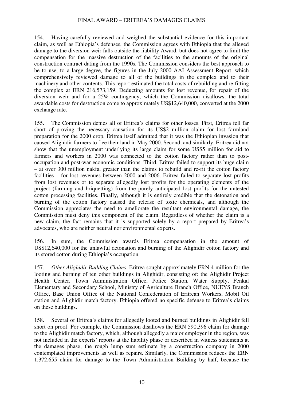154. Having carefully reviewed and weighed the substantial evidence for this important claim, as well as Ethiopia's defenses, the Commission agrees with Ethiopia that the alleged damage to the diversion weir falls outside the liability Award, but does not agree to limit the compensation for the massive destruction of the facilities to the amounts of the original construction contract dating from the 1990s. The Commission considers the best approach to be to use, to a large degree, the figures in the July 2000 AAI Assessment Report, which comprehensively reviewed damage to all of the buildings in the complex and to their machinery and other contents. This report estimated the total costs of rebuilding and re-fitting the complex at ERN 216,573,159. Deducting amounts for lost revenue, for repair of the diversion weir and for a 25% contingency, which the Commission disallows, the total awardable costs for destruction come to approximately US\$12,640,000, converted at the 2000 exchange rate.

155. The Commission denies all of Eritrea's claims for other losses. First, Eritrea fell far short of proving the necessary causation for its US\$2 million claim for lost farmland preparation for the 2000 crop. Eritrea itself admitted that it was the Ethiopian invasion that caused Alighidir farmers to flee their land in May 2000. Second, and similarly, Eritrea did not show that the unemployment underlying its large claim for some US\$5 million for aid to farmers and workers in 2000 was connected to the cotton factory rather than to postoccupation and post-war economic conditions. Third, Eritrea failed to support its huge claim – at over 300 million nakfa, greater than the claims to rebuild and re-fit the cotton factory facilities – for lost revenues between 2000 and 2006. Eritrea failed to separate lost profits from lost revenues or to separate allegedly lost profits for the operating elements of the project (farming and briquetting) from the purely anticipated lost profits for the untested cotton processing facilities. Finally, although it is entirely credible that the detonation and burning of the cotton factory caused the release of toxic chemicals, and although the Commission appreciates the need to ameliorate the resultant environmental damage, the Commission must deny this component of the claim. Regardless of whether the claim is a new claim, the fact remains that it is supported solely by a report prepared by Eritrea's advocates, who are neither neutral nor environmental experts.

156. In sum, the Commission awards Eritrea compensation in the amount of US\$12,640,000 for the unlawful detonation and burning of the Alighidir cotton factory and its stored cotton during Ethiopia's occupation.

157. *Other Alighidir Building Claims*. Eritrea sought approximately ERN 4 million for the looting and burning of ten other buildings in Alighidir, consisting of: the Alighidir Project Health Center, Town Administration Office, Police Station, Water Supply, Fenkal Elementary and Secondary School, Ministry of Agriculture Branch Office, NUEYS Branch Office, Base Union Office of the National Confederation of Eritrean Workers, Mobil Oil station and Alighidir match factory. Ethiopia offered no specific defense to Eritrea's claims on these buildings.

158. Several of Eritrea's claims for allegedly looted and burned buildings in Alighidir fell short on proof. For example, the Commission disallows the ERN 590,396 claim for damage to the Alighidir match factory, which, although allegedly a major employer in the region, was not included in the experts' reports at the liability phase or described in witness statements at the damages phase; the rough lump sum estimate by a construction company in 2000 contemplated improvements as well as repairs. Similarly, the Commission reduces the ERN 1,372,655 claim for damage to the Town Administration Building by half, because the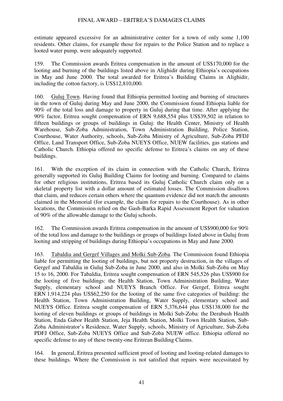estimate appeared excessive for an administrative center for a town of only some 1,100 residents. Other claims, for example those for repairs to the Police Station and to replace a looted water pump, were adequately supported.

159. The Commission awards Eritrea compensation in the amount of US\$170,000 for the looting and burning of the buildings listed above in Alighidir during Ethiopia's occupations in May and June 2000. The total awarded for Eritrea's Building Claims in Alighidir, including the cotton factory, is US\$12,810,000.

160. Guluj Town. Having found that Ethiopia permitted looting and burning of structures in the town of Guluj during May and June 2000, the Commission found Ethiopia liable for 90% of the total loss and damage to property in Guluj during that time. After applying the 90% factor, Eritrea sought compensation of ERN 9,688,554 plus US\$39,502 in relation to fifteen buildings or groups of buildings in Guluj: the Health Center, Ministry of Health Warehouse, Sub-Zoba Administration, Town Administration Building, Police Station, Courthouse, Water Authority, schools, Sub-Zoba Ministry of Agriculture, Sub-Zoba PFDJ Office, Land Transport Office, Sub-Zoba NUEYS Office, NUEW facilities, gas stations and Catholic Church. Ethiopia offered no specific defense to Eritrea's claims on any of these buildings.

161. With the exception of its claim in connection with the Catholic Church, Eritrea generally supported its Guluj Building Claims for looting and burning. Compared to claims for other religious institutions, Eritrea based its Guluj Catholic Church claim only on a skeletal property list with a dollar amount of estimated losses. The Commission disallows that claim, and reduces certain others where the quantum evidence did not match the amounts claimed in the Memorial (for example, the claim for repairs to the Courthouse). As in other locations, the Commission relied on the Gash-Barka Rapid Assessment Report for valuation of 90% of the allowable damage to the Guluj schools.

162. The Commission awards Eritrea compensation in the amount of US\$900,000 for 90% of the total loss and damage to the buildings or groups of buildings listed above in Guluj from looting and stripping of buildings during Ethiopia's occupations in May and June 2000.

163. Tabaldia and Gergef Villages and Molki Sub-Zoba. The Commission found Ethiopia liable for permitting the looting of buildings, but not property destruction, in the villages of Gergef and Tabaldia in Guluj Sub-Zoba in June 2000, and also in Molki Sub-Zoba on May 15 to 16, 2000. For Tabaldia, Eritrea sought compensation of ERN 545,526 plus US\$900 for the looting of five buildings: the Health Station, Town Administration Building, Water Supply, elementary school and NUEYS Branch Office. For Gergef, Eritrea sought ERN 1,914,224 plus US\$62,250 for the looting of the same five categories of building: the Health Station, Town Administration Building, Water Supply, elementary school and NUEYS Office. Eritrea sought compensation of ERN 5,376,644 plus US\$138,000 for the looting of eleven buildings or groups of buildings in Molki Sub-Zoba: the Derabush Health Station, Enda Gabor Health Station, Jeja Health Station, Molki Town Health Station, Sub-Zoba Administrator's Residence, Water Supply, schools, Ministry of Agriculture, Sub-Zoba PDFJ Office, Sub-Zoba NUEYS Office and Sub-Zoba NUEW office. Ethiopia offered no specific defense to any of these twenty-one Eritrean Building Claims.

164. In general, Eritrea presented sufficient proof of looting and looting-related damages to these buildings. Where the Commission is not satisfied that repairs were necessitated by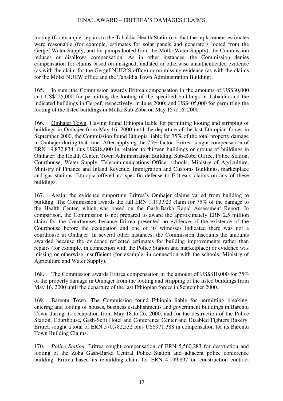looting (for example, repairs to the Tabaldia Health Station) or that the replacement estimates were reasonable (for example, estimates for solar panels and generators looted from the Gergef Water Supply, and for pumps looted from the Molki Water Supply), the Commission reduces or disallows compensation. As in other instances, the Commission denies compensation for claims based on unsigned, undated or otherwise unauthenticated evidence (as with the claim for the Gergef NUEYS office) or on missing evidence (as with the claims for the Molki NUEW office and the Tabaldia Town Administration Building).

165. In sum, the Commission awards Eritrea compensation in the amounts of US\$30,000 and US\$225,000 for permitting the looting of the specified buildings in Tabaldia and the indicated buildings in Gergef, respectively, in June 2000; and US\$405,000 for permitting the looting of the listed buildings in Molki Sub-Zoba on May 15 to16, 2000.

166. Omhajer Town. Having found Ethiopia liable for permitting looting and stripping of buildings in Omhajer from May 16, 2000 until the departure of the last Ethiopian forces in September 2000, the Commission found Ethiopia liable for 75% of the total property damage in Omhajer during that time. After applying the 75% factor, Eritrea sought compensation of ERN 19,872,834 plus US\$18,000 in relation to thirteen buildings or groups of buildings in Omhajer: the Health Center, Town Administration Building, Sub-Zoba Office, Police Station, Courthouse, Water Supply, Telecommunications Office, schools, Ministry of Agriculture, Ministry of Finance and Inland Revenue, Immigration and Customs Buildings, marketplace and gas stations. Ethiopia offered no specific defense to Eritrea's claims on any of these buildings.

167. Again, the evidence supporting Eritrea's Omhajer claims varied from building to building. The Commission awards the full ERN 1,193,923 claim for 75% of the damage to the Health Center, which was based on the Gash-Barka Rapid Assessment Report. In comparison, the Commission is not prepared to award the approximately ERN 2.5 million claim for the Courthouse, because Eritrea presented no evidence of the existence of the Courthouse before the occupation and one of its witnesses indicated there was not a courthouse in Omhajer. In several other instances, the Commission discounts the amounts awarded because the evidence reflected estimates for building improvements rather than repairs (for example, in connection with the Police Station and marketplace) or evidence was missing or otherwise insufficient (for example, in connection with the schools, Ministry of Agriculture and Water Supply).

168. The Commission awards Eritrea compensation in the amount of US\$810,000 for 75% of the property damage in Omhajer from the looting and stripping of the listed buildings from May 16, 2000 until the departure of the last Ethiopian forces in September 2000.

169. Barentu Town. The Commission found Ethiopia liable for permitting breaking, entering and looting of houses, business establishments and government buildings in Barentu Town during its occupation from May 18 to 26, 2000, and for the destruction of the Police Station, Courthouse, Gash-Setit Hotel and Conference Center and Disabled Fighters Bakery. Eritrea sought a total of ERN 570,782,532 plus US\$971,388 in compensation for its Barentu Town Building Claims.

170. *Police Station*. Eritrea sought compensation of ERN 5,560,283 for destruction and looting of the Zoba Gash-Barka Central Police Station and adjacent police conference building. Eritrea based its rebuilding claim for ERN 4,199,897 on construction contract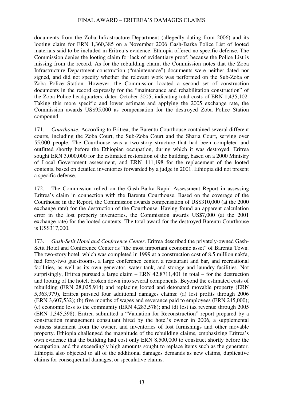documents from the Zoba Infrastructure Department (allegedly dating from 2006) and its looting claim for ERN 1,360,385 on a November 2006 Gash-Barka Police List of looted materials said to be included in Eritrea's evidence. Ethiopia offered no specific defense. The Commission denies the looting claim for lack of evidentiary proof, because the Police List is missing from the record. As for the rebuilding claim, the Commission notes that the Zoba Infrastructure Department construction ("maintenance") documents were neither dated nor signed, and did not specify whether the relevant work was performed on the Sub-Zoba or Zoba Police Station. However, the Commission located a second set of construction documents in the record expressly for the "maintenance and rehabilitation construction" of the Zoba Police headquarters, dated October 2005, indicating total costs of ERN 1,435,102. Taking this more specific and lower estimate and applying the 2005 exchange rate, the Commission awards US\$95,000 as compensation for the destroyed Zoba Police Station compound.

171. *Courthouse*. According to Eritrea, the Barentu Courthouse contained several different courts, including the Zoba Court, the Sub-Zoba Court and the Sharia Court, serving over 55,000 people. The Courthouse was a two-story structure that had been completed and outfitted shortly before the Ethiopian occupation, during which it was destroyed. Eritrea sought ERN 3,000,000 for the estimated restoration of the building, based on a 2000 Ministry of Local Government assessment, and ERN 111,198 for the replacement of the looted contents, based on detailed inventories forwarded by a judge in 2001. Ethiopia did not present a specific defense.

172. The Commission relied on the Gash-Barka Rapid Assessment Report in assessing Eritrea's claim in connection with the Barentu Courthouse. Based on the coverage of the Courthouse in the Report, the Commission awards compensation of US\$310,000 (at the 2000 exchange rate) for the destruction of the Courthouse. Having found an apparent calculation error in the lost property inventories, the Commission awards US\$7,000 (at the 2001 exchange rate) for the looted contents. The total award for the destroyed Barentu Courthouse is US\$317,000.

173. *Gash-Setit Hotel and Conference Center*. Eritrea described the privately-owned Gash-Setit Hotel and Conference Center as "the most important economic asset" of Barentu Town. The two-story hotel, which was completed in 1999 at a construction cost of 8.5 million nakfa, had forty-two guestrooms, a large conference center, a restaurant and bar, and recreational facilities, as well as its own generator, water tank, and storage and laundry facilities. Not surprisingly, Eritrea pursued a large claim – ERN 42,8711,401 in total – for the destruction and looting of the hotel, broken down into several components. Beyond the estimated costs of rebuilding (ERN 28,025,914) and replacing looted and detonated movable property (ERN 5,363,979), Eritrea pursued four additional damages claims: (a) lost profits through 2006 (ERN 3,607,532); (b) five months of wages and severance paid to employees (ERN 245,000); (c) economic loss to the community (ERN 4,283,578); and (d) lost tax revenue through 2005 (ERN 1,345,398). Eritrea submitted a "Valuation for Reconstruction" report prepared by a construction management consultant hired by the hotel's owner in 2006, a supplemental witness statement from the owner, and inventories of lost furnishings and other movable property. Ethiopia challenged the magnitude of the rebuilding claims, emphasizing Eritrea's own evidence that the building had cost only ERN 8,500,000 to construct shortly before the occupation, and the exceedingly high amounts sought to replace items such as the generator. Ethiopia also objected to all of the additional damages demands as new claims, duplicative claims for consequential damages, or speculative claims.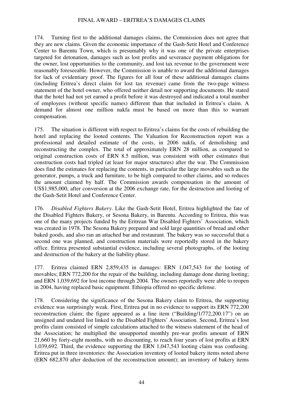174. Turning first to the additional damages claims, the Commission does not agree that they are new claims. Given the economic importance of the Gash-Setit Hotel and Conference Center to Barentu Town, which is presumably why it was one of the private enterprises targeted for detonation, damages such as lost profits and severance payment obligations for the owner, lost opportunities to the community, and lost tax revenue to the government were reasonably foreseeable. However, the Commission is unable to award the additional damages for lack of evidentiary proof. The figures for all four of these additional damages claims (including Eritrea's direct claim for lost tax revenue) came from the two-page witness statement of the hotel owner, who offered neither detail nor supporting documents. He stated that the hotel had not yet earned a profit before it was destroyed and indicated a total number of employees (without specific names) different than that included in Eritrea's claim. A demand for almost one million nakfa must be based on more than this to warrant compensation.

175. The situation is different with respect to Eritrea's claims for the costs of rebuilding the hotel and replacing the looted contents. The Valuation for Reconstruction report was a professional and detailed estimate of the costs, in 2006 nakfa, of demolishing and reconstructing the complex. The total of approximately ERN 28 million, as compared to original construction costs of ERN 8.5 million, was consistent with other estimates that construction costs had tripled (at least for major structures) after the war. The Commission does find the estimates for replacing the contents, in particular the large movables such as the generator, pumps, a truck and furniture, to be high compared to other claims, and so reduces the amount claimed by half. The Commission awards compensation in the amount of US\$1,985,000, after conversion at the 2006 exchange rate, for the destruction and looting of the Gash-Setit Hotel and Conference Center.

176. *Disabled Fighters Bakery*. Like the Gash-Setit Hotel, Eritrea highlighted the fate of the Disabled Fighters Bakery, or Sesona Bakery, in Barentu. According to Eritrea, this was one of the many projects funded by the Eritrean War Disabled Fighters' Association, which was created in 1978. The Sesona Bakery prepared and sold large quantities of bread and other baked goods, and also ran an attached bar and restaurant. The bakery was so successful that a second one was planned, and construction materials were reportedly stored in the bakery office. Eritrea presented substantial evidence, including several photographs, of the looting and destruction of the bakery at the liability phase.

177. Eritrea claimed ERN 2,859,435 in damages: ERN 1,047,543 for the looting of movables; ERN 772,200 for the repair of the building, including damage done during looting; and ERN 1,039,692 for lost income through 2004. The owners reportedly were able to reopen in 2004, having replaced basic equipment. Ethiopia offered no specific defense.

178. Considering the significance of the Sesona Bakery claim to Eritrea, the supporting evidence was surprisingly weak. First, Eritrea put in no evidence to support its ERN 772,200 reconstruction claim; the figure appeared as a line item ("Building/1/772,200.17") on an unsigned and undated list linked to the Disabled Fighters' Association. Second, Eritrea's lost profits claim consisted of simple calculations attached to the witness statement of the head of the Association; he multiplied the unsupported monthly pre-war profits amount of ERN 21,660 by forty-eight months, with no discounting, to reach four years of lost profits at ERN 1,039,692. Third, the evidence supporting the ERN 1,047,543 looting claim was confusing. Eritrea put in three inventories: the Association inventory of looted bakery items noted above (ERN 682,870 after deduction of the reconstruction amount); an inventory of bakery items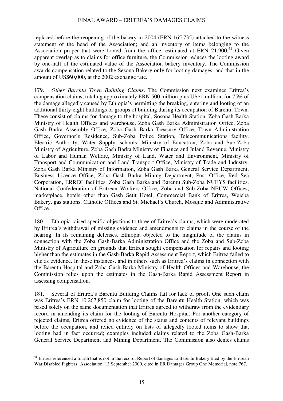replaced before the reopening of the bakery in 2004 (ERN 165,735) attached to the witness statement of the head of the Association; and an inventory of items belonging to the Association proper that were looted from the office, estimated at ERN 21,900. $^{41}$  Given apparent overlap as to claims for office furniture, the Commission reduces the looting award by one-half of the estimated value of the Association bakery inventory. The Commission awards compensation related to the Sesona Bakery only for looting damages, and that in the amount of US\$60,000, at the 2002 exchange rate.

179. *Other Barentu Town Building Claims*. The Commission next examines Eritrea's compensation claims, totaling approximately ERN 500 million plus US\$1 million, for 75% of the damage allegedly caused by Ethiopia's permitting the breaking, entering and looting of an additional thirty-eight buildings or groups of building during its occupation of Barentu Town. These consist of claims for damage to the hospital, Sosona Health Station, Zoba Gash Barka Ministry of Health Offices and warehouse, Zoba Gash Barka Administration Office, Zoba Gash Barka Assembly Office, Zoba Gash Barka Treasury Office, Town Administration Office, Governor's Residence, Sub-Zoba Police Station, Telecommunications facility, Electric Authority, Water Supply, schools, Ministry of Education, Zoba and Sub-Zoba Ministry of Agriculture, Zoba Gash Barka Ministry of Finance and Inland Revenue, Ministry of Labor and Human Welfare, Ministry of Land, Water and Environment, Ministry of Transport and Communication and Land Transport Office, Ministry of Trade and Industry, Zoba Gash Barka Ministry of Information, Zoba Gash Barka General Service Department, Business Licence Office, Zoba Gash Barka Mining Department, Post Office, Red Sea Corporation, ERREC facilities, Zoba Gash Barka and Barentu Sub-Zoba NUEYS facilities, National Confederation of Eritrean Workers Office, Zoba and Sub-Zoba NEUW Offices, marketplace, hotels other than Gash Setit Hotel, Commercial Bank of Eritrea, Wejeba Bakery, gas stations, Catholic Offices and St. Michael's Church, Mosque and Administrative Office.

180. Ethiopia raised specific objections to three of Eritrea's claims, which were moderated by Eritrea's withdrawal of missing evidence and amendments to claims in the course of the hearing. In its remaining defenses, Ethiopia objected to the magnitude of the claims in connection with the Zoba Gash-Barka Administration Office and the Zoba and Sub-Zoba Ministry of Agriculture on grounds that Eritrea sought compensation for repairs and looting higher than the estimates in the Gash-Barka Rapid Assessment Report, which Eritrea failed to cite as evidence. In these instances, and in others such as Eritrea's claims in connection with the Barentu Hospital and Zoba Gash-Barka Ministry of Health Offices and Warehouse, the Commission relies upon the estimates in the Gash-Barka Rapid Assessment Report in assessing compensation.

181. Several of Eritrea's Barentu Building Claims fail for lack of proof. One such claim was Eritrea's ERN 10,267,850 claim for looting of the Barentu Health Station, which was based solely on the same documentation that Eritrea agreed to withdraw from the evidentiary record in amending its claim for the looting of Barentu Hospital. For another category of rejected claims, Eritrea offered no evidence of the status and contents of relevant buildings before the occupation, and relied entirely on lists of allegedly looted items to show that looting had in fact occurred; examples included claims related to the Zoba Gash-Barka General Service Department and Mining Department. The Commission also denies claims

<sup>&</sup>lt;sup>41</sup> Eritrea referenced a fourth that is not in the record: Report of damages to Barentu Bakery filed by the Eritrean War Disabled Fighters' Association, 13 September 2000, cited in ER Damages Group One Memorial, note 767.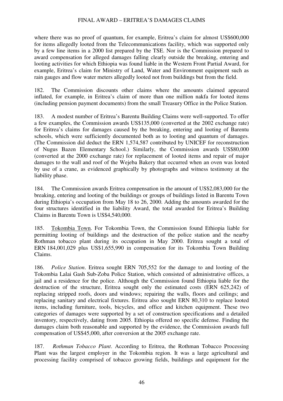where there was no proof of quantum, for example, Eritrea's claim for almost US\$600,000 for items allegedly looted from the Telecommunications facility, which was supported only by a few line items in a 2000 list prepared by the TSE. Nor is the Commission prepared to award compensation for alleged damages falling clearly outside the breaking, entering and looting activities for which Ethiopia was found liable in the Western Front Partial Award, for example, Eritrea's claim for Ministry of Land, Water and Environment equipment such as rain gauges and flow water meters allegedly looted not from buildings but from the field.

182. The Commission discounts other claims where the amounts claimed appeared inflated, for example, in Eritrea's claim of more than one million nakfa for looted items (including pension payment documents) from the small Treasury Office in the Police Station.

183. A modest number of Eritrea's Barentu Building Claims were well-supported. To offer a few examples, the Commission awards US\$135,000 (converted at the 2002 exchange rate) for Eritrea's claims for damages caused by the breaking, entering and looting of Barentu schools, which were sufficiently documented both as to looting and quantum of damages. (The Commission did deduct the ERN 1,574,587 contributed by UNICEF for reconstruction of Nugus Bazen Elementary School.) Similarly, the Commission awards US\$80,000 (converted at the 2000 exchange rate) for replacement of looted items and repair of major damages to the wall and roof of the Wejeba Bakery that occurred when an oven was looted by use of a crane, as evidenced graphically by photographs and witness testimony at the liability phase.

184. The Commission awards Eritrea compensation in the amount of US\$2,083,000 for the breaking, entering and looting of the buildings or groups of buildings listed in Barentu Town during Ethiopia's occupation from May 18 to 26, 2000. Adding the amounts awarded for the four structures identified in the liability Award, the total awarded for Eritrea's Building Claims in Barentu Town is US\$4,540,000.

185. Tokombia Town. For Tokombia Town, the Commission found Ethiopia liable for permitting looting of buildings and the destruction of the police station and the nearby Rothman tobacco plant during its occupation in May 2000. Eritrea sought a total of ERN 184,001,029 plus US\$1,655,990 in compensation for its Tokombia Town Building Claims.

186. *Police Station*. Eritrea sought ERN 705,552 for the damage to and looting of the Tokombia Lalai Gash Sub-Zoba Police Station, which consisted of administrative offices, a jail and a residence for the police. Although the Commission found Ethiopia liable for the destruction of the structure, Eritrea sought only the estimated costs (ERN 625,242) of replacing stripped roofs, doors and windows; repairing the walls, floors and ceilings; and replacing sanitary and electrical fixtures. Eritrea also sought ERN 80,310 to replace looted items, including furniture, tools, bicycles, and office and kitchen equipment. These two categories of damages were supported by a set of construction specifications and a detailed inventory, respectively, dating from 2005. Ethiopia offered no specific defense. Finding the damages claim both reasonable and supported by the evidence, the Commission awards full compensation of US\$45,000, after conversion at the 2005 exchange rate.

187. *Rothman Tobacco Plant*. According to Eritrea, the Rothman Tobacco Processing Plant was the largest employer in the Tokombia region. It was a large agricultural and processing facility comprised of tobacco growing fields, buildings and equipment for the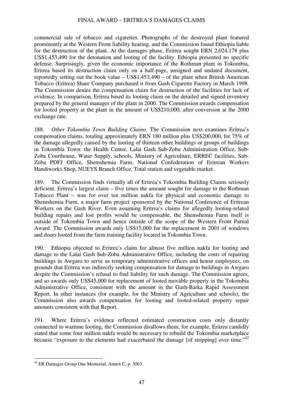commercial sale of tobacco and cigarettes. Photographs of the destroyed plant featured prominently at the Western Front liability hearing, and the Commission found Ethiopia liable for the destruction of the plant. At the damages phase, Eritrea sought ERN 2,024,178 plus US\$1,453,490 for the detonation and looting of the facility. Ethiopia presented no specific defense. Surprisingly, given the economic importance of the Rothman plant in Tokombia, Eritrea based its destruction claim only on a half-page, unsigned and undated document, reportedly setting out the book value – US\$1,453,490 – of the plant when British American Tobacco (Eritrea) Share Company purchased it from Gash Cigarette Factory in March 1998. The Commission denies the compensation claim for destruction of the facilities for lack of evidence. In comparison, Eritrea based its looting claim on the detailed and signed inventory prepared by the general manager of the plant in 2000. The Commission awards compensation for looted property at the plant in the amount of US\$210,000, after conversion at the 2000 exchange rate.

188. *Other Tokombia Town Building Claims*. The Commission next examines Eritrea's compensation claims, totaling approximately ERN 180 million plus US\$200,000, for 75% of the damage allegedly caused by the looting of thirteen other buildings or groups of buildings in Tokombia Town: the Health Center, Lalai Gash Sub-Zoba Administration Office, Sub-Zoba Courthouse, Water Supply, schools, Ministry of Agriculture, ERREC facilities, Sub-Zoba PDFJ Office, Shemshemia Farm, National Confederation of Eritrean Workers Handiworks Shop, NUEYS Branch Office, Total station and vegetable market.

189. The Commission finds virtually all of Eritrea's Tokombia Building Claims seriously deficient. Eritrea's largest claim – five times the amount sought for damage to the Rothman Tobacco Plant – was for over ten million nakfa for physical and economic damage to Shemshemia Farm, a major farm project sponsored by the National Conference of Eritrean Workers on the Gash River. Even assuming Eritrea's claims for allegedly looting-related building repairs and lost profits would be compensable, the Shemshemia Farm itself is outside of Tokombia Town and hence outside of the scope of the Western Front Partial Award. The Commission awards only US\$15,000 for the replacement in 2001 of windows and doors looted from the farm training facility located in Tokombia Town.

190. Ethiopia objected to Eritrea's claim for almost five million nakfa for looting and damage to the Lalai Gash Sub-Zoba Administrative Office, including the costs of repairing buildings in Awgaro to serve as temporary administrative offices and house employees, on grounds that Eritrea was indirectly seeking compensation for damage to buildings in Awgaro despite the Commission's refusal to find liability for such damage. The Commission agrees, and so awards only US\$45,000 for replacement of looted movable property in the Tokombia Administrative Office, consistent with the amount in the Gash-Barka Rapid Assessment Report. In other instances (for example, for the Ministry of Agriculture and schools), the Commission also awards compensation for looting and looted-related property repair amounts consistent with that Report.

191. Where Eritrea's evidence reflected estimated construction costs only distantly connected to wartime looting, the Commission disallows them; for example, Eritrea candidly stated that some four million nakfa would be necessary to rebuild the Tokombia marketplace because "exposure to the elements had exacerbated the damage [of stripping] over time."<sup>42</sup>

<sup>42</sup> ER Damages Group One Memorial, Annex C, p. 3063.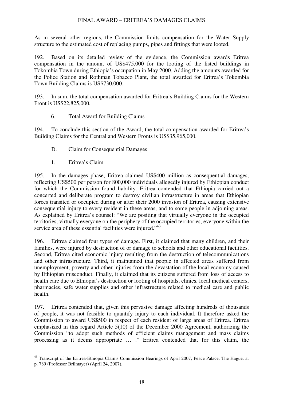As in several other regions, the Commission limits compensation for the Water Supply structure to the estimated cost of replacing pumps, pipes and fittings that were looted.

192. Based on its detailed review of the evidence, the Commission awards Eritrea compensation in the amount of US\$475,000 for the looting of the listed buildings in Tokombia Town during Ethiopia's occupation in May 2000. Adding the amounts awarded for the Police Station and Rothman Tobacco Plant, the total awarded for Eritrea's Tokombia Town Building Claims is US\$730,000.

193. In sum, the total compensation awarded for Eritrea's Building Claims for the Western Front is US\$22,825,000.

## 6. Total Award for Building Claims

194. To conclude this section of the Award, the total compensation awarded for Eritrea's Building Claims for the Central and Western Fronts is US\$35,965,000.

- D. Claim for Consequential Damages
- 1. Eritrea's Claim

195. In the damages phase, Eritrea claimed US\$400 million as consequential damages, reflecting US\$500 per person for 800,000 individuals allegedly injured by Ethiopian conduct for which the Commission found liability. Eritrea contended that Ethiopia carried out a concerted and deliberate program to destroy civilian infrastructure in areas that Ethiopian forces transited or occupied during or after their 2000 invasion of Eritrea, causing extensive consequential injury to every resident in these areas, and to some people in adjoining areas. As explained by Eritrea's counsel: "We are positing that virtually everyone in the occupied territories, virtually everyone on the periphery of the occupied territories, everyone within the service area of these essential facilities were injured."<sup>43</sup>

196. Eritrea claimed four types of damage. First, it claimed that many children, and their families, were injured by destruction of or damage to schools and other educational facilities. Second, Eritrea cited economic injury resulting from the destruction of telecommunications and other infrastructure. Third, it maintained that people in affected areas suffered from unemployment, poverty and other injuries from the devastation of the local economy caused by Ethiopian misconduct. Finally, it claimed that its citizens suffered from loss of access to health care due to Ethiopia's destruction or looting of hospitals, clinics, local medical centers, pharmacies, safe water supplies and other infrastructure related to medical care and public health.

197. Eritrea contended that, given this pervasive damage affecting hundreds of thousands of people, it was not feasible to quantify injury to each individual. It therefore asked the Commission to award US\$500 in respect of each resident of large areas of Eritrea. Eritrea emphasized in this regard Article 5(10) of the December 2000 Agreement, authorizing the Commission "to adopt such methods of efficient claims management and mass claims processing as it deems appropriate … ." Eritrea contended that for this claim, the

<sup>&</sup>lt;sup>43</sup> Transcript of the Eritrea-Ethiopia Claims Commission Hearings of April 2007, Peace Palace, The Hague, at p. 789 (Professor Brilmayer) (April 24, 2007).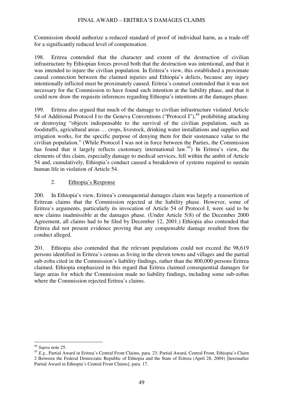Commission should authorize a reduced standard of proof of individual harm, as a trade-off for a significantly reduced level of compensation.

198. Eritrea contended that the character and extent of the destruction of civilian infrastructure by Ethiopian forces proved both that the destruction was intentional, and that it was intended to injure the civilian population. In Eritrea's view, this established a proximate causal connection between the claimed injuries and Ethiopia's delicts, because any injury intentionally inflicted must be proximately caused. Eritrea's counsel contended that it was not necessary for the Commission to have found such intention at the liability phase, and that it could now draw the requisite inferences regarding Ethiopia's intentions at the damages phase.

199. Eritrea also argued that much of the damage to civilian infrastructure violated Article 54 of Additional Protocol I to the Geneva Conventions ("Protocol I"),<sup>44</sup> prohibiting attacking or destroying "objects indispensable to the survival of the civilian population, such as foodstuffs, agricultural areas … crops, livestock, drinking water installations and supplies and irrigation works, for the specific purpose of denying them for their sustenance value to the civilian population." (While Protocol I was not in force between the Parties, the Commission has found that it largely reflects customary international law.<sup>45</sup>) In Eritrea's view, the elements of this claim, especially damage to medical services, fell within the ambit of Article 54 and, cumulatively, Ethiopia's conduct caused a breakdown of systems required to sustain human life in violation of Article 54.

# 2. Ethiopia's Response

200. In Ethiopia's view, Eritrea's consequential damages claim was largely a reassertion of Eritrean claims that the Commission rejected at the liability phase. However, some of Eritrea's arguments, particularly its invocation of Article 54 of Protocol I, were said to be new claims inadmissible at the damages phase. (Under Article 5(8) of the December 2000 Agreement, all claims had to be filed by December 12, 2001.) Ethiopia also contended that Eritrea did not present evidence proving that any compensable damage resulted from the conduct alleged.

201. Ethiopia also contended that the relevant populations could not exceed the 98,619 persons identified in Eritrea's census as living in the eleven towns and villages and the partial sub-zoba cited in the Commission's liability findings, rather than the 800,000 persons Eritrea claimed. Ethiopia emphasized in this regard that Eritrea claimed consequential damages for large areas for which the Commission made no liability findings, including some sub-zobas where the Commission rejected Eritrea's claims.

<sup>44</sup> *Supra* note 25.

<sup>45</sup> *E.g.*, Partial Award in Eritrea's Central Front Claims, para. 23; Partial Award, Central Front, Ethiopia's Claim 2 Between the Federal Democratic Republic of Ethiopia and the State of Eritrea (April 28, 2004) [hereinafter Partial Award in Ethiopia's Central Front Claims], para. 17.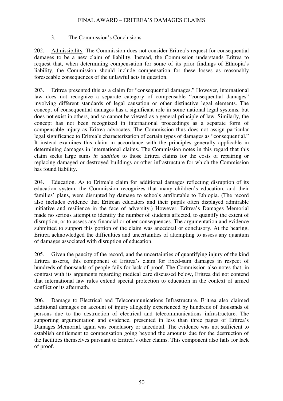### 3. The Commission's Conclusions

202. Admissibility. The Commission does not consider Eritrea's request for consequential damages to be a new claim of liability. Instead, the Commission understands Eritrea to request that, when determining compensation for some of its prior findings of Ethiopia's liability, the Commission should include compensation for these losses as reasonably foreseeable consequences of the unlawful acts in question.

203. Eritrea presented this as a claim for "consequential damages." However, international law does not recognize a separate category of compensable "consequential damages" involving different standards of legal causation or other distinctive legal elements. The concept of consequential damages has a significant role in some national legal systems, but does not exist in others, and so cannot be viewed as a general principle of law. Similarly, the concept has not been recognized in international proceedings as a separate form of compensable injury as Eritrea advocates. The Commission thus does not assign particular legal significance to Eritrea's characterization of certain types of damages as "consequential." It instead examines this claim in accordance with the principles generally applicable in determining damages in international claims. The Commission notes in this regard that this claim seeks large sums *in addition* to those Eritrea claims for the costs of repairing or replacing damaged or destroyed buildings or other infrastructure for which the Commission has found liability.

204. Education. As to Eritrea's claim for additional damages reflecting disruption of its education system, the Commission recognizes that many children's education, and their families' plans, were disrupted by damage to schools attributable to Ethiopia. (The record also includes evidence that Eritrean educators and their pupils often displayed admirable initiative and resilience in the face of adversity.) However, Eritrea's Damages Memorial made no serious attempt to identify the number of students affected, to quantify the extent of disruption, or to assess any financial or other consequences. The argumentation and evidence submitted to support this portion of the claim was anecdotal or conclusory. At the hearing, Eritrea acknowledged the difficulties and uncertainties of attempting to assess any quantum of damages associated with disruption of education.

205. Given the paucity of the record, and the uncertainties of quantifying injury of the kind Eritrea asserts, this component of Eritrea's claim for fixed-sum damages in respect of hundreds of thousands of people fails for lack of proof. The Commission also notes that, in contrast with its arguments regarding medical care discussed below, Eritrea did not contend that international law rules extend special protection to education in the context of armed conflict or its aftermath.

206. Damage to Electrical and Telecommunications Infrastructure*.* Eritrea also claimed additional damages on account of injury allegedly experienced by hundreds of thousands of persons due to the destruction of electrical and telecommunications infrastructure. The supporting argumentation and evidence, presented in less than three pages of Eritrea's Damages Memorial, again was conclusory or anecdotal. The evidence was not sufficient to establish entitlement to compensation going beyond the amounts due for the destruction of the facilities themselves pursuant to Eritrea's other claims. This component also fails for lack of proof.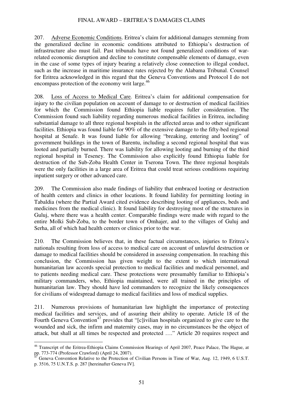207. Adverse Economic Conditions. Eritrea's claim for additional damages stemming from the generalized decline in economic conditions attributed to Ethiopia's destruction of infrastructure also must fail. Past tribunals have not found generalized conditions of warrelated economic disruption and decline to constitute compensable elements of damage, even in the case of some types of injury bearing a relatively close connection to illegal conduct, such as the increase in maritime insurance rates rejected by the Alabama Tribunal. Counsel for Eritrea acknowledged in this regard that the Geneva Conventions and Protocol I do not encompass protection of the economy writ large.<sup>46</sup>

208. Loss of Access to Medical Care*.* Eritrea's claim for additional compensation for injury to the civilian population on account of damage to or destruction of medical facilities for which the Commission found Ethiopia liable requires fuller consideration. The Commission found such liability regarding numerous medical facilities in Eritrea, including substantial damage to all three regional hospitals in the affected areas and to other significant facilities. Ethiopia was found liable for 90% of the extensive damage to the fifty-bed regional hospital at Senafe. It was found liable for allowing "breaking, entering and looting" of government buildings in the town of Barentu, including a second regional hospital that was looted and partially burned. There was liability for allowing looting and burning of the third regional hospital in Teseney. The Commission also explicitly found Ethiopia liable for destruction of the Sub-Zoba Health Center in Tserona Town. The three regional hospitals were the only facilities in a large area of Eritrea that could treat serious conditions requiring inpatient surgery or other advanced care.

209. The Commission also made findings of liability that embraced looting or destruction of health centers and clinics in other locations. It found liability for permitting looting in Tabaldia (where the Partial Award cited evidence describing looting of appliances, beds and medicines from the medical clinic). It found liability for destroying most of the structures in Guluj, where there was a health center. Comparable findings were made with regard to the entire Molki Sub-Zoba, to the border town of Omhajer, and to the villages of Guluj and Serha, all of which had health centers or clinics prior to the war.

210. The Commission believes that, in these factual circumstances, injuries to Eritrea's nationals resulting from loss of access to medical care on account of unlawful destruction or damage to medical facilities should be considered in assessing compensation. In reaching this conclusion, the Commission has given weight to the extent to which international humanitarian law accords special protection to medical facilities and medical personnel, and to patients needing medical care. These protections were presumably familiar to Ethiopia's military commanders, who, Ethiopia maintained, were all trained in the principles of humanitarian law. They should have led commanders to recognize the likely consequences for civilians of widespread damage to medical facilities and loss of medical supplies.

211. Numerous provisions of humanitarian law highlight the importance of protecting medical facilities and services, and of assuring their ability to operate. Article 18 of the Fourth Geneva Convention<sup>47</sup> provides that "[c]ivilian hospitals organized to give care to the wounded and sick, the infirm and maternity cases, may in no circumstances be the object of attack, but shall at all times be respected and protected …." Article 20 requires respect and

<sup>46</sup> Transcript of the Eritrea-Ethiopia Claims Commission Hearings of April 2007, Peace Palace, The Hague, at pp. 773-774 (Professor Crawford) (April 24, 2007).

Geneva Convention Relative to the Protection of Civilian Persons in Time of War, Aug. 12, 1949, 6 U.S.T. p. 3516, 75 U.N.T.S. p. 287 [hereinafter Geneva IV].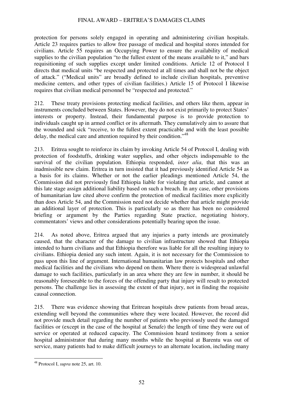protection for persons solely engaged in operating and administering civilian hospitals. Article 23 requires parties to allow free passage of medical and hospital stores intended for civilians. Article 55 requires an Occupying Power to ensure the availability of medical supplies to the civilian population "to the fullest extent of the means available to it," and bars requisitioning of such supplies except under limited conditions. Article 12 of Protocol I directs that medical units "be respected and protected at all times and shall not be the object of attack." ("Medical units" are broadly defined to include civilian hospitals, preventive medicine centers, and other types of civilian facilities.) Article 15 of Protocol I likewise requires that civilian medical personnel be "respected and protected."

212. These treaty provisions protecting medical facilities, and others like them, appear in instruments concluded between States. However, they do not exist primarily to protect States' interests or property. Instead, their fundamental purpose is to provide protection to individuals caught up in armed conflict or its aftermath. They cumulatively aim to assure that the wounded and sick "receive, to the fullest extent practicable and with the least possible delay, the medical care and attention required by their condition."<sup>48</sup>

213. Eritrea sought to reinforce its claim by invoking Article 54 of Protocol I, dealing with protection of foodstuffs, drinking water supplies, and other objects indispensable to the survival of the civilian population. Ethiopia responded, *inter alia*, that this was an inadmissible new claim. Eritrea in turn insisted that it had previously identified Article 54 as a basis for its claims. Whether or not the earlier pleadings mentioned Article 54, the Commission did not previously find Ethiopia liable for violating that article, and cannot at this late stage assign additional liability based on such a breach. In any case, other provisions of humanitarian law cited above confirm the protection of medical facilities more explicitly than does Article 54, and the Commission need not decide whether that article might provide an additional layer of protection. This is particularly so as there has been no considered briefing or argument by the Parties regarding State practice, negotiating history, commentators' views and other considerations potentially bearing upon the issue.

214. As noted above, Eritrea argued that any injuries a party intends are proximately caused, that the character of the damage to civilian infrastructure showed that Ethiopia intended to harm civilians and that Ethiopia therefore was liable for all the resulting injury to civilians. Ethiopia denied any such intent. Again, it is not necessary for the Commission to pass upon this line of argument. International humanitarian law protects hospitals and other medical facilities and the civilians who depend on them. Where there is widespread unlawful damage to such facilities, particularly in an area where they are few in number, it should be reasonably foreseeable to the forces of the offending party that injury will result to protected persons. The challenge lies in assessing the extent of that injury, not in finding the requisite causal connection.

215. There was evidence showing that Eritrean hospitals drew patients from broad areas, extending well beyond the communities where they were located. However, the record did not provide much detail regarding the number of patients who previously used the damaged facilities or (except in the case of the hospital at Senafe) the length of time they were out of service or operated at reduced capacity. The Commission heard testimony from a senior hospital administrator that during many months while the hospital at Barentu was out of service, many patients had to make difficult journeys to an alternate location, including many

<sup>48</sup> Protocol I, *supra* note 25, art. 10.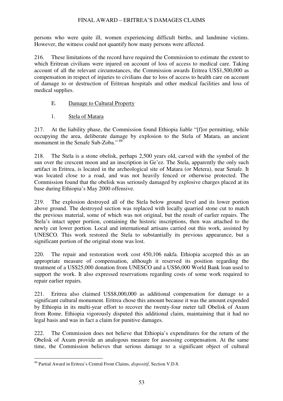persons who were quite ill, women experiencing difficult births, and landmine victims. However, the witness could not quantify how many persons were affected.

216. These limitations of the record have required the Commission to estimate the extent to which Eritrean civilians were injured on account of loss of access to medical care. Taking account of all the relevant circumstances, the Commission awards Eritrea US\$1,500,000 as compensation in respect of injuries to civilians due to loss of access to health care on account of damage to or destruction of Eritrean hospitals and other medical facilities and loss of medical supplies.

# E. Damage to Cultural Property

1. Stela of Matara

217. At the liability phase, the Commission found Ethiopia liable "[f]or permitting, while occupying the area, deliberate damage by explosion to the Stela of Matara, an ancient monument in the Senafe Sub-Zoba."<sup>49</sup>

218. The Stela is a stone obelisk, perhaps 2,500 years old, carved with the symbol of the sun over the crescent moon and an inscription in Ge'ez. The Stela, apparently the only such artifact in Eritrea, is located in the archeological site of Matara (or Metera), near Senafe. It was located close to a road, and was not heavily fenced or otherwise protected. The Commission found that the obelisk was seriously damaged by explosive charges placed at its base during Ethiopia's May 2000 offensive.

219. The explosion destroyed all of the Stela below ground level and its lower portion above ground. The destroyed section was replaced with locally quarried stone cut to match the previous material, some of which was not original, but the result of earlier repairs. The Stela's intact upper portion, containing the historic inscriptions, then was attached to the newly cut lower portion. Local and international artisans carried out this work, assisted by UNESCO. This work restored the Stela to substantially its previous appearance, but a significant portion of the original stone was lost.

220. The repair and restoration work cost 450,106 nakfa. Ethiopia accepted this as an appropriate measure of compensation, although it reserved its position regarding the treatment of a US\$25,000 donation from UNESCO and a US\$6,000 World Bank loan used to support the work. It also expressed reservations regarding costs of some work required to repair earlier repairs.

221. Eritrea also claimed US\$8,000,000 as additional compensation for damage to a significant cultural monument. Eritrea chose this amount because it was the amount expended by Ethiopia in its multi-year effort to recover the twenty-four meter tall Obelisk of Axum from Rome. Ethiopia vigorously disputed this additional claim, maintaining that it had no legal basis and was in fact a claim for punitive damages.

222. The Commission does not believe that Ethiopia's expenditures for the return of the Obelisk of Axum provide an analogous measure for assessing compensation. At the same time, the Commission believes that serious damage to a significant object of cultural

<sup>49</sup> Partial Award in Eritrea's Central Front Claims, *dispositif*, Section V.D.8.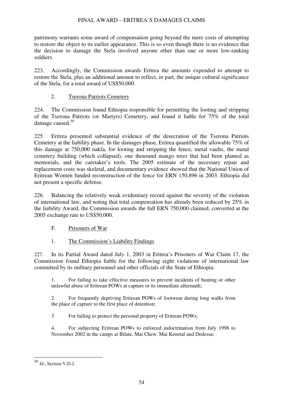patrimony warrants some award of compensation going beyond the mere costs of attempting to restore the object to its earlier appearance. This is so even though there is no evidence that the decision to damage the Stela involved anyone other than one or more low-ranking soldiers.

223. Accordingly, the Commission awards Eritrea the amounts expended to attempt to restore the Stela, plus an additional amount to reflect, in part, the unique cultural significance of the Stela, for a total award of US\$50,000.

# 2. Tserona Patriots Cemetery

224. The Commission found Ethiopia responsible for permitting the looting and stripping of the Tserona Patriots (or Martyrs) Cemetery, and found it liable for 75% of the total damage caused. 50

225. Eritrea presented substantial evidence of the desecration of the Tserona Patriots Cemetery at the liability phase. In the damages phase, Eritrea quantified the allowable 75% of this damage at 750,000 nakfa, for looting and stripping the fence, metal vaults, the metal cemetery building (which collapsed), one thousand mango trees that had been planted as memorials, and the caretaker's tools. The 2005 estimate of the necessary repair and replacement costs was skeletal, and documentary evidence showed that the National Union of Eritrean Women funded reconstruction of the fence for ERN 150,896 in 2003. Ethiopia did not present a specific defense.

226. Balancing the relatively weak evidentiary record against the severity of the violation of international law, and noting that total compensation has already been reduced by 25% in the liability Award, the Commission awards the full ERN 750,000 claimed, converted at the 2005 exchange rate to US\$50,000.

# F. Prisoners of War

1. The Commission's Liability Findings

227. In its Partial Award dated July 1, 2003 in Eritrea's Prisoners of War Claim 17, the Commission found Ethiopia liable for the following eight violations of international law committed by its military personnel and other officials of the State of Ethiopia:

1. For failing to take effective measures to prevent incidents of beating or other unlawful abuse of Eritrean POWs at capture or its immediate aftermath;

2. For frequently depriving Eritrean POWs of footwear during long walks from the place of capture to the first place of detention;

3 For failing to protect the personal property of Eritrean POWs;

4. For subjecting Eritrean POWs to enforced indoctrination from July 1998 to November 2002 in the camps at Bilate, Mai Chew, Mai Kenetal and Dedessa;

<sup>50</sup> *Id*., Section V.D.2.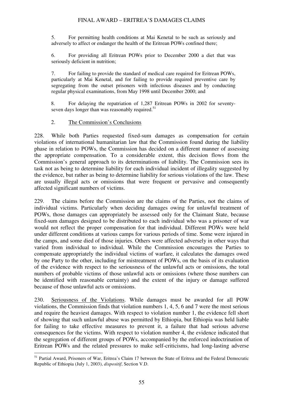5. For permitting health conditions at Mai Kenetal to be such as seriously and adversely to affect or endanger the health of the Eritrean POWs confined there;

6. For providing all Eritrean POWs prior to December 2000 a diet that was seriously deficient in nutrition;

7. For failing to provide the standard of medical care required for Eritrean POWs, particularly at Mai Kenetal, and for failing to provide required preventive care by segregating from the outset prisoners with infectious diseases and by conducting regular physical examinations, from May 1998 until December 2000; and

8. For delaying the repatriation of 1,287 Eritrean POWs in 2002 for seventyseven days longer than was reasonably required.<sup>51</sup>

## 2. The Commission's Conclusions

228. While both Parties requested fixed-sum damages as compensation for certain violations of international humanitarian law that the Commission found during the liability phase in relation to POWs, the Commission has decided on a different manner of assessing the appropriate compensation. To a considerable extent, this decision flows from the Commission's general approach to its determinations of liability. The Commission sees its task not as being to determine liability for each individual incident of illegality suggested by the evidence, but rather as being to determine liability for serious violations of the law. These are usually illegal acts or omissions that were frequent or pervasive and consequently affected significant numbers of victims.

229. The claims before the Commission are the claims of the Parties, not the claims of individual victims. Particularly when deciding damages owing for unlawful treatment of POWs, those damages can appropriately be assessed only for the Claimant State, because fixed-sum damages designed to be distributed to each individual who was a prisoner of war would not reflect the proper compensation for that individual. Different POWs were held under different conditions at various camps for various periods of time. Some were injured in the camps, and some died of those injuries. Others were affected adversely in other ways that varied from individual to individual. While the Commission encourages the Parties to compensate appropriately the individual victims of warfare, it calculates the damages owed by one Party to the other, including for mistreatment of POWs, on the basis of its evaluation of the evidence with respect to the seriousness of the unlawful acts or omissions, the total numbers of probable victims of those unlawful acts or omissions (where those numbers can be identified with reasonable certainty) and the extent of the injury or damage suffered because of those unlawful acts or omissions.

230. Seriousness of the Violations. While damages must be awarded for all POW violations, the Commission finds that violation numbers 1, 4, 5, 6 and 7 were the most serious and require the heaviest damages. With respect to violation number 1, the evidence fell short of showing that such unlawful abuse was permitted by Ethiopia, but Ethiopia was held liable for failing to take effective measures to prevent it, a failure that had serious adverse consequences for the victims. With respect to violation number 4, the evidence indicated that the segregation of different groups of POWs, accompanied by the enforced indoctrination of Eritrean POWs and the related pressures to make self-criticisms, had long-lasting adverse

<sup>&</sup>lt;sup>51</sup> Partial Award, Prisoners of War, Eritrea's Claim 17 between the State of Eritrea and the Federal Democratic Republic of Ethiopia (July 1, 2003), *dispositif*, Section V.D.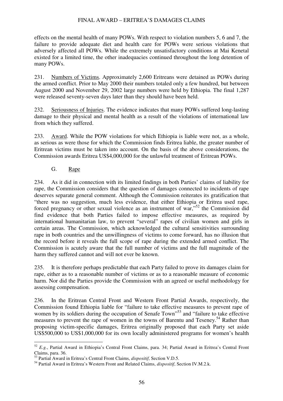effects on the mental health of many POWs. With respect to violation numbers 5, 6 and 7, the failure to provide adequate diet and health care for POWs were serious violations that adversely affected all POWs. While the extremely unsatisfactory conditions at Mai Kenetal existed for a limited time, the other inadequacies continued throughout the long detention of many POWs.

231. Numbers of Victims. Approximately 2,600 Eritreans were detained as POWs during the armed conflict. Prior to May 2000 their numbers totaled only a few hundred, but between August 2000 and November 29, 2002 large numbers were held by Ethiopia. The final 1,287 were released seventy-seven days later than they should have been held.

232. Seriousness of Injuries. The evidence indicates that many POWs suffered long-lasting damage to their physical and mental health as a result of the violations of international law from which they suffered.

233. Award. While the POW violations for which Ethiopia is liable were not, as a whole, as serious as were those for which the Commission finds Eritrea liable, the greater number of Eritrean victims must be taken into account. On the basis of the above considerations, the Commission awards Eritrea US\$4,000,000 for the unlawful treatment of Eritrean POWs.

G. Rape

234. As it did in connection with its limited findings in both Parties' claims of liability for rape, the Commission considers that the question of damages connected to incidents of rape deserves separate general comment. Although the Commission reiterates its gratification that "there was no suggestion, much less evidence, that either Ethiopia or Eritrea used rape, forced pregnancy or other sexual violence as an instrument of war,"<sup>52</sup> the Commission did find evidence that both Parties failed to impose effective measures, as required by international humanitarian law, to prevent "several" rapes of civilian women and girls in certain areas. The Commission, which acknowledged the cultural sensitivities surrounding rape in both countries and the unwillingness of victims to come forward, has no illusion that the record before it reveals the full scope of rape during the extended armed conflict. The Commission is acutely aware that the full number of victims and the full magnitude of the harm they suffered cannot and will not ever be known.

235. It is therefore perhaps predictable that each Party failed to prove its damages claim for rape, either as to a reasonable number of victims or as to a reasonable measure of economic harm. Nor did the Parties provide the Commission with an agreed or useful methodology for assessing compensation.

236. In the Eritrean Central Front and Western Front Partial Awards, respectively, the Commission found Ethiopia liable for "failure to take effective measures to prevent rape of women by its soldiers during the occupation of Senafe Town"<sup>53</sup> and "failure to take effective measures to prevent the rape of women in the towns of Barentu and Teseney.<sup>54</sup> Rather than proposing victim-specific damages, Eritrea originally proposed that each Party set aside US\$500,000 to US\$1,000,000 for its own locally administered programs for women's health

<sup>52</sup> *E.g.*, Partial Award in Ethiopia's Central Front Claims, para. 34; Partial Award in Eritrea's Central Front Claims, para. 36.

<sup>53</sup> Partial Award in Eritrea's Central Front Claims, *dispositif*, Section V.D.5.

<sup>54</sup> Partial Award in Eritrea's Western Front and Related Claims, *dispositif*, Section IV.M.2.k.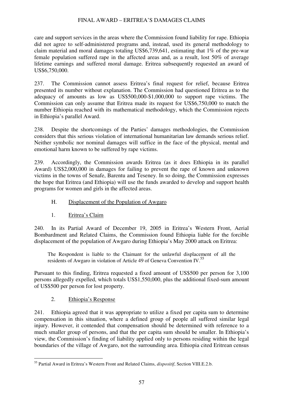care and support services in the areas where the Commission found liability for rape. Ethiopia did not agree to self-administered programs and, instead, used its general methodology to claim material and moral damages totaling US\$6,739,641, estimating that 1% of the pre-war female population suffered rape in the affected areas and, as a result, lost 50% of average lifetime earnings and suffered moral damage. Eritrea subsequently requested an award of US\$6,750,000.

237. The Commission cannot assess Eritrea's final request for relief, because Eritrea presented its number without explanation. The Commission had questioned Eritrea as to the adequacy of amounts as low as US\$500,000-\$1,000,000 to support rape victims. The Commission can only assume that Eritrea made its request for US\$6,750,000 to match the number Ethiopia reached with its mathematical methodology, which the Commission rejects in Ethiopia's parallel Award.

238. Despite the shortcomings of the Parties' damages methodologies, the Commission considers that this serious violation of international humanitarian law demands serious relief. Neither symbolic nor nominal damages will suffice in the face of the physical, mental and emotional harm known to be suffered by rape victims.

239. Accordingly, the Commission awards Eritrea (as it does Ethiopia in its parallel Award) US\$2,000,000 in damages for failing to prevent the rape of known and unknown victims in the towns of Senafe, Barentu and Teseney. In so doing, the Commission expresses the hope that Eritrea (and Ethiopia) will use the funds awarded to develop and support health programs for women and girls in the affected areas.

- H. Displacement of the Population of Awgaro
- 1. Eritrea's Claim

240. In its Partial Award of December 19, 2005 in Eritrea's Western Front, Aerial Bombardment and Related Claims, the Commission found Ethiopia liable for the forcible displacement of the population of Awgaro during Ethiopia's May 2000 attack on Eritrea:

The Respondent is liable to the Claimant for the unlawful displacement of all the residents of Awgaro in violation of Article 49 of Geneva Convention IV.<sup>55</sup>

Pursuant to this finding, Eritrea requested a fixed amount of US\$500 per person for 3,100 persons allegedly expelled, which totals US\$1,550,000, plus the additional fixed-sum amount of US\$500 per person for lost property.

2. Ethiopia's Response

241. Ethiopia agreed that it was appropriate to utilize a fixed per capita sum to determine compensation in this situation, where a defined group of people all suffered similar legal injury. However, it contended that compensation should be determined with reference to a much smaller group of persons, and that the per capita sum should be smaller. In Ethiopia's view, the Commission's finding of liability applied only to persons residing within the legal boundaries of the village of Awgaro, not the surrounding area. Ethiopia cited Eritrean census

<sup>55</sup> Partial Award in Eritrea's Western Front and Related Claims, *dispositif*, Section VIII.E.2.b.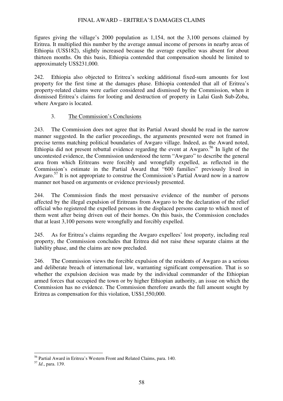figures giving the village's 2000 population as 1,154, not the 3,100 persons claimed by Eritrea. It multiplied this number by the average annual income of persons in nearby areas of Ethiopia (US\$182), slightly increased because the average expellee was absent for about thirteen months. On this basis, Ethiopia contended that compensation should be limited to approximately US\$231,000.

242. Ethiopia also objected to Eritrea's seeking additional fixed-sum amounts for lost property for the first time at the damages phase. Ethiopia contended that all of Eritrea's property-related claims were earlier considered and dismissed by the Commission, when it dismissed Eritrea's claims for looting and destruction of property in Lalai Gash Sub-Zoba, where Awgaro is located.

# 3. The Commission's Conclusions

243. The Commission does not agree that its Partial Award should be read in the narrow manner suggested. In the earlier proceedings, the arguments presented were not framed in precise terms matching political boundaries of Awgaro village. Indeed, as the Award noted, Ethiopia did not present rebuttal evidence regarding the event at Awgaro.<sup>56</sup> In light of the uncontested evidence, the Commission understood the term "Awgaro" to describe the general area from which Eritreans were forcibly and wrongfully expelled, as reflected in the Commission's estimate in the Partial Award that "600 families" previously lived in Awgaro.<sup>57</sup> It is not appropriate to construe the Commission's Partial Award now in a narrow manner not based on arguments or evidence previously presented.

244. The Commission finds the most persuasive evidence of the number of persons affected by the illegal expulsion of Eritreans from Awgaro to be the declaration of the relief official who registered the expelled persons in the displaced persons camp to which most of them went after being driven out of their homes. On this basis, the Commission concludes that at least 3,100 persons were wrongfully and forcibly expelled.

245. As for Eritrea's claims regarding the Awgaro expellees' lost property, including real property, the Commission concludes that Eritrea did not raise these separate claims at the liability phase, and the claims are now precluded.

246. The Commission views the forcible expulsion of the residents of Awgaro as a serious and deliberate breach of international law, warranting significant compensation. That is so whether the expulsion decision was made by the individual commander of the Ethiopian armed forces that occupied the town or by higher Ethiopian authority, an issue on which the Commission has no evidence. The Commission therefore awards the full amount sought by Eritrea as compensation for this violation, US\$1,550,000.

<sup>&</sup>lt;sup>56</sup> Partial Award in Eritrea's Western Front and Related Claims, para. 140.

<sup>57</sup> *Id*., para. 139.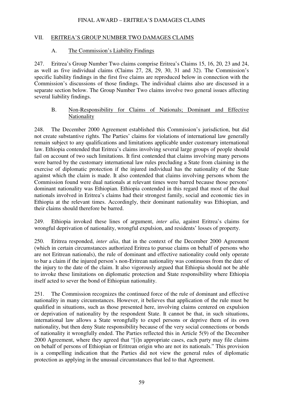## VII. ERITREA'S GROUP NUMBER TWO DAMAGES CLAIMS

## A. The Commission's Liability Findings

247. Eritrea's Group Number Two claims comprise Eritrea's Claims 15, 16, 20, 23 and 24, as well as five individual claims (Claims 27, 28, 29, 30, 31 and 32). The Commission's specific liability findings in the first five claims are reproduced below in connection with the Commission's discussions of those findings. The individual claims also are discussed in a separate section below. The Group Number Two claims involve two general issues affecting several liability findings.

## B. Non-Responsibility for Claims of Nationals; Dominant and Effective Nationality

248. The December 2000 Agreement established this Commission's jurisdiction, but did not create substantive rights. The Parties' claims for violations of international law generally remain subject to any qualifications and limitations applicable under customary international law. Ethiopia contended that Eritrea's claims involving several large groups of people should fail on account of two such limitations. It first contended that claims involving many persons were barred by the customary international law rules precluding a State from claiming in the exercise of diplomatic protection if the injured individual has the nationality of the State against which the claim is made. It also contended that claims involving persons whom the Commission found were dual nationals at relevant times were barred because those persons' dominant nationality was Ethiopian. Ethiopia contended in this regard that most of the dual nationals involved in Eritrea's claims had their strongest family, social and economic ties in Ethiopia at the relevant times. Accordingly, their dominant nationality was Ethiopian, and their claims should therefore be barred.

249. Ethiopia invoked these lines of argument, *inter alia*, against Eritrea's claims for wrongful deprivation of nationality, wrongful expulsion, and residents' losses of property.

250. Eritrea responded, *inter alia*, that in the context of the December 2000 Agreement (which in certain circumstances authorized Eritrea to pursue claims on behalf of persons who are not Eritrean nationals), the rule of dominant and effective nationality could only operate to bar a claim if the injured person's non-Eritrean nationality was continuous from the date of the injury to the date of the claim. It also vigorously argued that Ethiopia should not be able to invoke these limitations on diplomatic protection and State responsibility where Ethiopia itself acted to sever the bond of Ethiopian nationality.

251. The Commission recognizes the continued force of the rule of dominant and effective nationality in many circumstances. However, it believes that application of the rule must be qualified in situations, such as those presented here, involving claims centered on expulsion or deprivation of nationality by the respondent State. It cannot be that, in such situations, international law allows a State wrongfully to expel persons or deprive them of its own nationality, but then deny State responsibility because of the very social connections or bonds of nationality it wrongfully ended. The Parties reflected this in Article 5(9) of the December 2000 Agreement, where they agreed that "[i]n appropriate cases, each party may file claims on behalf of persons of Ethiopian or Eritrean origin who are not its nationals." This provision is a compelling indication that the Parties did not view the general rules of diplomatic protection as applying in the unusual circumstances that led to that Agreement.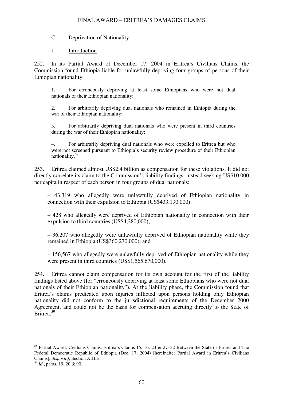C. Deprivation of Nationality

1. Introduction

252. In its Partial Award of December 17, 2004 in Eritrea's Civilians Claims, the Commission found Ethiopia liable for unlawfully depriving four groups of persons of their Ethiopian nationality:

1. For erroneously depriving at least some Ethiopians who were not dual nationals of their Ethiopian nationality;

2. For arbitrarily depriving dual nationals who remained in Ethiopia during the war of their Ethiopian nationality;

3. For arbitrarily depriving dual nationals who were present in third countries during the war of their Ethiopian nationality;

4. For arbitrarily depriving dual nationals who were expelled to Eritrea but who were not screened pursuant to Ethiopia's security review procedure of their Ethiopian nationality. 58

253. Eritrea claimed almost US\$2.4 billion as compensation for these violations. It did not directly correlate its claim to the Commission's liability findings, instead seeking US\$10,000 per capita in respect of each person in four groups of dual nationals:

– 43,319 who allegedly were unlawfully deprived of Ethiopian nationality in connection with their expulsion to Ethiopia (US\$433,190,000);

– 428 who allegedly were deprived of Ethiopian nationality in connection with their expulsion to third countries (US\$4,280,000);

– 36,207 who allegedly were unlawfully deprived of Ethiopian nationality while they remained in Ethiopia (US\$360,270,000); and

– 156,567 who allegedly were unlawfully deprived of Ethiopian nationality while they were present in third countries (US\$1,565,670,000).

254. Eritrea cannot claim compensation for its own account for the first of the liability findings listed above (for "erroneously depriving at least some Ethiopians who were not dual nationals of their Ethiopian nationality"). At the liability phase, the Commission found that Eritrea's claims predicated upon injuries inflicted upon persons holding only Ethiopian nationality did not conform to the jurisdictional requirements of the December 2000 Agreement, and could not be the basis for compensation accruing directly to the State of Eritrea. 59

<sup>&</sup>lt;sup>58</sup> Partial Award, Civilians Claims, Eritrea's Claims 15, 16, 23 & 27–32 Between the State of Eritrea and The Federal Democratic Republic of Ethiopia (Dec. 17, 2004) [hereinafter Partial Award in Eritrea's Civilians Claims], *dispositif*, Section XIII.E.

<sup>59</sup> *Id*., paras. 19, 20 & 90.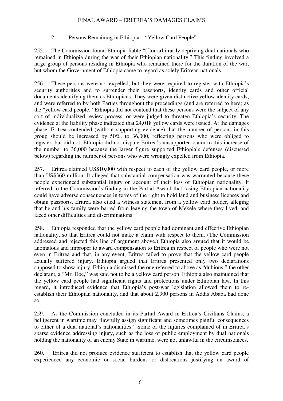## 2. Persons Remaining in Ethiopia – "Yellow Card People"

255. The Commission found Ethiopia liable "[f]or arbitrarily depriving dual nationals who remained in Ethiopia during the war of their Ethiopian nationality." This finding involved a large group of persons residing in Ethiopia who remained there for the duration of the war, but whom the Government of Ethiopia came to regard as solely Eritrean nationals.

256. These persons were not expelled, but they were required to register with Ethiopia's security authorities and to surrender their passports, identity cards and other official documents identifying them as Ethiopians. They were given distinctive yellow identity cards, and were referred to by both Parties throughout the proceedings (and are referred to here) as the "yellow card people." Ethiopia did not contend that these persons were the subject of any sort of individualized review process, or were judged to threaten Ethiopia's security. The evidence at the liability phase indicated that 24,018 yellow cards were issued. At the damages phase, Eritrea contended (without supporting evidence) that the number of persons in this group should be increased by 50%, to 36,000, reflecting persons who were obliged to register, but did not. Ethiopia did not dispute Eritrea's unsupported claim to this increase of the number to 36,000 because the larger figure supported Ethiopia's defenses (discussed below) regarding the number of persons who were wrongly expelled from Ethiopia.

257. Eritrea claimed US\$10,000 with respect to each of the yellow card people, or more than US\$360 million. It alleged that substantial compensation was warranted because these people experienced substantial injury on account of their loss of Ethiopian nationality. It referred to the Commission's finding in the Partial Award that losing Ethiopian nationality could have adverse consequences in terms of the right to hold land and business licenses and obtain passports. Eritrea also cited a witness statement from a yellow card holder, alleging that he and his family were barred from leaving the town of Mekele where they lived, and faced other difficulties and discriminations.

258. Ethiopia responded that the yellow card people had dominant and effective Ethiopian nationality, so that Eritrea could not make a claim with respect to them. (The Commission addressed and rejected this line of argument above.) Ethiopia also argued that it would be anomalous and improper to award compensation to Eritrea in respect of people who were not even in Eritrea and that, in any event, Eritrea failed to prove that the yellow card people actually suffered injury. Ethiopia argued that Eritrea presented only two declarations supposed to show injury. Ethiopia dismissed the one referred to above as "dubious;" the other declarant, a "Mr. Doe," was said not to be a yellow card person. Ethiopia also maintained that the yellow card people had significant rights and protections under Ethiopian law. In this regard, it introduced evidence that Ethiopia's post-war legislation allowed them to reestablish their Ethiopian nationality, and that about 2,900 persons in Addis Ababa had done so.

259. As the Commission concluded in its Partial Award in Eritrea's Civilians Claims, a belligerent in wartime may "lawfully assign significant and sometimes painful consequences to either of a dual national's nationalities." Some of the injuries complained of in Eritrea's sparse evidence addressing injury, such as the loss of public employment by dual nationals holding the nationality of an enemy State in wartime, were not unlawful in the circumstances.

260. Eritrea did not produce evidence sufficient to establish that the yellow card people experienced any economic or social burdens or dislocations justifying an award of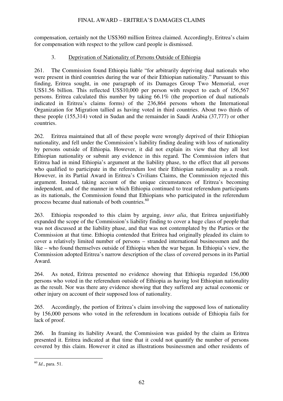compensation, certainly not the US\$360 million Eritrea claimed. Accordingly, Eritrea's claim for compensation with respect to the yellow card people is dismissed.

# 3. Deprivation of Nationality of Persons Outside of Ethiopia

261. The Commission found Ethiopia liable "for arbitrarily depriving dual nationals who were present in third countries during the war of their Ethiopian nationality." Pursuant to this finding, Eritrea sought, in one paragraph of its Damages Group Two Memorial, over US\$1.56 billion. This reflected US\$10,000 per person with respect to each of 156,567 persons. Eritrea calculated this number by taking 66.1% (the proportion of dual nationals indicated in Eritrea's claims forms) of the 236,864 persons whom the International Organization for Migration tallied as having voted in third countries. About two thirds of these people (155,314) voted in Sudan and the remainder in Saudi Arabia (37,777) or other countries.

262. Eritrea maintained that all of these people were wrongly deprived of their Ethiopian nationality, and fell under the Commission's liability finding dealing with loss of nationality by persons outside of Ethiopia. However, it did not explain its view that they all lost Ethiopian nationality or submit any evidence in this regard. The Commission infers that Eritrea had in mind Ethiopia's argument at the liability phase, to the effect that all persons who qualified to participate in the referendum lost their Ethiopian nationality as a result. However, in its Partial Award in Eritrea's Civilians Claims, the Commission rejected this argument. Instead, taking account of the unique circumstances of Eritrea's becoming independent, and of the manner in which Ethiopia continued to treat referendum participants as its nationals, the Commission found that Ethiopians who participated in the referendum process became dual nationals of both countries.<sup>60</sup>

263. Ethiopia responded to this claim by arguing, *inter alia*, that Eritrea unjustifiably expanded the scope of the Commission's liability finding to cover a huge class of people that was not discussed at the liability phase, and that was not contemplated by the Parties or the Commission at that time. Ethiopia contended that Eritrea had originally pleaded its claim to cover a relatively limited number of persons – stranded international businessmen and the like – who found themselves outside of Ethiopia when the war began. In Ethiopia's view, the Commission adopted Eritrea's narrow description of the class of covered persons in its Partial Award.

264. As noted, Eritrea presented no evidence showing that Ethiopia regarded 156,000 persons who voted in the referendum outside of Ethiopia as having lost Ethiopian nationality as the result. Nor was there any evidence showing that they suffered any actual economic or other injury on account of their supposed loss of nationality.

265. Accordingly, the portion of Eritrea's claim involving the supposed loss of nationality by 156,000 persons who voted in the referendum in locations outside of Ethiopia fails for lack of proof.

266. In framing its liability Award, the Commission was guided by the claim as Eritrea presented it. Eritrea indicated at that time that it could not quantify the number of persons covered by this claim. However it cited as illustrations businessmen and other residents of

<sup>60</sup> *Id*., para. 51.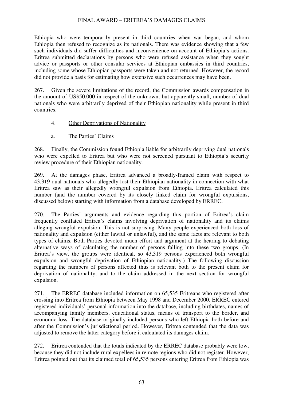Ethiopia who were temporarily present in third countries when war began, and whom Ethiopia then refused to recognize as its nationals. There was evidence showing that a few such individuals did suffer difficulties and inconvenience on account of Ethiopia's actions. Eritrea submitted declarations by persons who were refused assistance when they sought advice or passports or other consular services at Ethiopian embassies in third countries, including some whose Ethiopian passports were taken and not returned. However, the record did not provide a basis for estimating how extensive such occurrences may have been.

267. Given the severe limitations of the record, the Commission awards compensation in the amount of US\$50,000 in respect of the unknown, but apparently small, number of dual nationals who were arbitrarily deprived of their Ethiopian nationality while present in third countries.

## 4. Other Deprivations of Nationality

# a. The Parties' Claims

268. Finally, the Commission found Ethiopia liable for arbitrarily depriving dual nationals who were expelled to Eritrea but who were not screened pursuant to Ethiopia's security review procedure of their Ethiopian nationality.

269. At the damages phase, Eritrea advanced a broadly-framed claim with respect to 43,319 dual nationals who allegedly lost their Ethiopian nationality in connection with what Eritrea saw as their allegedly wrongful expulsion from Ethiopia. Eritrea calculated this number (and the number covered by its closely linked claim for wrongful expulsions, discussed below) starting with information from a database developed by ERREC.

270. The Parties' arguments and evidence regarding this portion of Eritrea's claim frequently conflated Eritrea's claims involving deprivation of nationality and its claims alleging wrongful expulsion. This is not surprising. Many people experienced both loss of nationality and expulsion (either lawful or unlawful), and the same facts are relevant to both types of claims. Both Parties devoted much effort and argument at the hearing to debating alternative ways of calculating the number of persons falling into these two groups. (In Eritrea's view, the groups were identical, so 43,319 persons experienced both wrongful expulsion and wrongful deprivation of Ethiopian nationality.) The following discussion regarding the numbers of persons affected thus is relevant both to the present claim for deprivation of nationality, and to the claim addressed in the next section for wrongful expulsion.

271. The ERREC database included information on 65,535 Eritreans who registered after crossing into Eritrea from Ethiopia between May 1998 and December 2000. ERREC entered registered individuals' personal information into the database, including birthdates, names of accompanying family members, educational status, means of transport to the border, and economic loss. The database originally included persons who left Ethiopia both before and after the Commission's jurisdictional period. However, Eritrea contended that the data was adjusted to remove the latter category before it calculated its damages claim.

272. Eritrea contended that the totals indicated by the ERREC database probably were low, because they did not include rural expellees in remote regions who did not register. However, Eritrea pointed out that its claimed total of 65,535 persons entering Eritrea from Ethiopia was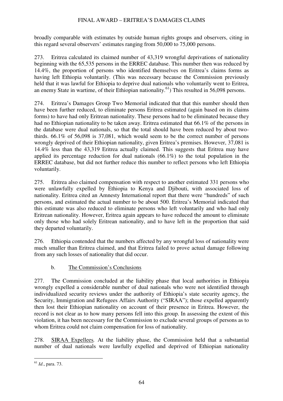broadly comparable with estimates by outside human rights groups and observers, citing in this regard several observers' estimates ranging from 50,000 to 75,000 persons.

273. Eritrea calculated its claimed number of 43,319 wrongful deprivations of nationality beginning with the 65,535 persons in the ERREC database. This number then was reduced by 14.4%, the proportion of persons who identified themselves on Eritrea's claims forms as having left Ethiopia voluntarily. (This was necessary because the Commission previously held that it was lawful for Ethiopia to deprive dual nationals who voluntarily went to Eritrea, an enemy State in wartime, of their Ethiopian nationality.<sup>61</sup>) This resulted in 56,098 persons.

274. Eritrea's Damages Group Two Memorial indicated that that this number should then have been further reduced, to eliminate persons Eritrea estimated (again based on its claims forms) to have had only Eritrean nationality. These persons had to be eliminated because they had no Ethiopian nationality to be taken away. Eritrea estimated that 66.1% of the persons in the database were dual nationals, so that the total should have been reduced by about twothirds. 66.1% of 56,098 is 37,081, which would seem to be the correct number of persons wrongly deprived of their Ethiopian nationality, given Eritrea's premises. However, 37,081 is 14.4% less than the 43,319 Eritrea actually claimed. This suggests that Eritrea may have applied its percentage reduction for dual nationals (66.1%) to the total population in the ERREC database, but did not further reduce this number to reflect persons who left Ethiopia voluntarily.

275. Eritrea also claimed compensation with respect to another estimated 331 persons who were unlawfully expelled by Ethiopia to Kenya and Djibouti, with associated loss of nationality. Eritrea cited an Amnesty International report that there were "hundreds" of such persons, and estimated the actual number to be about 500. Eritrea's Memorial indicated that this estimate was also reduced to eliminate persons who left voluntarily and who had only Eritrean nationality. However, Eritrea again appears to have reduced the amount to eliminate only those who had solely Eritrean nationality, and to have left in the proportion that said they departed voluntarily.

276. Ethiopia contended that the numbers affected by any wrongful loss of nationality were much smaller than Eritrea claimed, and that Eritrea failed to prove actual damage following from any such losses of nationality that did occur.

# b. The Commission's Conclusions

277. The Commission concluded at the liability phase that local authorities in Ethiopia wrongly expelled a considerable number of dual nationals who were not identified through individualized security reviews under the authority of Ethiopia's state security agency, the Security, Immigration and Refugees Affairs Authority ("SIRAA"); those expelled apparently then lost their Ethiopian nationality on account of their presence in Eritrea. However, the record is not clear as to how many persons fell into this group. In assessing the extent of this violation, it has been necessary for the Commission to exclude several groups of persons as to whom Eritrea could not claim compensation for loss of nationality.

278. SIRAA Expellees*.* At the liability phase, the Commission held that a substantial number of dual nationals were lawfully expelled and deprived of Ethiopian nationality

<sup>61</sup> *Id*., para. 73.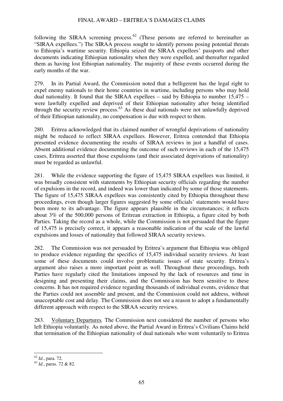following the SIRAA screening process.  $62$  (These persons are referred to hereinafter as "SIRAA expellees.") The SIRAA process sought to identify persons posing potential threats to Ethiopia's wartime security. Ethiopia seized the SIRAA expellees' passports and other documents indicating Ethiopian nationality when they were expelled, and thereafter regarded them as having lost Ethiopian nationality. The majority of these events occurred during the early months of the war.

279. In its Partial Award, the Commission noted that a belligerent has the legal right to expel enemy nationals to their home countries in wartime, including persons who may hold dual nationality. It found that the SIRAA expellees – said by Ethiopia to number 15,475 – were lawfully expelled and deprived of their Ethiopian nationality after being identified through the security review process. <sup>63</sup> As these dual nationals were not unlawfully deprived of their Ethiopian nationality, no compensation is due with respect to them.

280. Eritrea acknowledged that its claimed number of wrongful deprivations of nationality might be reduced to reflect SIRAA expellees. However, Eritrea contended that Ethiopia presented evidence documenting the results of SIRAA reviews in just a handful of cases. Absent additional evidence documenting the outcome of such reviews in each of the 15,475 cases, Eritrea asserted that those expulsions (and their associated deprivations of nationality) must be regarded as unlawful.

281. While the evidence supporting the figure of 15,475 SIRAA expellees was limited, it was broadly consistent with statements by Ethiopian security officials regarding the number of expulsions in the record, and indeed was lower than indicated by some of those statements. The figure of 15,475 SIRAA expellees was consistently cited by Ethiopia throughout these proceedings, even though larger figures suggested by some officials' statements would have been more to its advantage. The figure appears plausible in the circumstances; it reflects about 3% of the 500,000 persons of Eritrean extraction in Ethiopia, a figure cited by both Parties. Taking the record as a whole, while the Commission is not persuaded that the figure of 15,475 is precisely correct, it appears a reasonable indication of the scale of the lawful expulsions and losses of nationality that followed SIRAA security reviews.

282. The Commission was not persuaded by Eritrea's argument that Ethiopia was obliged to produce evidence regarding the specifics of 15,475 individual security reviews. At least some of these documents could involve problematic issues of state security. Eritrea's argument also raises a more important point as well. Throughout these proceedings, both Parties have regularly cited the limitations imposed by the lack of resources and time in designing and presenting their claims, and the Commission has been sensitive to these concerns. It has not required evidence regarding thousands of individual events, evidence that the Parties could not assemble and present, and the Commission could not address, without unacceptable cost and delay. The Commission does not see a reason to adopt a fundamentally different approach with respect to the SIRAA security reviews.

283. Voluntary Departures*.* The Commission next considered the number of persons who left Ethiopia voluntarily. As noted above, the Partial Award in Eritrea's Civilians Claims held that termination of the Ethiopian nationality of dual nationals who went voluntarily to Eritrea

<sup>62</sup> *Id*., para. 72.

<sup>63</sup> *Id*., paras. 72 & 82.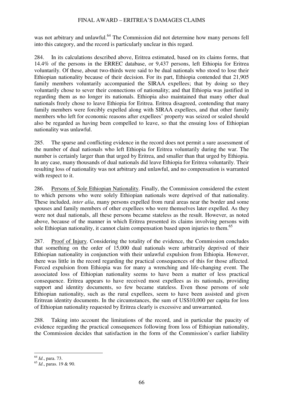was not arbitrary and unlawful.<sup>64</sup> The Commission did not determine how many persons fell into this category, and the record is particularly unclear in this regard.

284. In its calculations described above, Eritrea estimated, based on its claims forms, that 14.4% of the persons in the ERREC database, or 9,437 persons, left Ethiopia for Eritrea voluntarily. Of these, about two-thirds were said to be dual nationals who stood to lose their Ethiopian nationality because of their decision. For its part, Ethiopia contended that 21,905 family members voluntarily accompanied the SIRAA expellees; that by doing so they voluntarily chose to sever their connections of nationality; and that Ethiopia was justified in regarding them as no longer its nationals. Ethiopia also maintained that many other dual nationals freely chose to leave Ethiopia for Eritrea. Eritrea disagreed, contending that many family members were forcibly expelled along with SIRAA expellees, and that other family members who left for economic reasons after expellees' property was seized or sealed should also be regarded as having been compelled to leave, so that the ensuing loss of Ethiopian nationality was unlawful.

285. The sparse and conflicting evidence in the record does not permit a sure assessment of the number of dual nationals who left Ethiopia for Eritrea voluntarily during the war. The number is certainly larger than that urged by Eritrea, and smaller than that urged by Ethiopia. In any case, many thousands of dual nationals did leave Ethiopia for Eritrea voluntarily. Their resulting loss of nationality was not arbitrary and unlawful, and no compensation is warranted with respect to it.

286. Persons of Sole Ethiopian Nationality. Finally, the Commission considered the extent to which persons who were solely Ethiopian nationals were deprived of that nationality. These included, *inter alia*, many persons expelled from rural areas near the border and some spouses and family members of other expellees who were themselves later expelled. As they were not dual nationals, all these persons became stateless as the result. However, as noted above, because of the manner in which Eritrea presented its claims involving persons with sole Ethiopian nationality, it cannot claim compensation based upon injuries to them. 65

287. Proof of Injury. Considering the totality of the evidence, the Commission concludes that something on the order of 15,000 dual nationals were arbitrarily deprived of their Ethiopian nationality in conjunction with their unlawful expulsion from Ethiopia. However, there was little in the record regarding the practical consequences of this for those affected. Forced expulsion from Ethiopia was for many a wrenching and life-changing event. The associated loss of Ethiopian nationality seems to have been a matter of less practical consequence. Eritrea appears to have received most expellees as its nationals, providing support and identity documents, so few became stateless. Even those persons of sole Ethiopian nationality, such as the rural expellees, seem to have been assisted and given Eritrean identity documents. In the circumstances, the sum of US\$10,000 per capita for loss of Ethiopian nationality requested by Eritrea clearly is excessive and unwarranted.

288. Taking into account the limitations of the record, and in particular the paucity of evidence regarding the practical consequences following from loss of Ethiopian nationality, the Commission decides that satisfaction in the form of the Commission's earlier liability

<sup>64</sup> *Id*., para. 73.

<sup>65</sup> *Id*., paras. 19 & 90.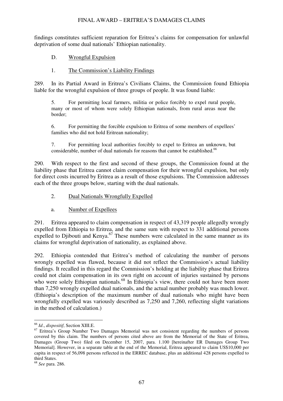findings constitutes sufficient reparation for Eritrea's claims for compensation for unlawful deprivation of some dual nationals' Ethiopian nationality.

## D. Wrongful Expulsion

### 1. The Commission's Liability Findings

289. In its Partial Award in Eritrea's Civilians Claims, the Commission found Ethiopia liable for the wrongful expulsion of three groups of people. It was found liable:

5. For permitting local farmers, militia or police forcibly to expel rural people, many or most of whom were solely Ethiopian nationals, from rural areas near the border;

6. For permitting the forcible expulsion to Eritrea of some members of expellees' families who did not hold Eritrean nationality;

7. For permitting local authorities forcibly to expel to Eritrea an unknown, but considerable, number of dual nationals for reasons that cannot be established.<sup>66</sup>

290. With respect to the first and second of these groups, the Commission found at the liability phase that Eritrea cannot claim compensation for their wrongful expulsion, but only for direct costs incurred by Eritrea as a result of those expulsions. The Commission addresses each of the three groups below, starting with the dual nationals.

- 2. Dual Nationals Wrongfully Expelled
- a. Number of Expellees

291. Eritrea appeared to claim compensation in respect of 43,319 people allegedly wrongly expelled from Ethiopia to Eritrea, and the same sum with respect to 331 additional persons expelled to Djibouti and Kenya.<sup>67</sup> These numbers were calculated in the same manner as its claims for wrongful deprivation of nationality, as explained above.

292. Ethiopia contended that Eritrea's method of calculating the number of persons wrongly expelled was flawed, because it did not reflect the Commission's actual liability findings. It recalled in this regard the Commission's holding at the liability phase that Eritrea could not claim compensation in its own right on account of injuries sustained by persons who were solely Ethiopian nationals.<sup>68</sup> In Ethiopia's view, there could not have been more than 7,250 wrongly expelled dual nationals, and the actual number probably was much lower. (Ethiopia's description of the maximum number of dual nationals who might have been wrongfully expelled was variously described as 7,250 and 7,260, reflecting slight variations in the method of calculation.)

<sup>66</sup> *Id*., *dispositif*, Section XIII.E.

<sup>&</sup>lt;sup>67</sup> Eritrea's Group Number Two Damages Memorial was not consistent regarding the numbers of persons covered by this claim. The numbers of persons cited above are from the Memorial of the State of Eritrea, Damages (Group Two) filed on December 15, 2007, para. 1.100 [hereinafter ER Damages Group Two Memorial]. However, in a separate table at the end of the Memorial, Eritrea appeared to claim US\$10,000 per capita in respect of 56,098 persons reflected in the ERREC database, plus an additional 428 persons expelled to third States.

<sup>68</sup> *See* para. 286.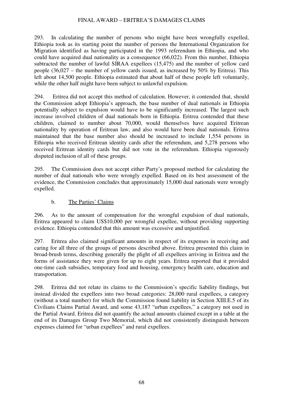293. In calculating the number of persons who might have been wrongfully expelled, Ethiopia took as its starting point the number of persons the International Organization for Migration identified as having participated in the 1993 referendum in Ethiopia, and who could have acquired dual nationality as a consequence (66,022). From this number, Ethiopia subtracted the number of lawful SIRAA expellees (15,475) and the number of yellow card people (36,027 – the number of yellow cards issued, as increased by 50% by Eritrea). This left about 14,500 people. Ethiopia estimated that about half of these people left voluntarily, while the other half might have been subject to unlawful expulsion.

294. Eritrea did not accept this method of calculation. However, it contended that, should the Commission adopt Ethiopia's approach, the base number of dual nationals in Ethiopia potentially subject to expulsion would have to be significantly increased. The largest such increase involved children of dual nationals born in Ethiopia. Eritrea contended that these children, claimed to number about 70,000, would themselves have acquired Eritrean nationality by operation of Eritrean law, and also would have been dual nationals. Eritrea maintained that the base number also should be increased to include 1,554 persons in Ethiopia who received Eritrean identity cards after the referendum, and 5,278 persons who received Eritrean identity cards but did not vote in the referendum. Ethiopia vigorously disputed inclusion of all of these groups.

295. The Commission does not accept either Party's proposed method for calculating the number of dual nationals who were wrongly expelled. Based on its best assessment of the evidence, the Commission concludes that approximately 15,000 dual nationals were wrongly expelled.

### b. The Parties' Claims

296. As to the amount of compensation for the wrongful expulsion of dual nationals, Eritrea appeared to claim US\$10,000 per wrongful expellee, without providing supporting evidence. Ethiopia contended that this amount was excessive and unjustified.

297. Eritrea also claimed significant amounts in respect of its expenses in receiving and caring for all three of the groups of persons described above. Eritrea presented this claim in broad-brush terms, describing generally the plight of all expellees arriving in Eritrea and the forms of assistance they were given for up to eight years. Eritrea reported that it provided one-time cash subsidies, temporary food and housing, emergency health care, education and transportation.

298. Eritrea did not relate its claims to the Commission's specific liability findings, but instead divided the expellees into two broad categories: 28,000 rural expellees, a category (without a total number) for which the Commission found liability in Section XIII.E.5 of its Civilians Claims Partial Award, and some 43,187 "urban expellees," a category not used in the Partial Award. Eritrea did not quantify the actual amounts claimed except in a table at the end of its Damages Group Two Memorial, which did not consistently distinguish between expenses claimed for "urban expellees" and rural expellees.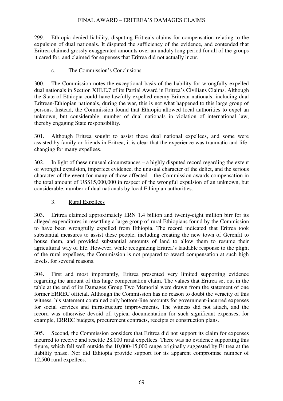299. Ethiopia denied liability, disputing Eritrea's claims for compensation relating to the expulsion of dual nationals. It disputed the sufficiency of the evidence, and contended that Eritrea claimed grossly exaggerated amounts over an unduly long period for all of the groups it cared for, and claimed for expenses that Eritrea did not actually incur.

# c. The Commission's Conclusions

300. The Commission notes the exceptional basis of the liability for wrongfully expelled dual nationals in Section XIII.E.7 of its Partial Award in Eritrea's Civilians Claims. Although the State of Ethiopia could have lawfully expelled enemy Eritrean nationals, including dual Eritrean-Ethiopian nationals, during the war, this is not what happened to this large group of persons. Instead, the Commission found that Ethiopia allowed local authorities to expel an unknown, but considerable, number of dual nationals in violation of international law, thereby engaging State responsibility.

301. Although Eritrea sought to assist these dual national expellees, and some were assisted by family or friends in Eritrea, it is clear that the experience was traumatic and lifechanging for many expellees.

302. In light of these unusual circumstances – a highly disputed record regarding the extent of wrongful expulsion, imperfect evidence, the unusual character of the delict, and the serious character of the event for many of those affected – the Commission awards compensation in the total amount of US\$15,000,000 in respect of the wrongful expulsion of an unknown, but considerable, number of dual nationals by local Ethiopian authorities.

# 3. Rural Expellees

303. Eritrea claimed approximately ERN 1.4 billion and twenty-eight million birr for its alleged expenditures in resettling a large group of rural Ethiopians found by the Commission to have been wrongfully expelled from Ethiopia. The record indicated that Eritrea took substantial measures to assist these people, including creating the new town of Gerenfit to house them, and provided substantial amounts of land to allow them to resume their agricultural way of life. However, while recognizing Eritrea's laudable response to the plight of the rural expellees, the Commission is not prepared to award compensation at such high levels, for several reasons.

304. First and most importantly, Eritrea presented very limited supporting evidence regarding the amount of this huge compensation claim. The values that Eritrea set out in the table at the end of its Damages Group Two Memorial were drawn from the statement of one former ERREC official. Although the Commission has no reason to doubt the veracity of this witness, his statement contained only bottom-line amounts for government-incurred expenses for social services and infrastructure improvements. The witness did not attach, and the record was otherwise devoid of, typical documentation for such significant expenses, for example, ERREC budgets, procurement contracts, receipts or construction plans.

305. Second, the Commission considers that Eritrea did not support its claim for expenses incurred to receive and resettle 28,000 rural expellees. There was no evidence supporting this figure, which fell well outside the 10,000-15,000 range originally suggested by Eritrea at the liability phase. Nor did Ethiopia provide support for its apparent compromise number of 12,500 rural expellees.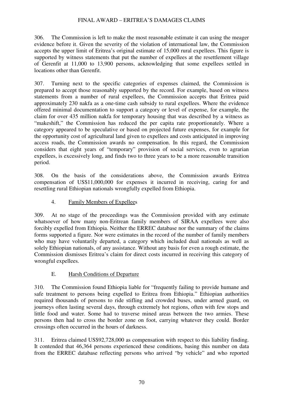306. The Commission is left to make the most reasonable estimate it can using the meager evidence before it. Given the severity of the violation of international law, the Commission accepts the upper limit of Eritrea's original estimate of 15,000 rural expellees. This figure is supported by witness statements that put the number of expellees at the resettlement village of Gerenfit at 11,000 to 13,900 persons, acknowledging that some expellees settled in locations other than Gerenfit.

307. Turning next to the specific categories of expenses claimed, the Commission is prepared to accept those reasonably supported by the record. For example, based on witness statements from a number of rural expellees, the Commission accepts that Eritrea paid approximately 230 nakfa as a one-time cash subsidy to rural expellees. Where the evidence offered minimal documentation to support a category or level of expense, for example, the claim for over 435 million nakfa for temporary housing that was described by a witness as "makeshift," the Commission has reduced the per capita rate proportionately. Where a category appeared to be speculative or based on projected future expenses, for example for the opportunity cost of agricultural land given to expellees and costs anticipated in improving access roads, the Commission awards no compensation. In this regard, the Commission considers that eight years of "temporary" provision of social services, even to agrarian expellees, is excessively long, and finds two to three years to be a more reasonable transition period.

308. On the basis of the considerations above, the Commission awards Eritrea compensation of US\$11,000,000 for expenses it incurred in receiving, caring for and resettling rural Ethiopian nationals wrongfully expelled from Ethiopia.

# 4. Family Members of Expellees

309. At no stage of the proceedings was the Commission provided with any estimate whatsoever of how many non-Eritrean family members of SIRAA expellees were also forcibly expelled from Ethiopia. Neither the ERREC database nor the summary of the claims forms supported a figure. Nor were estimates in the record of the number of family members who may have voluntarily departed, a category which included dual nationals as well as solely Ethiopian nationals, of any assistance. Without any basis for even a rough estimate, the Commission dismisses Eritrea's claim for direct costs incurred in receiving this category of wrongful expellees.

## E. Harsh Conditions of Departure

310. The Commission found Ethiopia liable for "frequently failing to provide humane and safe treatment to persons being expelled to Eritrea from Ethiopia." Ethiopian authorities required thousands of persons to ride stifling and crowded buses, under armed guard, on journeys often lasting several days, through extremely hot regions, often with few stops and little food and water. Some had to traverse mined areas between the two armies. These persons then had to cross the border zone on foot, carrying whatever they could. Border crossings often occurred in the hours of darkness.

311. Eritrea claimed US\$92,728,000 as compensation with respect to this liability finding. It contended that 46,364 persons experienced these conditions, basing this number on data from the ERREC database reflecting persons who arrived "by vehicle" and who reported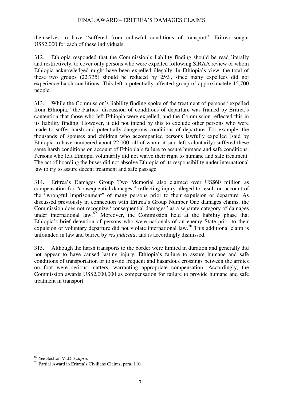themselves to have "suffered from unlawful conditions of transport." Eritrea sought US\$2,000 for each of these individuals.

312. Ethiopia responded that the Commission's liability finding should be read literally and restrictively, to cover only persons who were expelled following SIRAA review or whom Ethiopia acknowledged might have been expelled illegally. In Ethiopia's view, the total of these two groups (22,735) should be reduced by 25%, since many expellees did not experience harsh conditions. This left a potentially affected group of approximately 15,700 people.

313. While the Commission's liability finding spoke of the treatment of persons "expelled from Ethiopia," the Parties' discussion of conditions of departure was framed by Eritrea's contention that those who left Ethiopia were expelled, and the Commission reflected this in its liability finding. However, it did not intend by this to exclude other persons who were made to suffer harsh and potentially dangerous conditions of departure. For example, the thousands of spouses and children who accompanied persons lawfully expelled (said by Ethiopia to have numbered about 22,000, all of whom it said left voluntarily) suffered these same harsh conditions on account of Ethiopia's failure to assure humane and safe conditions. Persons who left Ethiopia voluntarily did not waive their right to humane and safe treatment. The act of boarding the buses did not absolve Ethiopia of its responsibility under international law to try to assure decent treatment and safe passage.

314. Eritrea's Damages Group Two Memorial also claimed over US\$60 million as compensation for "consequential damages," reflecting injury alleged to result on account of the "wrongful imprisonment" of many persons prior to their expulsion or departure. As discussed previously in connection with Eritrea's Group Number One damages claims, the Commission does not recognize "consequential damages" as a separate category of damages under international law. $^{69}$  Moreover, the Commission held at the liability phase that Ethiopia's brief detention of persons who were nationals of an enemy State prior to their expulsion or voluntary departure did not violate international law.<sup>70</sup> This additional claim is unfounded in law and barred by *res judicata*, and is accordingly dismissed.

315. Although the harsh transports to the border were limited in duration and generally did not appear to have caused lasting injury, Ethiopia's failure to assure humane and safe conditions of transportation or to avoid frequent and hazardous crossings between the armies on foot were serious matters, warranting appropriate compensation. Accordingly, the Commission awards US\$2,000,000 as compensation for failure to provide humane and safe treatment in transport.

<sup>69</sup> *See* Section VI.D.3 *supra*.

<sup>&</sup>lt;sup>70</sup> Partial Award in Eritrea's Civilians Claims, para. 110.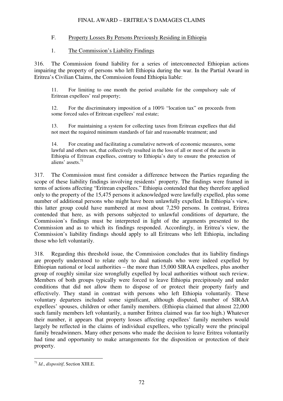### F. Property Losses By Persons Previously Residing in Ethiopia

#### 1. The Commission's Liability Findings

316. The Commission found liability for a series of interconnected Ethiopian actions impairing the property of persons who left Ethiopia during the war. In the Partial Award in Eritrea's Civilian Claims, the Commission found Ethiopia liable:

11. For limiting to one month the period available for the compulsory sale of Eritrean expellees' real property;

12. For the discriminatory imposition of a 100% "location tax" on proceeds from some forced sales of Eritrean expellees' real estate;

13. For maintaining a system for collecting taxes from Eritrean expellees that did not meet the required minimum standards of fair and reasonable treatment; and

14. For creating and facilitating a cumulative network of economic measures, some lawful and others not, that collectively resulted in the loss of all or most of the assets in Ethiopia of Eritrean expellees, contrary to Ethiopia's duty to ensure the protection of aliens' assets. 71

317. The Commission must first consider a difference between the Parties regarding the scope of these liability findings involving residents' property. The findings were framed in terms of actions affecting "Eritrean expellees." Ethiopia contended that they therefore applied only to the property of the 15,475 persons it acknowledged were lawfully expelled, plus some number of additional persons who might have been unlawfully expelled. In Ethiopia's view, this latter group could have numbered at most about 7,250 persons. In contrast, Eritrea contended that here, as with persons subjected to unlawful conditions of departure, the Commission's findings must be interpreted in light of the arguments presented to the Commission and as to which its findings responded. Accordingly, in Eritrea's view, the Commission's liability findings should apply to all Eritreans who left Ethiopia, including those who left voluntarily.

318. Regarding this threshold issue, the Commission concludes that its liability findings are properly understood to relate only to dual nationals who were indeed expelled by Ethiopian national or local authorities – the more than 15,000 SIRAA expellees, plus another group of roughly similar size wrongfully expelled by local authorities without such review. Members of both groups typically were forced to leave Ethiopia precipitously and under conditions that did not allow them to dispose of or protect their property fairly and effectively. They stand in contrast with persons who left Ethiopia voluntarily. These voluntary departees included some significant, although disputed, number of SIRAA expellees' spouses, children or other family members. (Ethiopia claimed that almost 22,000 such family members left voluntarily, a number Eritrea claimed was far too high.) Whatever their number, it appears that property losses affecting expellees' family members would largely be reflected in the claims of individual expellees, who typically were the principal family breadwinners. Many other persons who made the decision to leave Eritrea voluntarily had time and opportunity to make arrangements for the disposition or protection of their property.

<sup>71</sup> *Id*., *dispositif*, Section XIII.E.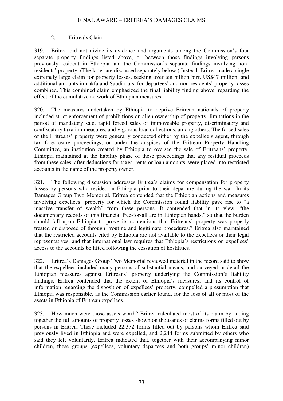# 2. Eritrea's Claim

319. Eritrea did not divide its evidence and arguments among the Commission's four separate property findings listed above, or between those findings involving persons previously resident in Ethiopia and the Commission's separate findings involving nonresidents' property. (The latter are discussed separately below.) Instead, Eritrea made a single extremely large claim for property losses, seeking over ten billion birr, US\$47 million, and additional amounts in nakfa and Saudi rials, for departees' and non-residents' property losses combined. This combined claim emphasized the final liability finding above, regarding the effect of the cumulative network of Ethiopian measures.

320. The measures undertaken by Ethiopia to deprive Eritrean nationals of property included strict enforcement of prohibitions on alien ownership of property, limitations in the period of mandatory sale, rapid forced sales of immoveable property, discriminatory and confiscatory taxation measures, and vigorous loan collections, among others. The forced sales of the Eritreans' property were generally conducted either by the expellee's agent, through tax foreclosure proceedings, or under the auspices of the Eritrean Property Handling Committee, an institution created by Ethiopia to oversee the sale of Eritreans' property. Ethiopia maintained at the liability phase of these proceedings that any residual proceeds from these sales, after deductions for taxes, rents or loan amounts, were placed into restricted accounts in the name of the property owner.

321. The following discussion addresses Eritrea's claims for compensation for property losses by persons who resided in Ethiopia prior to their departure during the war. In its Damages Group Two Memorial, Eritrea contended that the Ethiopian actions and measures involving expellees' property for which the Commission found liability gave rise to "a massive transfer of wealth" from these persons. It contended that in its view, "the documentary records of this financial free-for-all are in Ethiopian hands," so that the burden should fall upon Ethiopia to prove its contentions that Eritreans' property was properly treated or disposed of through "routine and legitimate procedures." Eritrea also maintained that the restricted accounts cited by Ethiopia are not available to the expellees or their legal representatives, and that international law requires that Ethiopia's restrictions on expellees' access to the accounts be lifted following the cessation of hostilities.

322. Eritrea's Damages Group Two Memorial reviewed material in the record said to show that the expellees included many persons of substantial means, and surveyed in detail the Ethiopian measures against Eritreans' property underlying the Commission's liability findings. Eritrea contended that the extent of Ethiopia's measures, and its control of information regarding the disposition of expellees' property, compelled a presumption that Ethiopia was responsible, as the Commission earlier found, for the loss of all or most of the assets in Ethiopia of Eritrean expellees.

323. How much were those assets worth? Eritrea calculated most of its claim by adding together the full amounts of property losses shown on thousands of claims forms filled out by persons in Eritrea. These included 22,372 forms filled out by persons whom Eritrea said previously lived in Ethiopia and were expelled, and 2,244 forms submitted by others who said they left voluntarily. Eritrea indicated that, together with their accompanying minor children, these groups (expellees, voluntary departees and both groups' minor children)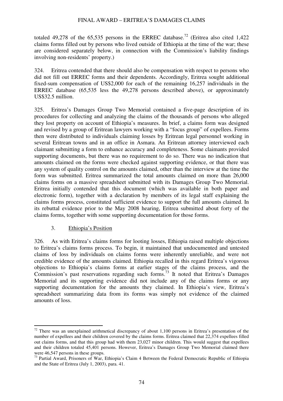totaled 49,278 of the  $65,535$  persons in the ERREC database.<sup>72</sup> (Eritrea also cited 1,422 claims forms filled out by persons who lived outside of Ethiopia at the time of the war; these are considered separately below, in connection with the Commission's liability findings involving non-residents' property.)

324. Eritrea contended that there should also be compensation with respect to persons who did not fill out ERREC forms and their dependents. Accordingly, Eritrea sought additional fixed-sum compensation of US\$2,000 for each of the remaining 16,257 individuals in the ERREC database (65,535 less the 49,278 persons described above), or approximately US\$32.5 million.

325. Eritrea's Damages Group Two Memorial contained a five-page description of its procedures for collecting and analyzing the claims of the thousands of persons who alleged they lost property on account of Ethiopia's measures. In brief, a claims form was designed and revised by a group of Eritrean lawyers working with a "focus group" of expellees. Forms then were distributed to individuals claiming losses by Eritrean legal personnel working in several Eritrean towns and in an office in Asmara. An Eritrean attorney interviewed each claimant submitting a form to enhance accuracy and completeness. Some claimants provided supporting documents, but there was no requirement to do so. There was no indication that amounts claimed on the forms were checked against supporting evidence, or that there was any system of quality control on the amounts claimed, other than the interview at the time the form was submitted. Eritrea summarized the total amounts claimed on more than 26,000 claims forms on a massive spreadsheet submitted with its Damages Group Two Memorial. Eritrea initially contended that this document (which was available in both paper and electronic form), together with a declaration by members of its legal staff explaining the claims forms process, constituted sufficient evidence to support the full amounts claimed. In its rebuttal evidence prior to the May 2008 hearing, Eritrea submitted about forty of the claims forms, together with some supporting documentation for those forms.

## 3. Ethiopia's Position

326. As with Eritrea's claims forms for looting losses, Ethiopia raised multiple objections to Eritrea's claims forms process. To begin, it maintained that undocumented and untested claims of loss by individuals on claims forms were inherently unreliable, and were not credible evidence of the amounts claimed. Ethiopia recalled in this regard Eritrea's vigorous objections to Ethiopia's claims forms at earlier stages of the claims process, and the Commission's past reservations regarding such forms.<sup>73</sup> It noted that Eritrea's Damages Memorial and its supporting evidence did not include any of the claims forms or any supporting documentation for the amounts they claimed. In Ethiopia's view, Eritrea's spreadsheet summarizing data from its forms was simply not evidence of the claimed amounts of loss.

<sup>&</sup>lt;sup>72</sup> There was an unexplained arithmetical discrepancy of about 1,100 persons in Eritrea's presentation of the number of expellees and their children covered by the claims forms. Eritrea claimed that 22,374 expellees filled out claims forms, and that this group had with them 23,027 minor children. This would suggest that expellees and their children totaled 45,401 persons. However, Eritrea's Damages Group Two Memorial claimed there were 46,547 persons in these groups.

<sup>&</sup>lt;sup>73</sup> Partial Award, Prisoners of War, Ethiopia's Claim 4 Between the Federal Democratic Republic of Ethiopia and the State of Eritrea (July 1, 2003), para. 41.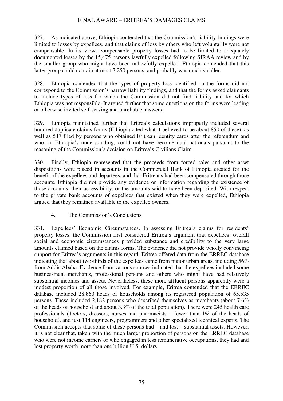327. As indicated above, Ethiopia contended that the Commission's liability findings were limited to losses by expellees, and that claims of loss by others who left voluntarily were not compensable. In its view, compensable property losses had to be limited to adequately documented losses by the 15,475 persons lawfully expelled following SIRAA review and by the smaller group who might have been unlawfully expelled. Ethiopia contended that this latter group could contain at most 7,250 persons, and probably was much smaller.

328. Ethiopia contended that the types of property loss identified on the forms did not correspond to the Commission's narrow liability findings, and that the forms asked claimants to include types of loss for which the Commission did not find liability and for which Ethiopia was not responsible. It argued further that some questions on the forms were leading or otherwise invited self-serving and unreliable answers.

329. Ethiopia maintained further that Eritrea's calculations improperly included several hundred duplicate claims forms (Ethiopia cited what it believed to be about 850 of these), as well as 547 filed by persons who obtained Eritrean identity cards after the referendum and who, in Ethiopia's understanding, could not have become dual nationals pursuant to the reasoning of the Commission's decision on Eritrea's Civilians Claim.

330. Finally, Ethiopia represented that the proceeds from forced sales and other asset dispositions were placed in accounts in the Commercial Bank of Ethiopia created for the benefit of the expellees and departees, and that Eritreans had been compensated through those accounts. Ethiopia did not provide any evidence or information regarding the existence of those accounts, their accessibility, or the amounts said to have been deposited. With respect to the private bank accounts of expellees that existed when they were expelled, Ethiopia argued that they remained available to the expellee owners.

## 4. The Commission's Conclusions

331. Expellees' Economic Circumstances. In assessing Eritrea's claims for residents' property losses, the Commission first considered Eritrea's argument that expellees' overall social and economic circumstances provided substance and credibility to the very large amounts claimed based on the claims forms. The evidence did not provide wholly convincing support for Eritrea's arguments in this regard. Eritrea offered data from the ERREC database indicating that about two-thirds of the expellees came from major urban areas, including 56% from Addis Ababa. Evidence from various sources indicated that the expellees included some businessmen, merchants, professional persons and others who might have had relatively substantial incomes and assets. Nevertheless, these more affluent persons apparently were a modest proportion of all those involved. For example, Eritrea contended that the ERREC database included 28,860 heads of households among its registered population of 65,535 persons. These included 2,182 persons who described themselves as merchants (about 7.6% of the heads of household and about 3.3% of the total population). There were 245 health care professionals (doctors, dressers, nurses and pharmacists – fewer than 1% of the heads of household), and just 114 engineers, programmers and other specialized technical experts. The Commission accepts that some of these persons had – and lost – substantial assets. However, it is not clear that, taken with the much larger proportion of persons on the ERREC database who were not income earners or who engaged in less remunerative occupations, they had and lost property worth more than one billion U.S. dollars.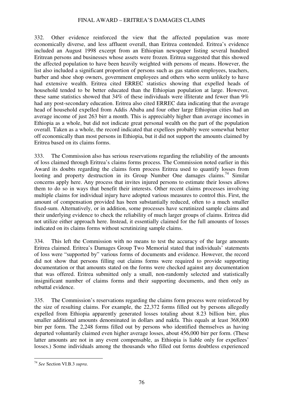332. Other evidence reinforced the view that the affected population was more economically diverse, and less affluent overall, than Eritrea contended. Eritrea's evidence included an August 1998 excerpt from an Ethiopian newspaper listing several hundred Eritrean persons and businesses whose assets were frozen. Eritrea suggested that this showed the affected population to have been heavily weighted with persons of means. However, the list also included a significant proportion of persons such as gas station employees, teachers, barber and shoe shop owners, government employees and others who seem unlikely to have had extensive wealth. Eritrea cited ERREC statistics showing that expelled heads of household tended to be better educated than the Ethiopian population at large. However, these same statistics showed that 34% of these individuals were illiterate and fewer than 9% had any post-secondary education. Eritrea also cited ERREC data indicating that the average head of household expelled from Addis Ababa and four other large Ethiopian cities had an average income of just 263 birr a month. This is appreciably higher than average incomes in Ethiopia as a whole, but did not indicate great personal wealth on the part of the population overall. Taken as a whole, the record indicated that expellees probably were somewhat better off economically than most persons in Ethiopia, but it did not support the amounts claimed by Eritrea based on its claims forms.

333. The Commission also has serious reservations regarding the reliability of the amounts of loss claimed through Eritrea's claims forms process. The Commission noted earlier in this Award its doubts regarding the claims form process Eritrea used to quantify losses from looting and property destruction in its Group Number One damages claims.<sup>74</sup> Similar concerns apply here. Any process that invites injured persons to estimate their losses allows them to do so in ways that benefit their interests. Other recent claims processes involving multiple claims for individual injury have adopted various measures to control this. First, the amount of compensation provided has been substantially reduced, often to a much smaller fixed-sum. Alternatively, or in addition, some processes have scrutinized sample claims and their underlying evidence to check the reliability of much larger groups of claims. Eritrea did not utilize either approach here. Instead, it essentially claimed for the full amounts of losses indicated on its claims forms without scrutinizing sample claims.

334. This left the Commission with no means to test the accuracy of the large amounts Eritrea claimed. Eritrea's Damages Group Two Memorial stated that individuals' statements of loss were "supported by" various forms of documents and evidence. However, the record did not show that persons filling out claims forms were required to provide supporting documentation or that amounts stated on the forms were checked against any documentation that was offered. Eritrea submitted only a small, non-randomly selected and statistically insignificant number of claims forms and their supporting documents, and then only as rebuttal evidence.

335. The Commission's reservations regarding the claims form process were reinforced by the size of resulting claims. For example, the 22,372 forms filled out by persons allegedly expelled from Ethiopia apparently generated losses totaling about 8.23 billion birr, plus smaller additional amounts denominated in dollars and nakfa. This equals at least 368,000 birr per form. The 2,248 forms filled out by persons who identified themselves as having departed voluntarily claimed even higher average losses, about 456,000 birr per form. (These latter amounts are not in any event compensable, as Ethiopia is liable only for expellees' losses.) Some individuals among the thousands who filled out forms doubtless experienced

<sup>74</sup> *See* Section VI.B.3 *supra*.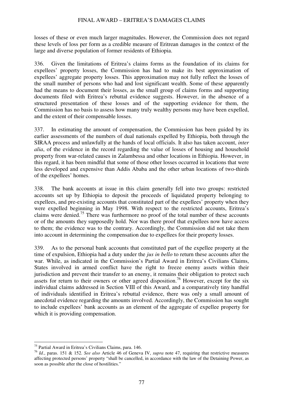losses of these or even much larger magnitudes. However, the Commission does not regard these levels of loss per form as a credible measure of Eritrean damages in the context of the large and diverse population of former residents of Ethiopia.

336. Given the limitations of Eritrea's claims forms as the foundation of its claims for expellees' property losses, the Commission has had to make its best approximation of expellees' aggregate property losses. This approximation may not fully reflect the losses of the small number of persons who had and lost significant wealth. Some of these apparently had the means to document their losses, as the small group of claims forms and supporting documents filed with Eritrea's rebuttal evidence suggests. However, in the absence of a structured presentation of these losses and of the supporting evidence for them, the Commission has no basis to assess how many truly wealthy persons may have been expelled, and the extent of their compensable losses.

337. In estimating the amount of compensation, the Commission has been guided by its earlier assessments of the numbers of dual nationals expelled by Ethiopia, both through the SIRAA process and unlawfully at the hands of local officials. It also has taken account, *inter alia*, of the evidence in the record regarding the value of losses of housing and household property from war-related causes in Zalambessa and other locations in Ethiopia. However, in this regard, it has been mindful that some of those other losses occurred in locations that were less developed and expensive than Addis Ababa and the other urban locations of two-thirds of the expellees' homes.

338. The bank accounts at issue in this claim generally fell into two groups: restricted accounts set up by Ethiopia to deposit the proceeds of liquidated property belonging to expellees, and pre-existing accounts that constituted part of the expellees' property when they were expelled beginning in May 1998. With respect to the restricted accounts, Eritrea's claims were denied. 75 There was furthermore no proof of the total number of these accounts or of the amounts they supposedly hold. Nor was there proof that expellees now have access to them; the evidence was to the contrary. Accordingly, the Commission did not take them into account in determining the compensation due to expellees for their property losses.

339. As to the personal bank accounts that constituted part of the expellee property at the time of expulsion, Ethiopia had a duty under the *jus in bello* to return these accounts after the war. While, as indicated in the Commission's Partial Award in Eritrea's Civilians Claims, States involved in armed conflict have the right to freeze enemy assets within their jurisdiction and prevent their transfer to an enemy, it remains their obligation to protect such assets for return to their owners or other agreed disposition.<sup>76</sup> However, except for the six individual claims addressed in Section VIII of this Award, and a comparatively tiny handful of individuals identified in Eritrea's rebuttal evidence, there was only a small amount of anecdotal evidence regarding the amounts involved. Accordingly, the Commission has sought to include expellees' bank accounts as an element of the aggregate of expellee property for which it is providing compensation.

<sup>&</sup>lt;sup>75</sup> Partial Award in Eritrea's Civilians Claims, para. 146.

<sup>76</sup> *Id*., paras. 151 & 152. *See also* Article 46 of Geneva IV, *supra* note 47, requiring that restrictive measures affecting protected persons' property "shall be cancelled, in accordance with the law of the Detaining Power, as soon as possible after the close of hostilities."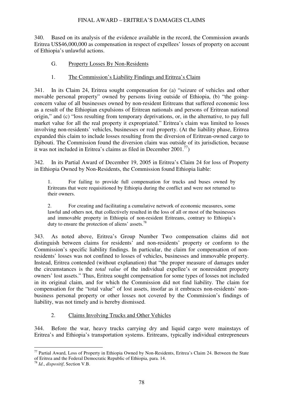340. Based on its analysis of the evidence available in the record, the Commission awards Eritrea US\$46,000,000 as compensation in respect of expellees' losses of property on account of Ethiopia's unlawful actions.

G. Property Losses By Non-Residents

# 1. The Commission's Liability Findings and Eritrea's Claim

341. In its Claim 24, Eritrea sought compensation for (a) "seizure of vehicles and other movable personal property" owned by persons living outside of Ethiopia, (b) "the goingconcern value of all businesses owned by non-resident Eritreans that suffered economic loss as a result of the Ethiopian expulsions of Eritrean nationals and persons of Eritrean national origin," and (c) "loss resulting from temporary deprivations, or, in the alternative, to pay full market value for all the real property it expropriated." Eritrea's claim was limited to losses involving non-residents' vehicles, businesses or real property. (At the liability phase, Eritrea expanded this claim to include losses resulting from the diversion of Eritrean-owned cargo to Djibouti. The Commission found the diversion claim was outside of its jurisdiction, because it was not included in Eritrea's claims as filed in December  $2001.^{77}$ )

342. In its Partial Award of December 19, 2005 in Eritrea's Claim 24 for loss of Property in Ethiopia Owned by Non-Residents, the Commission found Ethiopia liable:

1. For failing to provide full compensation for trucks and buses owned by Eritreans that were requisitioned by Ethiopia during the conflict and were not returned to their owners.

2. For creating and facilitating a cumulative network of economic measures, some lawful and others not, that collectively resulted in the loss of all or most of the businesses and immovable property in Ethiopia of non-resident Eritreans, contrary to Ethiopia's duty to ensure the protection of aliens' assets.<sup>78</sup>

343. As noted above, Eritrea's Group Number Two compensation claims did not distinguish between claims for residents' and non-residents' property or conform to the Commission's specific liability findings. In particular, the claim for compensation of nonresidents' losses was not confined to losses of vehicles, businesses and immovable property. Instead, Eritrea contended (without explanation) that "the proper measure of damages under the circumstances is the *total value* of the individual expellee's or nonresident property owners' lost assets." Thus, Eritrea sought compensation for some types of losses not included in its original claim, and for which the Commission did not find liability. The claim for compensation for the "total value" of lost assets, insofar as it embraces non-residents' nonbusiness personal property or other losses not covered by the Commission's findings of liability, was not timely and is hereby dismissed.

2. Claims Involving Trucks and Other Vehicles

344. Before the war, heavy trucks carrying dry and liquid cargo were mainstays of Eritrea's and Ethiopia's transportation systems. Eritreans, typically individual entrepreneurs

<sup>&</sup>lt;sup>77</sup> Partial Award, Loss of Property in Ethiopia Owned by Non-Residents, Eritrea's Claim 24. Between the State of Eritrea and the Federal Democratic Republic of Ethiopia, para. 14.

<sup>78</sup> *Id*., *dispositif*, Section V.B.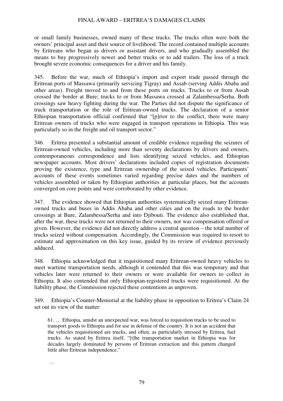or small family businesses, owned many of these trucks. The trucks often were both the owners' principal asset and their source of livelihood. The record contained multiple accounts by Eritreans who began as drivers or assistant drivers, and who gradually assembled the means to buy progressively newer and better trucks or to add trailers. The loss of a truck brought severe economic consequences for a driver and his family.

345. Before the war, much of Ethiopia's import and export trade passed through the Eritrean ports of Massawa (primarily servicing Tigray) and Assab (serving Addis Ababa and other areas). Freight moved to and from these ports on trucks. Trucks to or from Assab crossed the border at Bure; trucks to or from Massawa crossed at Zalambessa/Serha. Both crossings saw heavy fighting during the war. The Parties did not dispute the significance of truck transportation or the role of Eritrean-owned trucks. The declaration of a senior Ethiopian transportation official confirmed that "[p]rior to the conflict, there were many Eritrean owners of trucks who were engaged in transport operations in Ethiopia. This was particularly so in the freight and oil transport sector."

346. Eritrea presented a substantial amount of credible evidence regarding the seizures of Eritrean-owned vehicles, including more than seventy declarations by drivers and owners, contemporaneous correspondence and lists identifying seized vehicles, and Ethiopian newspaper accounts. Most drivers' declarations included copies of registration documents proving the existence, type and Eritrean ownership of the seized vehicles. Participants' accounts of these events sometimes varied regarding precise dates and the numbers of vehicles assembled or taken by Ethiopian authorities at particular places, but the accounts converged on core points and were corroborated by other evidence.

347. The evidence showed that Ethiopian authorities systematically seized many Eritreanowned trucks and buses in Addis Ababa and other cities and on the roads to the border crossings at Bure, Zalambessa/Serha and into Djibouti. The evidence also established that, after the war, these trucks were not returned to their owners, nor was compensation offered or given. However, the evidence did not directly address a central question – the total number of trucks seized without compensation. Accordingly, the Commission was required to resort to estimate and approximation on this key issue, guided by its review of evidence previously adduced.

348. Ethiopia acknowledged that it requisitioned many Eritrean-owned heavy vehicles to meet wartime transportation needs, although it contended that this was temporary and that vehicles later were returned to their owners or were available for owners to collect in Ethiopia. It also contended that only Ethiopian-registered trucks were requisitioned. At the liability phase, the Commission rejected these contentions as unproven.

349. Ethiopia's Counter-Memorial at the liability phase in opposition to Eritrea's Claim 24 set out its view of the matter:

61. … Ethiopia, amidst an unexpected war, was forced to requisition trucks to be used to transport goods to Ethiopia and for use in defense of the country. It is not an accident that the vehicles requisitioned are trucks, and often, as particularly stressed by Eritrea, fuel trucks. As stated by Eritrea itself, "[t]he transportation market in Ethiopia was for decades largely dominated by persons of Eritrean extraction and this pattern changed little after Eritrean independence."

…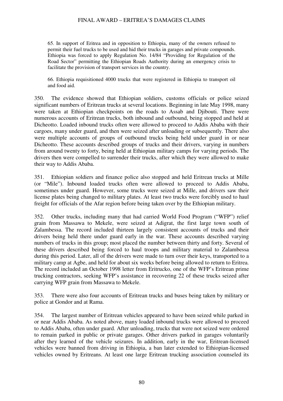65. In support of Eritrea and in opposition to Ethiopia, many of the owners refused to permit their fuel trucks to be used and hid their trucks in garages and private compounds. Ethiopia was forced to apply Regulation No. 14/84 "Providing for Regulation of the Road Sector" permitting the Ethiopian Roads Authority during an emergency crisis to facilitate the provision of transport services in the country.

66. Ethiopia requisitioned 4000 trucks that were registered in Ethiopia to transport oil and food aid.

350. The evidence showed that Ethiopian soldiers, customs officials or police seized significant numbers of Eritrean trucks at several locations. Beginning in late May 1998, many were taken at Ethiopian checkpoints on the roads to Assab and Djibouti. There were numerous accounts of Eritrean trucks, both inbound and outbound, being stopped and held at Dicheotto. Loaded inbound trucks often were allowed to proceed to Addis Ababa with their cargoes, many under guard, and then were seized after unloading or subsequently. There also were multiple accounts of groups of outbound trucks being held under guard in or near Dicheotto. These accounts described groups of trucks and their drivers, varying in numbers from around twenty to forty, being held at Ethiopian military camps for varying periods. The drivers then were compelled to surrender their trucks, after which they were allowed to make their way to Addis Ababa.

351. Ethiopian soldiers and finance police also stopped and held Eritrean trucks at Mille (or "Mile"). Inbound loaded trucks often were allowed to proceed to Addis Ababa, sometimes under guard. However, some trucks were seized at Mille, and drivers saw their license plates being changed to military plates. At least two trucks were forcibly used to haul freight for officials of the Afar region before being taken over by the Ethiopian military.

352. Other trucks, including many that had carried World Food Program ("WFP") relief grain from Massawa to Mekele, were seized at Adigrat, the first large town south of Zalambessa. The record included thirteen largely consistent accounts of trucks and their drivers being held there under guard early in the war. These accounts described varying numbers of trucks in this group; most placed the number between thirty and forty. Several of these drivers described being forced to haul troops and military material to Zalambessa during this period. Later, all of the drivers were made to turn over their keys, transported to a military camp at Agbe, and held for about six weeks before being allowed to return to Eritrea. The record included an October 1998 letter from Eritrucko, one of the WFP's Eritrean prime trucking contractors, seeking WFP's assistance in recovering 22 of these trucks seized after carrying WFP grain from Massawa to Mekele.

353. There were also four accounts of Eritrean trucks and buses being taken by military or police at Gondor and at Rama.

354. The largest number of Eritrean vehicles appeared to have been seized while parked in or near Addis Ababa. As noted above, many loaded inbound trucks were allowed to proceed to Addis Ababa, often under guard. After unloading, trucks that were not seized were ordered to remain parked in public or private garages. Other drivers parked in garages voluntarily after they learned of the vehicle seizures. In addition, early in the war, Eritrean-licensed vehicles were banned from driving in Ethiopia, a ban later extended to Ethiopian-licensed vehicles owned by Eritreans. At least one large Eritrean trucking association counseled its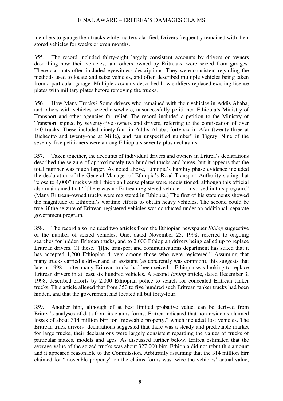members to garage their trucks while matters clarified. Drivers frequently remained with their stored vehicles for weeks or even months.

355. The record included thirty-eight largely consistent accounts by drivers or owners describing how their vehicles, and others owned by Eritreans, were seized from garages. These accounts often included eyewitness descriptions. They were consistent regarding the methods used to locate and seize vehicles, and often described multiple vehicles being taken from a particular garage. Multiple accounts described how soldiers replaced existing license plates with military plates before removing the trucks.

356. How Many Trucks? Some drivers who remained with their vehicles in Addis Ababa, and others with vehicles seized elsewhere, unsuccessfully petitioned Ethiopia's Ministry of Transport and other agencies for relief. The record included a petition to the Ministry of Transport, signed by seventy-five owners and drivers, referring to the confiscation of over 140 trucks. These included ninety-four in Addis Ababa, forty-six in Afar (twenty-three at Dicheotto and twenty-one at Mille), and "an unspecified number" in Tigray. Nine of the seventy-five petitioners were among Ethiopia's seventy-plus declarants.

357. Taken together, the accounts of individual drivers and owners in Eritrea's declarations described the seizure of approximately two hundred trucks and buses, but it appears that the total number was much larger. As noted above, Ethiopia's liability phase evidence included the declaration of the General Manager of Ethiopia's Road Transport Authority stating that "close to 4,000" trucks with Ethiopian license plates were requisitioned, although this official also maintained that "[t]here was no Eritrean registered vehicle … involved in this program." (Many Eritrean-owned trucks were registered in Ethiopia.) The first of his statements showed the magnitude of Ethiopia's wartime efforts to obtain heavy vehicles. The second could be true, if the seizure of Eritrean-registered vehicles was conducted under an additional, separate government program.

358. The record also included two articles from the Ethiopian newspaper *Ethiop* suggestive of the number of seized vehicles. One, dated November 25, 1998, referred to ongoing searches for hidden Eritrean trucks, and to 2,000 Ethiopian drivers being called up to replace Eritrean drivers. Of these, "[t]he transport and communications department has stated that it has accepted 1,200 Ethiopian drivers among those who were registered." Assuming that many trucks carried a driver and an assistant (as apparently was common), this suggests that late in 1998 – after many Eritrean trucks had been seized – Ethiopia was looking to replace Eritrean drivers in at least six hundred vehicles. A second *Ethiop* article, dated December 3, 1998, described efforts by 2,000 Ethiopian police to search for concealed Eritrean tanker trucks. This article alleged that from 350 to five hundred such Eritrean tanker trucks had been hidden, and that the government had located all but forty-four.

359. Another hint, although of at best limited probative value, can be derived from Eritrea's analyses of data from its claims forms. Eritrea indicated that non-residents claimed losses of about 314 million birr for "moveable property," which included lost vehicles. The Eritrean truck drivers' declarations suggested that there was a steady and predictable market for large trucks; their declarations were largely consistent regarding the values of trucks of particular makes, models and ages. As discussed further below, Eritrea estimated that the average value of the seized trucks was about 327,000 birr. Ethiopia did not rebut this amount and it appeared reasonable to the Commission. Arbitrarily assuming that the 314 million birr claimed for "moveable property" on the claims forms was twice the vehicles' actual value,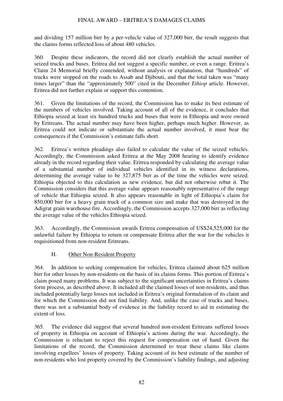and dividing 157 million birr by a per-vehicle value of 327,000 birr, the result suggests that the claims forms reflected loss of about 480 vehicles.

360. Despite these indicators, the record did not clearly establish the actual number of seized trucks and buses. Eritrea did not suggest a specific number, or even a range. Eritrea's Claim 24 Memorial briefly contended, without analysis or explanation, that "hundreds" of trucks were stopped on the roads to Assab and Djibouti, and that the total taken was "many times larger" than the "approximately 500" cited in the December *Ethiop* article. However, Eritrea did not further explain or support this contention.

361. Given the limitations of the record, the Commission has to make its best estimate of the numbers of vehicles involved. Taking account of all of the evidence, it concludes that Ethiopia seized at least six hundred trucks and buses that were in Ethiopia and were owned by Eritreans. The actual number may have been higher, perhaps much higher. However, as Eritrea could not indicate or substantiate the actual number involved, it must bear the consequences if the Commission's estimate falls short.

362. Eritrea's written pleadings also failed to calculate the value of the seized vehicles. Accordingly, the Commission asked Eritrea at the May 2008 hearing to identify evidence already in the record regarding their value. Eritrea responded by calculating the average value of a substantial number of individual vehicles identified in its witness declarations, determining the average value to be 327,875 birr as of the time the vehicles were seized. Ethiopia objected to this calculation as new evidence, but did not otherwise rebut it. The Commission considers that this average value appears reasonably representative of the range of vehicle that Ethiopia seized. It also appears reasonable in light of Ethiopia's claim for 850,000 birr for a heavy grain truck of a common size and make that was destroyed in the Adigrat grain warehouse fire. Accordingly, the Commission accepts 327,000 birr as reflecting the average value of the vehicles Ethiopia seized.

363. Accordingly, the Commission awards Eritrea compensation of US\$24,525,000 for the unlawful failure by Ethiopia to return or compensate Eritrea after the war for the vehicles it requisitioned from non-resident Eritreans.

## H. Other Non-Resident Property

364. In addition to seeking compensation for vehicles, Eritrea claimed about 625 million birr for other losses by non-residents on the basis of its claims forms. This portion of Eritrea's claim posed many problems. It was subject to the significant uncertainties in Eritrea's claims form process, as described above. It included all the claimed losses of non-residents, and thus included potentially large losses not included in Eritrea's original formulation of its claim and for which the Commission did not find liability. And, unlike the case of trucks and buses, there was not a substantial body of evidence in the liability record to aid in estimating the extent of loss.

365. The evidence did suggest that several hundred non-resident Eritreans suffered losses of property in Ethiopia on account of Ethiopia's actions during the war. Accordingly, the Commission is reluctant to reject this request for compensation out of hand. Given the limitations of the record, the Commission determined to treat these claims like claims involving expellees' losses of property. Taking account of its best estimate of the number of non-residents who lost property covered by the Commission's liability findings, and adjusting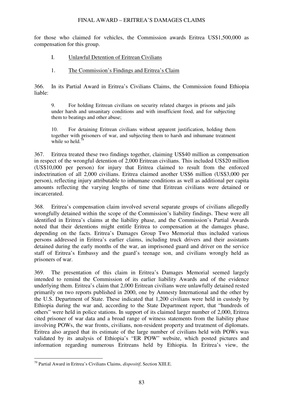for those who claimed for vehicles, the Commission awards Eritrea US\$1,500,000 as compensation for this group.

- I. Unlawful Detention of Eritrean Civilians
- 1. The Commission's Findings and Eritrea's Claim

366. In its Partial Award in Eritrea's Civilians Claims, the Commission found Ethiopia liable:

9. For holding Eritrean civilians on security related charges in prisons and jails under harsh and unsanitary conditions and with insufficient food, and for subjecting them to beatings and other abuse;

10. For detaining Eritrean civilians without apparent justification, holding them together with prisoners of war, and subjecting them to harsh and inhumane treatment while so held. $\frac{79}{9}$ 

367. Eritrea treated these two findings together, claiming US\$40 million as compensation in respect of the wrongful detention of 2,000 Eritrean civilians. This included US\$20 million (US\$10,000 per person) for injury that Eritrea claimed to result from the enforced indoctrination of all 2,000 civilians. Eritrea claimed another US\$6 million (US\$3,000 per person), reflecting injury attributable to inhumane conditions as well as additional per capita amounts reflecting the varying lengths of time that Eritrean civilians were detained or incarcerated.

368. Eritrea's compensation claim involved several separate groups of civilians allegedly wrongfully detained within the scope of the Commission's liability findings. These were all identified in Eritrea's claims at the liability phase, and the Commission's Partial Awards noted that their detentions might entitle Eritrea to compensation at the damages phase, depending on the facts. Eritrea's Damages Group Two Memorial thus included various persons addressed in Eritrea's earlier claims, including truck drivers and their assistants detained during the early months of the war, an imprisoned guard and driver on the service staff of Eritrea's Embassy and the guard's teenage son, and civilians wrongly held as prisoners of war.

369. The presentation of this claim in Eritrea's Damages Memorial seemed largely intended to remind the Commission of its earlier liability Awards and of the evidence underlying them. Eritrea's claim that 2,000 Eritrean civilians were unlawfully detained rested primarily on two reports published in 2000, one by Amnesty International and the other by the U.S. Department of State. These indicated that 1,200 civilians were held in custody by Ethiopia during the war and, according to the State Department report, that "hundreds of others" were held in police stations. In support of its claimed larger number of 2,000, Eritrea cited prisoner of war data and a broad range of witness statements from the liability phase involving POWs, the war fronts, civilians, non-resident property and treatment of diplomats. Eritrea also argued that its estimate of the large number of civilians held with POWs was validated by its analysis of Ethiopia's "ER POW" website, which posted pictures and information regarding numerous Eritreans held by Ethiopia. In Eritrea's view, the

<sup>79</sup> Partial Award in Eritrea's Civilians Claims, *dispositif*, Section XIII.E.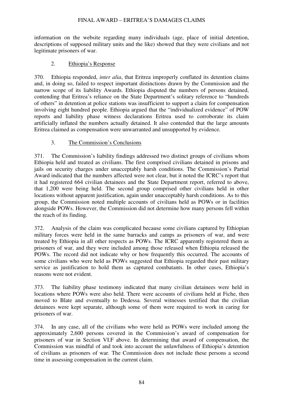information on the website regarding many individuals (age, place of initial detention, descriptions of supposed military units and the like) showed that they were civilians and not legitimate prisoners of war.

## 2. Ethiopia's Response

370. Ethiopia responded, *inter alia*, that Eritrea improperly conflated its detention claims and, in doing so, failed to respect important distinctions drawn by the Commission and the narrow scope of its liability Awards. Ethiopia disputed the numbers of persons detained, contending that Eritrea's reliance on the State Department's solitary reference to "hundreds of others" in detention at police stations was insufficient to support a claim for compensation involving eight hundred people. Ethiopia argued that the "individualized evidence" of POW reports and liability phase witness declarations Eritrea used to corroborate its claim artificially inflated the numbers actually detained. It also contended that the large amounts Eritrea claimed as compensation were unwarranted and unsupported by evidence.

## 3. The Commission's Conclusions

371. The Commission's liability findings addressed two distinct groups of civilians whom Ethiopia held and treated as civilians. The first comprised civilians detained in prisons and jails on security charges under unacceptably harsh conditions. The Commission's Partial Award indicated that the numbers affected were not clear, but it noted the ICRC's report that it had registered 664 civilian detainees and the State Department report, referred to above, that 1,200 were being held. The second group comprised other civilians held in other locations without apparent justification, again under unacceptably harsh conditions. As to this group, the Commission noted multiple accounts of civilians held as POWs or in facilities alongside POWs. However, the Commission did not determine how many persons fell within the reach of its finding.

372. Analysis of the claim was complicated because some civilians captured by Ethiopian military forces were held in the same barracks and camps as prisoners of war, and were treated by Ethiopia in all other respects as POWs. The ICRC apparently registered them as prisoners of war, and they were included among those released when Ethiopia released the POWs. The record did not indicate why or how frequently this occurred. The accounts of some civilians who were held as POWs suggested that Ethiopia regarded their past military service as justification to hold them as captured combatants. In other cases, Ethiopia's reasons were not evident.

373. The liability phase testimony indicated that many civilian detainees were held in locations where POWs were also held. There were accounts of civilians held at Fiche, then moved to Blate and eventually to Dedessa. Several witnesses testified that the civilian detainees were kept separate, although some of them were required to work in caring for prisoners of war.

374. In any case, all of the civilians who were held as POWs were included among the approximately 2,600 persons covered in the Commission's award of compensation for prisoners of war in Section VI.F above. In determining that award of compensation, the Commission was mindful of and took into account the unlawfulness of Ethiopia's detention of civilians as prisoners of war. The Commission does not include these persons a second time in assessing compensation in the current claim.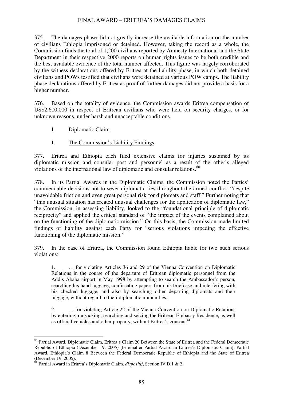375. The damages phase did not greatly increase the available information on the number of civilians Ethiopia imprisoned or detained. However, taking the record as a whole, the Commission finds the total of 1,200 civilians reported by Amnesty International and the State Department in their respective 2000 reports on human rights issues to be both credible and the best available evidence of the total number affected. This figure was largely corroborated by the witness declarations offered by Eritrea at the liability phase, in which both detained civilians and POWs testified that civilians were detained at various POW camps. The liability phase declarations offered by Eritrea as proof of further damages did not provide a basis for a higher number.

376. Based on the totality of evidence, the Commission awards Eritrea compensation of US\$2,600,000 in respect of Eritrean civilians who were held on security charges, or for unknown reasons, under harsh and unacceptable conditions.

#### J. Diplomatic Claim

#### 1. The Commission's Liability Findings

377. Eritrea and Ethiopia each filed extensive claims for injuries sustained by its diplomatic mission and consular post and personnel as a result of the other's alleged violations of the international law of diplomatic and consular relations.<sup>80</sup>

378. In its Partial Awards in the Diplomatic Claims, the Commission noted the Parties' commendable decisions not to sever diplomatic ties throughout the armed conflict, "despite unavoidable friction and even great personal risk for diplomats and staff." Further noting that "this unusual situation has created unusual challenges for the application of diplomatic law," the Commission, in assessing liability, looked to the "foundational principle of diplomatic reciprocity" and applied the critical standard of "the impact of the events complained about on the functioning of the diplomatic mission." On this basis, the Commission made limited findings of liability against each Party for "serious violations impeding the effective functioning of the diplomatic mission."

379. In the case of Eritrea, the Commission found Ethiopia liable for two such serious violations:

1. … for violating Articles 36 and 29 of the Vienna Convention on Diplomatic Relations in the course of the departure of Eritrean diplomatic personnel from the Addis Ababa airport in May 1998 by attempting to search the Ambassador's person, searching his hand luggage, confiscating papers from his briefcase and interfering with his checked luggage, and also by searching other departing diplomats and their luggage, without regard to their diplomatic immunities;

2. … for violating Article 22 of the Vienna Convention on Diplomatic Relations by entering, ransacking, searching and seizing the Eritrean Embassy Residence, as well as official vehicles and other property, without Eritrea's consent.<sup>81</sup>

<sup>&</sup>lt;sup>80</sup> Partial Award, Diplomatic Claim, Eritrea's Claim 20 Between the State of Eritrea and the Federal Democratic Republic of Ethiopia (December 19, 2005) [hereinafter Partial Award in Eritrea's Diplomatic Claim]; Partial Award, Ethiopia's Claim 8 Between the Federal Democratic Republic of Ethiopia and the State of Eritrea (December 19, 2005).

<sup>81</sup> Partial Award in Eritrea's Diplomatic Claim, *dispositif*, Section IV.D.1 & 2.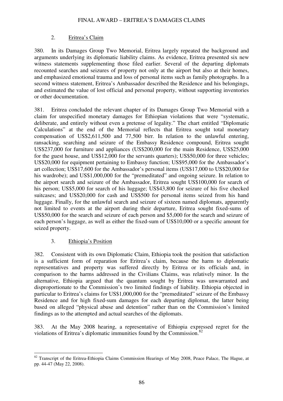# 2. Eritrea's Claim

380. In its Damages Group Two Memorial, Eritrea largely repeated the background and arguments underlying its diplomatic liability claims. As evidence, Eritrea presented six new witness statements supplementing those filed earlier. Several of the departing diplomats recounted searches and seizures of property not only at the airport but also at their homes, and emphasized emotional trauma and loss of personal items such as family photographs. In a second witness statement, Eritrea's Ambassador described the Residence and his belongings, and estimated the value of lost official and personal property, without supporting inventories or other documentation.

381. Eritrea concluded the relevant chapter of its Damages Group Two Memorial with a claim for unspecified monetary damages for Ethiopian violations that were "systematic, deliberate, and entirely without even a pretense of legality." The chart entitled "Diplomatic Calculations" at the end of the Memorial reflects that Eritrea sought total monetary compensation of US\$2,611,500 and 77,500 birr. In relation to the unlawful entering, ransacking, searching and seizure of the Embassy Residence compound, Eritrea sought US\$237,000 for furniture and appliances (US\$200,000 for the main Residence, US\$25,000 for the guest house, and US\$12,000 for the servants quarters); US\$50,000 for three vehicles; US\$20,000 for equipment pertaining to Embassy function; US\$95,000 for the Ambassador's art collection; US\$17,600 for the Ambassador's personal items (US\$17,000 to US\$20,000 for his wardrobe); and US\$1,000,000 for the "premeditated" and ongoing seizure. In relation to the airport search and seizure of the Ambassador, Eritrea sought US\$100,000 for search of his person; US\$5,000 for search of his luggage; US\$43,800 for seizure of his five checked suitcases; and US\$20,000 for cash and US\$500 for personal items seized from his hand luggage. Finally, for the unlawful search and seizure of sixteen named diplomats, apparently not limited to events at the airport during their departure, Eritrea sought fixed-sums of US\$50,000 for the search and seizure of each person and \$5,000 for the search and seizure of each person's luggage, as well as either the fixed-sum of US\$10,000 or a specific amount for seized property.

# 3. Ethiopia's Position

382. Consistent with its own Diplomatic Claim, Ethiopia took the position that satisfaction is a sufficient form of reparation for Eritrea's claim, because the harm to diplomatic representatives and property was suffered directly by Eritrea or its officials and, in comparison to the harms addressed in the Civilians Claims, was relatively minor. In the alternative, Ethiopia argued that the quantum sought by Eritrea was unwarranted and disproportionate to the Commission's two limited findings of liability. Ethiopia objected in particular to Eritrea's claims for US\$1,000,000 for the "premeditated" seizure of the Embassy Residence and for high fixed-sum damages for each departing diplomat, the latter being based on alleged "physical abuse and detention" rather than on the Commission's limited findings as to the attempted and actual searches of the diplomats.

383. At the May 2008 hearing, a representative of Ethiopia expressed regret for the violations of Eritrea's diplomatic immunities found by the Commission. 82

<sup>&</sup>lt;sup>82</sup> Transcript of the Eritrea-Ethiopia Claims Commission Hearings of May 2008, Peace Palace, The Hague, at pp. 44-47 (May 22, 2008).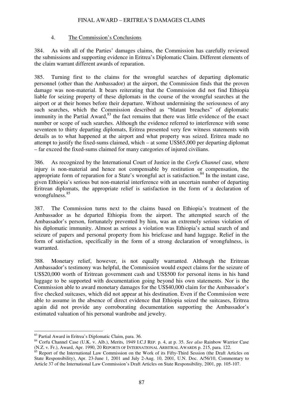#### 4. The Commission's Conclusions

384. As with all of the Parties' damages claims, the Commission has carefully reviewed the submissions and supporting evidence in Eritrea's Diplomatic Claim. Different elements of the claim warrant different awards of reparation.

385. Turning first to the claims for the wrongful searches of departing diplomatic personnel (other than the Ambassador) at the airport, the Commission finds that the proven damage was non-material. It bears reiterating that the Commission did not find Ethiopia liable for seizing property of these diplomats in the course of the wrongful searches at the airport or at their homes before their departure. Without undermining the seriousness of any such searches, which the Commission described as "blatant breaches" of diplomatic immunity in the Partial Award,<sup>83</sup> the fact remains that there was little evidence of the exact number or scope of such searches. Although the evidence referred to interference with some seventeen to thirty departing diplomats, Eritrea presented very few witness statements with details as to what happened at the airport and what property was seized. Eritrea made no attempt to justify the fixed-sums claimed, which – at some US\$65,000 per departing diplomat – far exceed the fixed-sums claimed for many categories of injured civilians.

386. As recognized by the International Court of Justice in the *Corfu Channel* case, where injury is non-material and hence not compensable by restitution or compensation, the appropriate form of reparation for a State's wrongful act is satisfaction.<sup>84</sup> In the instant case, given Ethiopia's serious but non-material interference with an uncertain number of departing Eritrean diplomats, the appropriate relief is satisfaction in the form of a declaration of wrongfulness. 85

387. The Commission turns next to the claims based on Ethiopia's treatment of the Ambassador as he departed Ethiopia from the airport. The attempted search of the Ambassador's person, fortunately prevented by him, was an extremely serious violation of his diplomatic immunity. Almost as serious a violation was Ethiopia's actual search of and seizure of papers and personal property from his briefcase and hand luggage. Relief in the form of satisfaction, specifically in the form of a strong declaration of wrongfulness, is warranted.

388. Monetary relief, however, is not equally warranted. Although the Eritrean Ambassador's testimony was helpful, the Commission would expect claims for the seizure of US\$20,000 worth of Eritrean government cash and US\$500 for personal items in his hand luggage to be supported with documentation going beyond his own statements. Nor is the Commission able to award monetary damages for the US\$40,000 claim for the Ambassador's five checked suitcases, which did not appear at his destination. Even if the Commission were able to assume in the absence of direct evidence that Ethiopia seized the suitcases, Eritrea again did not provide any corroborating documentation supporting the Ambassador's estimated valuation of his personal wardrobe and jewelry.

<sup>83</sup> Partial Award in Eritrea's Diplomatic Claim, para. 36.

<sup>84</sup> Corfu Channel Case (U.K. v. Alb.), Merits, 1949 I.C.J REP. p. 4, at p. 35. *See also* Rainbow Warrior Case (N.Z. v. Fr.), Award, Apr. 1990, 20 REPORTS OF INTERNATIONAL ARBITRAL AWARDS p. 215, para. 122.

<sup>85</sup> Report of the International Law Commission on the Work of its Fifty-Third Session (the Draft Articles on State Responsibility), Apr. 23-June 1, 2001 and July 2-Aug. 10, 2001, U.N. Doc. A/56/10, Commentary to Article 37 of the International Law Commission's Draft Articles on State Responsibility, 2001, pp. 105-107.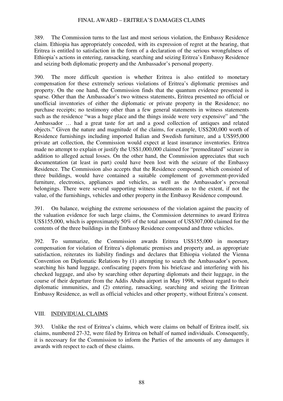389. The Commission turns to the last and most serious violation, the Embassy Residence claim. Ethiopia has appropriately conceded, with its expression of regret at the hearing, that Eritrea is entitled to satisfaction in the form of a declaration of the serious wrongfulness of Ethiopia's actions in entering, ransacking, searching and seizing Eritrea's Embassy Residence and seizing both diplomatic property and the Ambassador's personal property.

390. The more difficult question is whether Eritrea is also entitled to monetary compensation for these extremely serious violations of Eritrea's diplomatic premises and property. On the one hand, the Commission finds that the quantum evidence presented is sparse. Other than the Ambassador's two witness statements, Eritrea presented no official or unofficial inventories of either the diplomatic or private property in the Residence; no purchase receipts; no testimony other than a few general statements in witness statements such as the residence "was a huge place and the things inside were very expensive" and "the Ambassador … had a great taste for art and a good collection of antiques and related objects." Given the nature and magnitude of the claims, for example, US\$200,000 worth of Residence furnishings including imported Italian and Swedish furniture, and a US\$95,000 private art collection, the Commission would expect at least insurance inventories. Eritrea made no attempt to explain or justify the US\$1,000,000 claimed for "premeditated" seizure in addition to alleged actual losses. On the other hand, the Commission appreciates that such documentation (at least in part) could have been lost with the seizure of the Embassy Residence. The Commission also accepts that the Residence compound, which consisted of three buildings, would have contained a suitable complement of government-provided furniture, electronics, appliances and vehicles, as well as the Ambassador's personal belongings. There were several supporting witness statements as to the extent, if not the value, of the furnishings, vehicles and other property in the Embassy Residence compound.

391. On balance, weighing the extreme seriousness of the violation against the paucity of the valuation evidence for such large claims, the Commission determines to award Eritrea US\$155,000, which is approximately 50% of the total amount of US\$307,000 claimed for the contents of the three buildings in the Embassy Residence compound and three vehicles.

392. To summarize, the Commission awards Eritrea US\$155,000 in monetary compensation for violation of Eritrea's diplomatic premises and property and, as appropriate satisfaction, reiterates its liability findings and declares that Ethiopia violated the Vienna Convention on Diplomatic Relations by (1) attempting to search the Ambassador's person, searching his hand luggage, confiscating papers from his briefcase and interfering with his checked luggage, and also by searching other departing diplomats and their luggage, in the course of their departure from the Addis Ababa airport in May 1998, without regard to their diplomatic immunities, and (2) entering, ransacking, searching and seizing the Eritrean Embassy Residence, as well as official vehicles and other property, without Eritrea's consent.

## VIII. INDIVIDUAL CLAIMS

393. Unlike the rest of Eritrea's claims, which were claims on behalf of Eritrea itself, six claims, numbered 27-32, were filed by Eritrea on behalf of named individuals. Consequently, it is necessary for the Commission to inform the Parties of the amounts of any damages it awards with respect to each of these claims.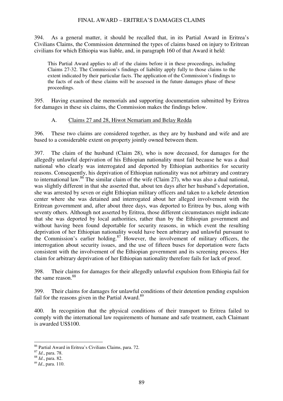394. As a general matter, it should be recalled that, in its Partial Award in Eritrea's Civilians Claims, the Commission determined the types of claims based on injury to Eritrean civilians for which Ethiopia was liable, and, in paragraph 160 of that Award it held:

This Partial Award applies to all of the claims before it in these proceedings, including Claims 27-32. The Commission's findings of liability apply fully to those claims to the extent indicated by their particular facts. The application of the Commission's findings to the facts of each of these claims will be assessed in the future damages phase of these proceedings.

395. Having examined the memorials and supporting documentation submitted by Eritrea for damages in these six claims, the Commission makes the findings below.

## A. Claims 27 and 28, Hiwot Nemariam and Belay Redda

396. These two claims are considered together, as they are by husband and wife and are based to a considerable extent on property jointly owned between them.

397. The claim of the husband (Claim 28), who is now deceased, for damages for the allegedly unlawful deprivation of his Ethiopian nationality must fail because he was a dual national who clearly was interrogated and deported by Ethiopian authorities for security reasons. Consequently, his deprivation of Ethiopian nationality was not arbitrary and contrary to international law.<sup>86</sup> The similar claim of the wife (Claim 27), who was also a dual national, was slightly different in that she asserted that, about ten days after her husband's deportation, she was arrested by seven or eight Ethiopian military officers and taken to a kebele detention center where she was detained and interrogated about her alleged involvement with the Eritrean government and, after about three days, was deported to Eritrea by bus, along with seventy others. Although not asserted by Eritrea, those different circumstances might indicate that she was deported by local authorities, rather than by the Ethiopian government and without having been found deportable for security reasons, in which event the resulting deprivation of her Ethiopian nationality would have been arbitrary and unlawful pursuant to the Commission's earlier holding.<sup>87</sup> However, the involvement of military officers, the interrogation about security issues, and the use of fifteen buses for deportation were facts consistent with the involvement of the Ethiopian government and its screening process. Her claim for arbitrary deprivation of her Ethiopian nationality therefore fails for lack of proof.

398. Their claims for damages for their allegedly unlawful expulsion from Ethiopia fail for the same reason.<sup>88</sup>

399. Their claims for damages for unlawful conditions of their detention pending expulsion fail for the reasons given in the Partial Award.<sup>89</sup>

400. In recognition that the physical conditions of their transport to Eritrea failed to comply with the international law requirements of humane and safe treatment, each Claimant is awarded US\$100.

<sup>&</sup>lt;sup>86</sup> Partial Award in Eritrea's Civilians Claims, para. 72.

<sup>87</sup> *Id*., para. 78.

<sup>88</sup> *Id*., para. 82.

<sup>89</sup> *Id*., para. 110.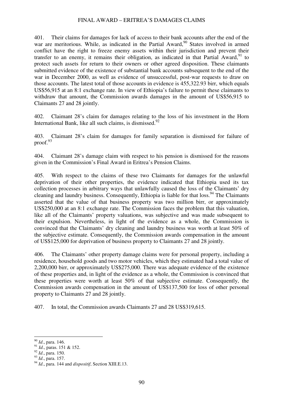401. Their claims for damages for lack of access to their bank accounts after the end of the war are meritorious. While, as indicated in the Partial Award,<sup>90</sup> States involved in armed conflict have the right to freeze enemy assets within their jurisdiction and prevent their transfer to an enemy, it remains their obligation, as indicated in that Partial Award,<sup>91</sup> to protect such assets for return to their owners or other agreed disposition. These claimants submitted evidence of the existence of substantial bank accounts subsequent to the end of the war in December 2000, as well as evidence of unsuccessful, post-war requests to draw on those accounts. The latest total of those accounts in evidence is 455,322.93 birr, which equals US\$56,915 at an 8:1 exchange rate. In view of Ethiopia's failure to permit these claimants to withdraw that amount, the Commission awards damages in the amount of US\$56,915 to Claimants 27 and 28 jointly.

402. Claimant 28's claim for damages relating to the loss of his investment in the Horn International Bank, like all such claims, is dismissed.<sup>92</sup>

403. Claimant 28's claim for damages for family separation is dismissed for failure of proof. 93

404. Claimant 28's damage claim with respect to his pension is dismissed for the reasons given in the Commission's Final Award in Eritrea's Pension Claims.

405. With respect to the claims of these two Claimants for damages for the unlawful deprivation of their other properties, the evidence indicated that Ethiopia used its tax collection processes in arbitrary ways that unlawfully caused the loss of the Claimants' dry cleaning and laundry business. Consequently, Ethiopia is liable for that loss.<sup>94</sup> The Claimants asserted that the value of that business property was two million birr, or approximately US\$250,000 at an 8:1 exchange rate. The Commission faces the problem that this valuation, like all of the Claimants' property valuations, was subjective and was made subsequent to their expulsion. Nevertheless, in light of the evidence as a whole, the Commission is convinced that the Claimants' dry cleaning and laundry business was worth at least 50% of the subjective estimate. Consequently, the Commission awards compensation in the amount of US\$125,000 for deprivation of business property to Claimants 27 and 28 jointly.

406. The Claimants' other property damage claims were for personal property, including a residence, household goods and two motor vehicles, which they estimated had a total value of 2,200,000 birr, or approximately US\$275,000. There was adequate evidence of the existence of these properties and, in light of the evidence as a whole, the Commission is convinced that these properties were worth at least 50% of that subjective estimate. Consequently, the Commission awards compensation in the amount of US\$137,500 for loss of other personal property to Claimants 27 and 28 jointly.

407. In total, the Commission awards Claimants 27 and 28 US\$319,615.

<sup>90</sup> *Id*., para. 146.

<sup>91</sup> *Id*., paras. 151 & 152.

<sup>92</sup> *Id*., para. 150.

<sup>93</sup> *Id*., para. 157.

<sup>94</sup> *Id*., para. 144 and *dispositif*, Section XIII.E.13.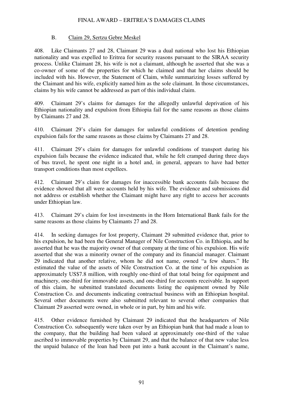#### B. Claim 29, Sertzu Gebre Meskel

408. Like Claimants 27 and 28, Claimant 29 was a dual national who lost his Ethiopian nationality and was expelled to Eritrea for security reasons pursuant to the SIRAA security process. Unlike Claimant 28, his wife is not a claimant, although he asserted that she was a co-owner of some of the properties for which he claimed and that her claims should be included with his. However, the Statement of Claim, while summarizing losses suffered by the Claimant and his wife, explicitly named him as the sole claimant. In those circumstances, claims by his wife cannot be addressed as part of this individual claim.

409. Claimant 29's claims for damages for the allegedly unlawful deprivation of his Ethiopian nationality and expulsion from Ethiopia fail for the same reasons as those claims by Claimants 27 and 28.

410. Claimant 29's claim for damages for unlawful conditions of detention pending expulsion fails for the same reasons as those claims by Claimants 27 and 28.

411. Claimant 29's claim for damages for unlawful conditions of transport during his expulsion fails because the evidence indicated that, while he felt cramped during three days of bus travel, he spent one night in a hotel and, in general, appears to have had better transport conditions than most expellees.

412. Claimant 29's claim for damages for inaccessible bank accounts fails because the evidence showed that all were accounts held by his wife. The evidence and submissions did not address or establish whether the Claimant might have any right to access her accounts under Ethiopian law.

413. Claimant 29's claim for lost investments in the Horn International Bank fails for the same reasons as those claims by Claimants 27 and 28.

414. In seeking damages for lost property, Claimant 29 submitted evidence that, prior to his expulsion, he had been the General Manager of Nile Construction Co. in Ethiopia, and he asserted that he was the majority owner of that company at the time of his expulsion. His wife asserted that she was a minority owner of the company and its financial manager. Claimant 29 indicated that another relative, whom he did not name, owned "a few shares." He estimated the value of the assets of Nile Construction Co. at the time of his expulsion as approximately US\$7.8 million, with roughly one-third of that total being for equipment and machinery, one-third for immovable assets, and one-third for accounts receivable. In support of this claim, he submitted translated documents listing the equipment owned by Nile Construction Co. and documents indicating contractual business with an Ethiopian hospital. Several other documents were also submitted relevant to several other companies that Claimant 29 asserted were owned, in whole or in part, by him and his wife.

415. Other evidence furnished by Claimant 29 indicated that the headquarters of Nile Construction Co. subsequently were taken over by an Ethiopian bank that had made a loan to the company, that the building had been valued at approximately one-third of the value ascribed to immovable properties by Claimant 29, and that the balance of that new value less the unpaid balance of the loan had been put into a bank account in the Claimant's name,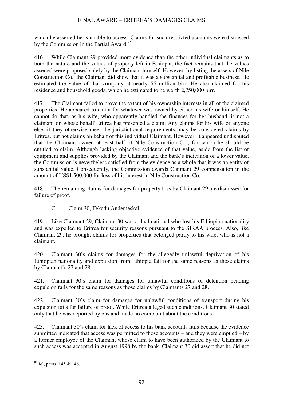which he asserted he is unable to access. Claims for such restricted accounts were dismissed by the Commission in the Partial Award.<sup>95</sup>

416. While Claimant 29 provided more evidence than the other individual claimants as to both the nature and the values of property left in Ethiopia, the fact remains that the values asserted were proposed solely by the Claimant himself. However, by listing the assets of Nile Construction Co., the Claimant did show that it was a substantial and profitable business. He estimated the value of that company at nearly 55 million birr. He also claimed for his residence and household goods, which he estimated to be worth 2,750,000 birr.

417. The Claimant failed to prove the extent of his ownership interests in all of the claimed properties. He appeared to claim for whatever was owned by either his wife or himself. He cannot do that, as his wife, who apparently handled the finances for her husband, is not a claimant on whose behalf Eritrea has presented a claim. Any claims for his wife or anyone else, if they otherwise meet the jurisdictional requirements, may be considered claims by Eritrea, but not claims on behalf of this individual Claimant. However, it appeared undisputed that the Claimant owned at least half of Nile Construction Co., for which he should be entitled to claim. Although lacking objective evidence of that value, aside from the list of equipment and supplies provided by the Claimant and the bank's indication of a lower value, the Commission is nevertheless satisfied from the evidence as a whole that it was an entity of substantial value. Consequently, the Commission awards Claimant 29 compensation in the amount of US\$1,500,000 for loss of his interest in Nile Construction Co.

418. The remaining claims for damages for property loss by Claimant 29 are dismissed for failure of proof.

# C. Claim 30, Fekadu Andemeskal

419. Like Claimant 29, Claimant 30 was a dual national who lost his Ethiopian nationality and was expelled to Eritrea for security reasons pursuant to the SIRAA process. Also, like Claimant 29, he brought claims for properties that belonged partly to his wife, who is not a claimant.

420. Claimant 30's claims for damages for the allegedly unlawful deprivation of his Ethiopian nationality and expulsion from Ethiopia fail for the same reasons as those claims by Claimant's 27 and 28.

421. Claimant 30's claim for damages for unlawful conditions of detention pending expulsion fails for the same reasons as those claims by Claimants 27 and 28.

422. Claimant 30's claim for damages for unlawful conditions of transport during his expulsion fails for failure of proof. While Eritrea alleged such conditions, Claimant 30 stated only that he was deported by bus and made no complaint about the conditions.

423. Claimant 30's claim for lack of access to his bank accounts fails because the evidence submitted indicated that access was permitted to those accounts – and they were emptied – by a former employee of the Claimant whose claim to have been authorized by the Claimant to such access was accepted in August 1998 by the bank. Claimant 30 did assert that he did not

<sup>95</sup> *Id*., paras. 145 & 146.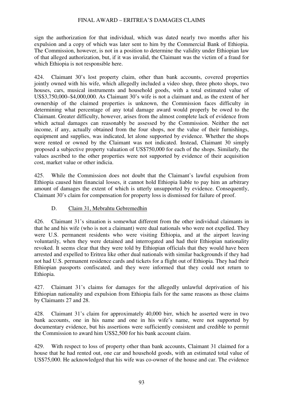sign the authorization for that individual, which was dated nearly two months after his expulsion and a copy of which was later sent to him by the Commercial Bank of Ethiopia. The Commission, however, is not in a position to determine the validity under Ethiopian law of that alleged authorization, but, if it was invalid, the Claimant was the victim of a fraud for which Ethiopia is not responsible here.

424. Claimant 30's lost property claim, other than bank accounts, covered properties jointly owned with his wife, which allegedly included a video shop, three photo shops, two houses, cars, musical instruments and household goods, with a total estimated value of US\$3,750,000–\$4,000,000. As Claimant 30's wife is not a claimant and, as the extent of her ownership of the claimed properties is unknown, the Commission faces difficulty in determining what percentage of any total damage award would properly be owed to the Claimant. Greater difficulty, however, arises from the almost complete lack of evidence from which actual damages can reasonably be assessed by the Commission. Neither the net income, if any, actually obtained from the four shops, nor the value of their furnishings, equipment and supplies, was indicated, let alone supported by evidence. Whether the shops were rented or owned by the Claimant was not indicated. Instead, Claimant 30 simply proposed a subjective property valuation of US\$750,000 for each of the shops. Similarly, the values ascribed to the other properties were not supported by evidence of their acquisition cost, market value or other indicia.

425. While the Commission does not doubt that the Claimant's lawful expulsion from Ethiopia caused him financial losses, it cannot hold Ethiopia liable to pay him an arbitrary amount of damages the extent of which is utterly unsupported by evidence. Consequently, Claimant 30's claim for compensation for property loss is dismissed for failure of proof.

# D. Claim 31, Mebrahtu Gebremedhin

426. Claimant 31's situation is somewhat different from the other individual claimants in that he and his wife (who is not a claimant) were dual nationals who were not expelled. They were U.S. permanent residents who were visiting Ethiopia, and at the airport leaving voluntarily, when they were detained and interrogated and had their Ethiopian nationality revoked. It seems clear that they were told by Ethiopian officials that they would have been arrested and expelled to Eritrea like other dual nationals with similar backgrounds if they had not had U.S. permanent residence cards and tickets for a flight out of Ethiopia. They had their Ethiopian passports confiscated, and they were informed that they could not return to Ethiopia.

427. Claimant 31's claims for damages for the allegedly unlawful deprivation of his Ethiopian nationality and expulsion from Ethiopia fails for the same reasons as those claims by Claimants 27 and 28.

428. Claimant 31's claim for approximately 40,000 birr, which he asserted were in two bank accounts, one in his name and one in his wife's name, were not supported by documentary evidence, but his assertions were sufficiently consistent and credible to permit the Commission to award him US\$2,500 for his bank account claim.

429. With respect to loss of property other than bank accounts, Claimant 31 claimed for a house that he had rented out, one car and household goods, with an estimated total value of US\$75,000. He acknowledged that his wife was co-owner of the house and car. The evidence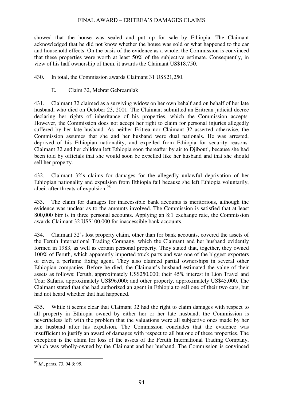showed that the house was sealed and put up for sale by Ethiopia. The Claimant acknowledged that he did not know whether the house was sold or what happened to the car and household effects. On the basis of the evidence as a whole, the Commission is convinced that these properties were worth at least 50% of the subjective estimate. Consequently, in view of his half ownership of them, it awards the Claimant US\$18,750.

430. In total, the Commission awards Claimant 31 US\$21,250.

### E. Claim 32, Mebrat Gebreamlak

431. Claimant 32 claimed as a surviving widow on her own behalf and on behalf of her late husband, who died on October 23, 2001. The Claimant submitted an Eritrean judicial decree declaring her rights of inheritance of his properties, which the Commission accepts. However, the Commission does not accept her right to claim for personal injuries allegedly suffered by her late husband. As neither Eritrea nor Claimant 32 asserted otherwise, the Commission assumes that she and her husband were dual nationals. He was arrested, deprived of his Ethiopian nationality, and expelled from Ethiopia for security reasons. Claimant 32 and her children left Ethiopia soon thereafter by air to Djibouti, because she had been told by officials that she would soon be expelled like her husband and that she should sell her property.

432. Claimant 32's claims for damages for the allegedly unlawful deprivation of her Ethiopian nationality and expulsion from Ethiopia fail because she left Ethiopia voluntarily, albeit after threats of expulsion. 96

433. The claim for damages for inaccessible bank accounts is meritorious, although the evidence was unclear as to the amounts involved. The Commission is satisfied that at least 800,000 birr is in three personal accounts. Applying an 8:1 exchange rate, the Commission awards Claimant 32 US\$100,000 for inaccessible bank accounts.

434. Claimant 32's lost property claim, other than for bank accounts, covered the assets of the Feruth International Trading Company, which the Claimant and her husband evidently formed in 1983, as well as certain personal property. They stated that, together, they owned 100% of Feruth, which apparently imported truck parts and was one of the biggest exporters of civet, a perfume fixing agent. They also claimed partial ownerships in several other Ethiopian companies. Before he died, the Claimant's husband estimated the value of their assets as follows: Feruth, approximately US\$250,000; their 45% interest in Lion Travel and Tour Safaris, approximately US\$96,000; and other property, approximately US\$45,000. The Claimant stated that she had authorized an agent in Ethiopia to sell one of their two cars, but had not heard whether that had happened.

435. While it seems clear that Claimant 32 had the right to claim damages with respect to all property in Ethiopia owned by either her or her late husband, the Commission is nevertheless left with the problem that the valuations were all subjective ones made by her late husband after his expulsion. The Commission concludes that the evidence was insufficient to justify an award of damages with respect to all but one of these properties. The exception is the claim for loss of the assets of the Feruth International Trading Company, which was wholly-owned by the Claimant and her husband. The Commission is convinced

<sup>96</sup> *Id*., paras. 73, 94 & 95.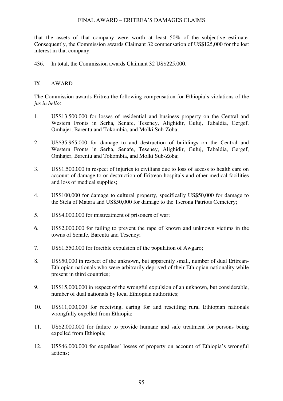that the assets of that company were worth at least 50% of the subjective estimate. Consequently, the Commission awards Claimant 32 compensation of US\$125,000 for the lost interest in that company.

436. In total, the Commission awards Claimant 32 US\$225,000.

# IX. AWARD

The Commission awards Eritrea the following compensation for Ethiopia's violations of the *jus in bello*:

- 1. US\$13,500,000 for losses of residential and business property on the Central and Western Fronts in Serha, Senafe, Teseney, Alighidir, Guluj, Tabaldia, Gergef, Omhajer, Barentu and Tokombia, and Molki Sub-Zoba;
- 2. US\$35,965,000 for damage to and destruction of buildings on the Central and Western Fronts in Serha, Senafe, Teseney, Alighidir, Gului, Tabaldia, Gergef, Omhajer, Barentu and Tokombia, and Molki Sub-Zoba;
- 3. US\$1,500,000 in respect of injuries to civilians due to loss of access to health care on account of damage to or destruction of Eritrean hospitals and other medical facilities and loss of medical supplies;
- 4. US\$100,000 for damage to cultural property, specifically US\$50,000 for damage to the Stela of Matara and US\$50,000 for damage to the Tserona Patriots Cemetery;
- 5. US\$4,000,000 for mistreatment of prisoners of war;
- 6. US\$2,000,000 for failing to prevent the rape of known and unknown victims in the towns of Senafe, Barentu and Teseney;
- 7. US\$1,550,000 for forcible expulsion of the population of Awgaro;
- 8. US\$50,000 in respect of the unknown, but apparently small, number of dual Eritrean-Ethiopian nationals who were arbitrarily deprived of their Ethiopian nationality while present in third countries;
- 9. US\$15,000,000 in respect of the wrongful expulsion of an unknown, but considerable, number of dual nationals by local Ethiopian authorities;
- 10. US\$11,000,000 for receiving, caring for and resettling rural Ethiopian nationals wrongfully expelled from Ethiopia;
- 11. US\$2,000,000 for failure to provide humane and safe treatment for persons being expelled from Ethiopia;
- 12. US\$46,000,000 for expellees' losses of property on account of Ethiopia's wrongful actions;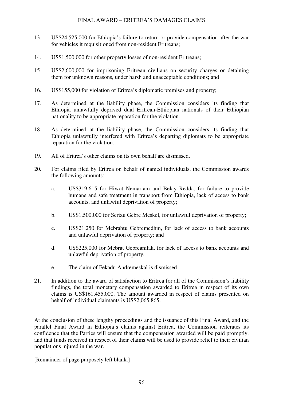- 13. US\$24,525,000 for Ethiopia's failure to return or provide compensation after the war for vehicles it requisitioned from non-resident Eritreans;
- 14. US\$1,500,000 for other property losses of non-resident Eritreans;
- 15. US\$2,600,000 for imprisoning Eritrean civilians on security charges or detaining them for unknown reasons, under harsh and unacceptable conditions; and
- 16. US\$155,000 for violation of Eritrea's diplomatic premises and property;
- 17. As determined at the liability phase, the Commission considers its finding that Ethiopia unlawfully deprived dual Eritrean-Ethiopian nationals of their Ethiopian nationality to be appropriate reparation for the violation.
- 18. As determined at the liability phase, the Commission considers its finding that Ethiopia unlawfully interfered with Eritrea's departing diplomats to be appropriate reparation for the violation.
- 19. All of Eritrea's other claims on its own behalf are dismissed.
- 20. For claims filed by Eritrea on behalf of named individuals, the Commission awards the following amounts:
	- a. US\$319,615 for Hiwot Nemariam and Belay Redda, for failure to provide humane and safe treatment in transport from Ethiopia, lack of access to bank accounts, and unlawful deprivation of property;
	- b. US\$1,500,000 for Sertzu Gebre Meskel, for unlawful deprivation of property;
	- c. US\$21,250 for Mebrahtu Gebremedhin, for lack of access to bank accounts and unlawful deprivation of property; and
	- d. US\$225,000 for Mebrat Gebreamlak, for lack of access to bank accounts and unlawful deprivation of property.
	- e. The claim of Fekadu Andremeskal is dismissed.
- 21. In addition to the award of satisfaction to Eritrea for all of the Commission's liability findings, the total monetary compensation awarded to Eritrea in respect of its own claims is US\$161,455,000. The amount awarded in respect of claims presented on behalf of individual claimants is US\$2,065,865.

At the conclusion of these lengthy proceedings and the issuance of this Final Award, and the parallel Final Award in Ethiopia's claims against Eritrea, the Commission reiterates its confidence that the Parties will ensure that the compensation awarded will be paid promptly, and that funds received in respect of their claims will be used to provide relief to their civilian populations injured in the war.

[Remainder of page purposely left blank.]